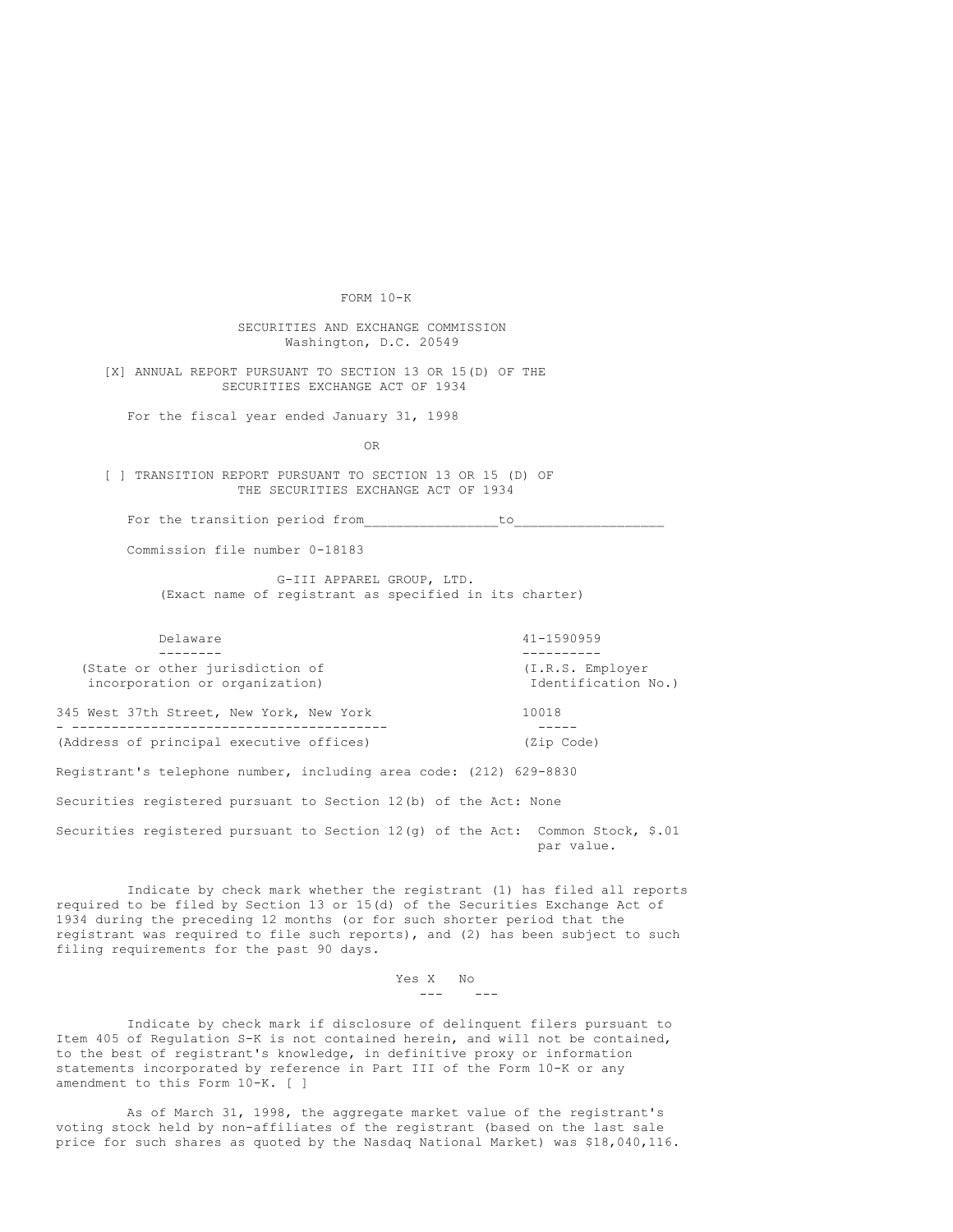FORM 10-K

SECURITIES AND EXCHANGE COMMISSION Washington, D.C. 20549

[X] ANNUAL REPORT PURSUANT TO SECTION 13 OR 15(D) OF THE SECURITIES EXCHANGE ACT OF 1934

For the fiscal year ended January 31, 1998

OR

[ ] TRANSITION REPORT PURSUANT TO SECTION 13 OR 15 (D) OF THE SECURITIES EXCHANGE ACT OF 1934

For the transition period from to

Commission file number 0-18183

G-III APPAREL GROUP, LTD. (Exact name of registrant as specified in its charter)

-------- ---------- (State or other jurisdiction of  $(1,R.S.$  Employer incorporation or organization)  $\qquad \qquad$  Identification No.) incorporation or organization)

Delaware 41-1590959

345 West 37th Street, New York, New York 10018 - ---------------------------------------- ----- (Address of principal executive offices) (Zip Code)

Registrant's telephone number, including area code: (212) 629-8830

Securities registered pursuant to Section 12(b) of the Act: None

Securities registered pursuant to Section 12(g) of the Act: Common Stock, \$.01 par value.

Indicate by check mark whether the registrant (1) has filed all reports required to be filed by Section 13 or 15(d) of the Securities Exchange Act of 1934 during the preceding 12 months (or for such shorter period that the registrant was required to file such reports), and (2) has been subject to such filing requirements for the past 90 days.

> Yes X No  $- - -$

Indicate by check mark if disclosure of delinquent filers pursuant to Item 405 of Regulation S-K is not contained herein, and will not be contained, to the best of registrant's knowledge, in definitive proxy or information statements incorporated by reference in Part III of the Form 10-K or any amendment to this Form 10-K. [ ]

As of March 31, 1998, the aggregate market value of the registrant's voting stock held by non-affiliates of the registrant (based on the last sale price for such shares as quoted by the Nasdaq National Market) was \$18,040,116.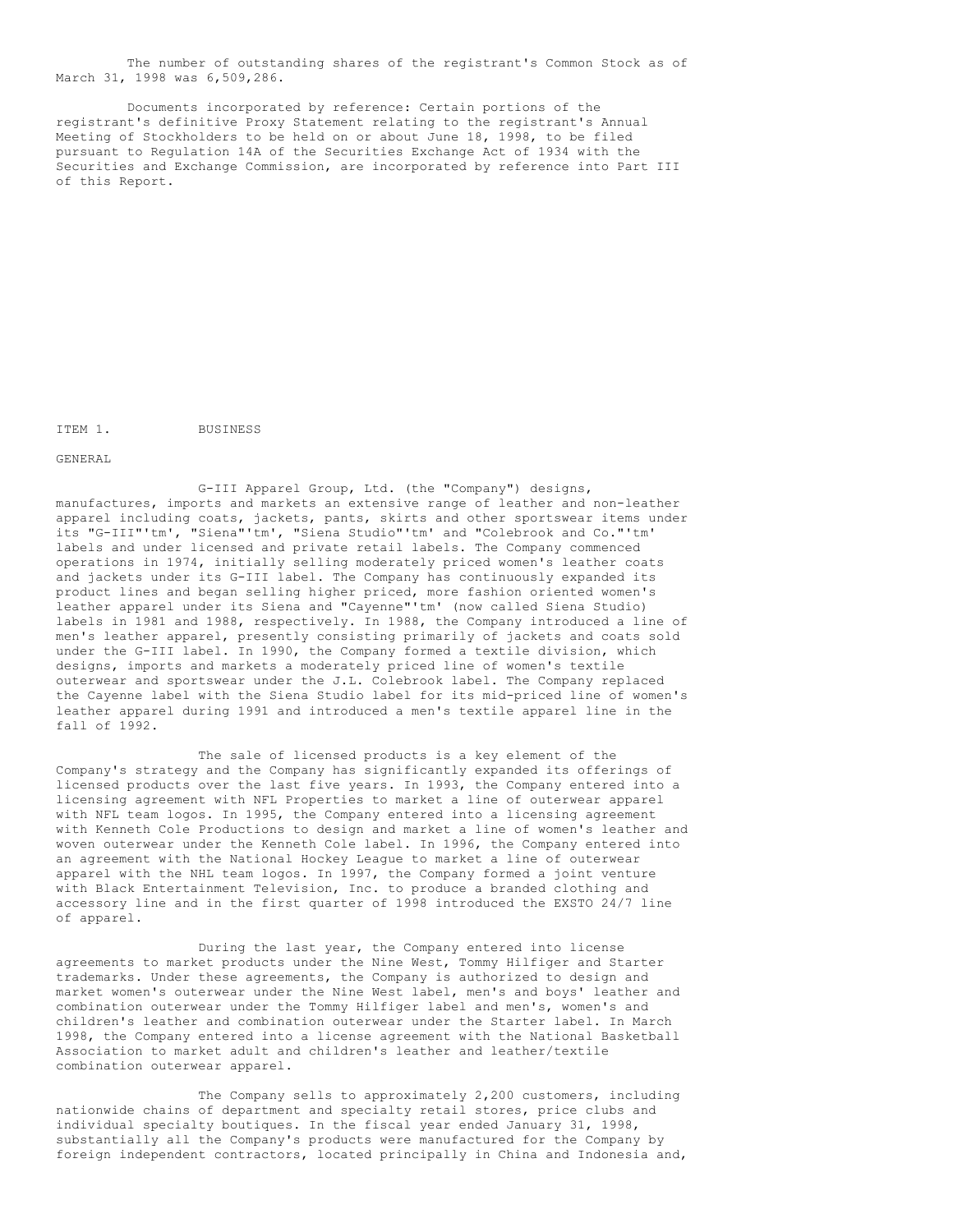The number of outstanding shares of the registrant's Common Stock as of March 31, 1998 was 6,509,286.

Documents incorporated by reference: Certain portions of the registrant's definitive Proxy Statement relating to the registrant's Annual Meeting of Stockholders to be held on or about June 18, 1998, to be filed pursuant to Regulation 14A of the Securities Exchange Act of 1934 with the Securities and Exchange Commission, are incorporated by reference into Part III of this Report.

ITEM 1. BUSINESS

GENERAL

G-III Apparel Group, Ltd. (the "Company") designs, manufactures, imports and markets an extensive range of leather and non-leather apparel including coats, jackets, pants, skirts and other sportswear items under its "G-III"'tm', "Siena"'tm', "Siena Studio"'tm' and "Colebrook and Co."'tm' labels and under licensed and private retail labels. The Company commenced operations in 1974, initially selling moderately priced women's leather coats and jackets under its G-III label. The Company has continuously expanded its product lines and began selling higher priced, more fashion oriented women's leather apparel under its Siena and "Cayenne"'tm' (now called Siena Studio) labels in 1981 and 1988, respectively. In 1988, the Company introduced a line of men's leather apparel, presently consisting primarily of jackets and coats sold under the G-III label. In 1990, the Company formed a textile division, which designs, imports and markets a moderately priced line of women's textile outerwear and sportswear under the J.L. Colebrook label. The Company replaced the Cayenne label with the Siena Studio label for its mid-priced line of women's leather apparel during 1991 and introduced a men's textile apparel line in the fall of 1992.

The sale of licensed products is a key element of the Company's strategy and the Company has significantly expanded its offerings of licensed products over the last five years. In 1993, the Company entered into a licensing agreement with NFL Properties to market a line of outerwear apparel with NFL team logos. In 1995, the Company entered into a licensing agreement with Kenneth Cole Productions to design and market a line of women's leather and woven outerwear under the Kenneth Cole label. In 1996, the Company entered into an agreement with the National Hockey League to market a line of outerwear apparel with the NHL team logos. In 1997, the Company formed a joint venture with Black Entertainment Television, Inc. to produce a branded clothing and accessory line and in the first quarter of 1998 introduced the EXSTO 24/7 line of apparel.

During the last year, the Company entered into license agreements to market products under the Nine West, Tommy Hilfiger and Starter trademarks. Under these agreements, the Company is authorized to design and market women's outerwear under the Nine West label, men's and boys' leather and combination outerwear under the Tommy Hilfiger label and men's, women's and children's leather and combination outerwear under the Starter label. In March 1998, the Company entered into a license agreement with the National Basketball Association to market adult and children's leather and leather/textile combination outerwear apparel.

The Company sells to approximately 2,200 customers, including nationwide chains of department and specialty retail stores, price clubs and individual specialty boutiques. In the fiscal year ended January 31, 1998, substantially all the Company's products were manufactured for the Company by foreign independent contractors, located principally in China and Indonesia and,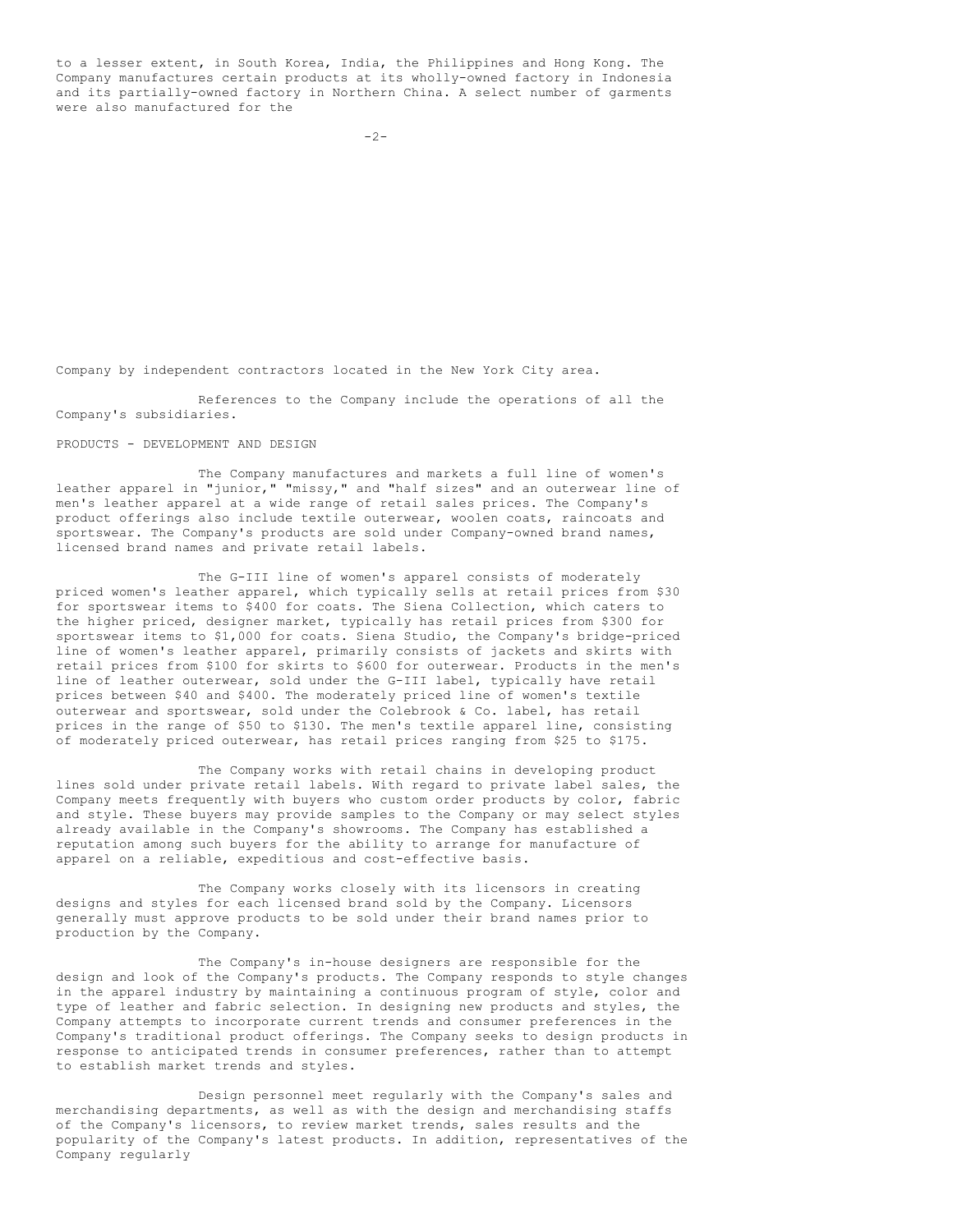to a lesser extent, in South Korea, India, the Philippines and Hong Kong. The Company manufactures certain products at its wholly-owned factory in Indonesia and its partially-owned factory in Northern China. A select number of garments were also manufactured for the

Company by independent contractors located in the New York City area.

References to the Company include the operations of all the Company's subsidiaries.

PRODUCTS - DEVELOPMENT AND DESIGN

The Company manufactures and markets a full line of women's leather apparel in "junior," "missy," and "half sizes" and an outerwear line of men's leather apparel at a wide range of retail sales prices. The Company's product offerings also include textile outerwear, woolen coats, raincoats and sportswear. The Company's products are sold under Company-owned brand names, licensed brand names and private retail labels.

The G-III line of women's apparel consists of moderately priced women's leather apparel, which typically sells at retail prices from \$30 for sportswear items to \$400 for coats. The Siena Collection, which caters to the higher priced, designer market, typically has retail prices from \$300 for sportswear items to \$1,000 for coats. Siena Studio, the Company's bridge-priced line of women's leather apparel, primarily consists of jackets and skirts with retail prices from \$100 for skirts to \$600 for outerwear. Products in the men's line of leather outerwear, sold under the G-III label, typically have retail prices between \$40 and \$400. The moderately priced line of women's textile outerwear and sportswear, sold under the Colebrook & Co. label, has retail prices in the range of \$50 to \$130. The men's textile apparel line, consisting of moderately priced outerwear, has retail prices ranging from \$25 to \$175.

The Company works with retail chains in developing product lines sold under private retail labels. With regard to private label sales, the Company meets frequently with buyers who custom order products by color, fabric and style. These buyers may provide samples to the Company or may select styles already available in the Company's showrooms. The Company has established a reputation among such buyers for the ability to arrange for manufacture of apparel on a reliable, expeditious and cost-effective basis.

The Company works closely with its licensors in creating designs and styles for each licensed brand sold by the Company. Licensors generally must approve products to be sold under their brand names prior to production by the Company.

The Company's in-house designers are responsible for the design and look of the Company's products. The Company responds to style changes in the apparel industry by maintaining a continuous program of style, color and type of leather and fabric selection. In designing new products and styles, the Company attempts to incorporate current trends and consumer preferences in the Company's traditional product offerings. The Company seeks to design products in response to anticipated trends in consumer preferences, rather than to attempt to establish market trends and styles.

Design personnel meet regularly with the Company's sales and merchandising departments, as well as with the design and merchandising staffs of the Company's licensors, to review market trends, sales results and the popularity of the Company's latest products. In addition, representatives of the Company regularly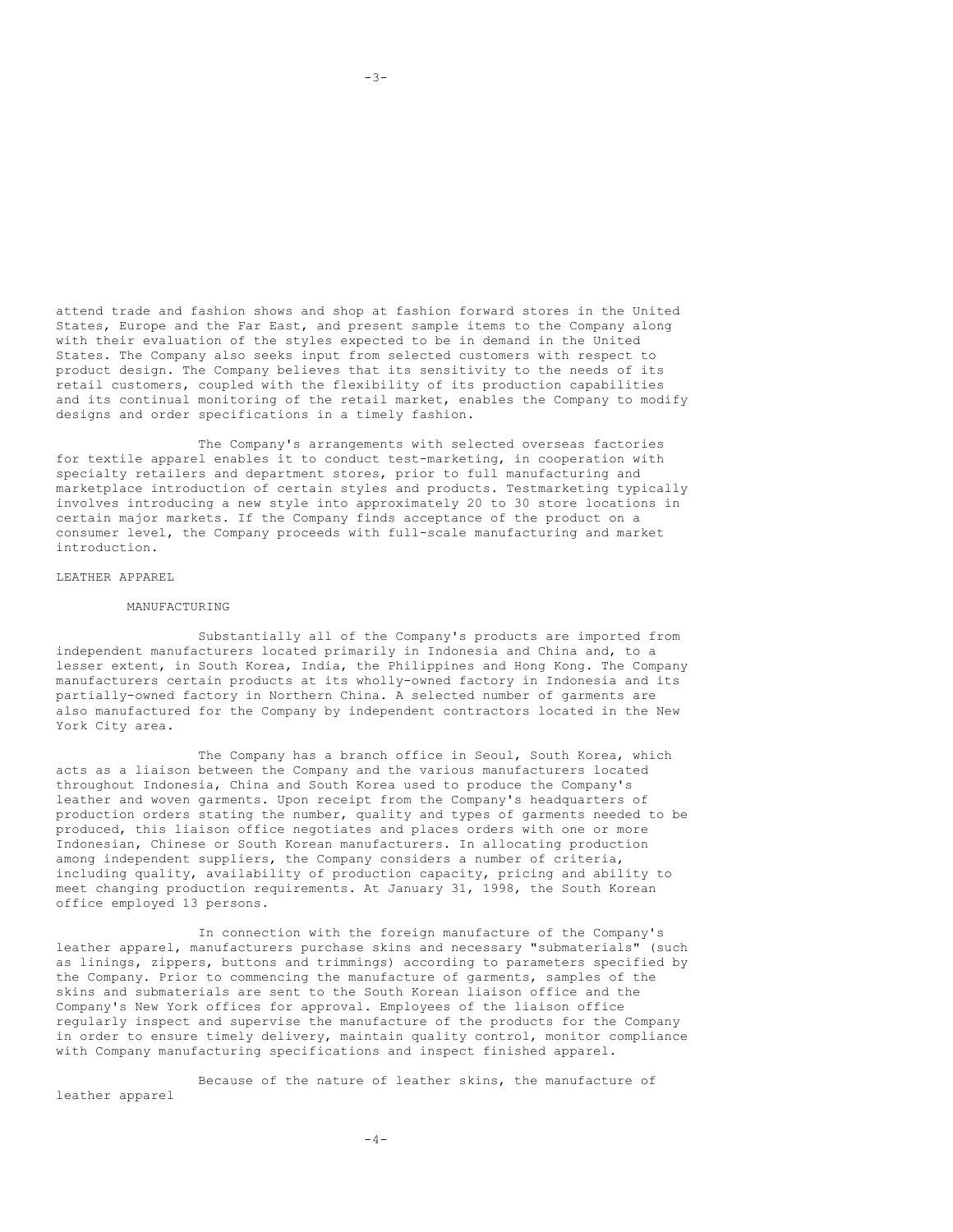attend trade and fashion shows and shop at fashion forward stores in the United States, Europe and the Far East, and present sample items to the Company along with their evaluation of the styles expected to be in demand in the United States. The Company also seeks input from selected customers with respect to product design. The Company believes that its sensitivity to the needs of its retail customers, coupled with the flexibility of its production capabilities and its continual monitoring of the retail market, enables the Company to modify designs and order specifications in a timely fashion.

The Company's arrangements with selected overseas factories for textile apparel enables it to conduct test-marketing, in cooperation with specialty retailers and department stores, prior to full manufacturing and marketplace introduction of certain styles and products. Testmarketing typically involves introducing a new style into approximately 20 to 30 store locations in certain major markets. If the Company finds acceptance of the product on a consumer level, the Company proceeds with full-scale manufacturing and market introduction.

#### LEATHER APPAREL

#### MANUFACTURING

Substantially all of the Company's products are imported from independent manufacturers located primarily in Indonesia and China and, to a lesser extent, in South Korea, India, the Philippines and Hong Kong. The Company manufacturers certain products at its wholly-owned factory in Indonesia and its partially-owned factory in Northern China. A selected number of garments are also manufactured for the Company by independent contractors located in the New York City area.

The Company has a branch office in Seoul, South Korea, which acts as a liaison between the Company and the various manufacturers located throughout Indonesia, China and South Korea used to produce the Company's leather and woven garments. Upon receipt from the Company's headquarters of production orders stating the number, quality and types of garments needed to be produced, this liaison office negotiates and places orders with one or more Indonesian, Chinese or South Korean manufacturers. In allocating production among independent suppliers, the Company considers a number of criteria, including quality, availability of production capacity, pricing and ability to meet changing production requirements. At January 31, 1998, the South Korean office employed 13 persons.

In connection with the foreign manufacture of the Company's leather apparel, manufacturers purchase skins and necessary "submaterials" (such as linings, zippers, buttons and trimmings) according to parameters specified by the Company. Prior to commencing the manufacture of garments, samples of the skins and submaterials are sent to the South Korean liaison office and the Company's New York offices for approval. Employees of the liaison office regularly inspect and supervise the manufacture of the products for the Company in order to ensure timely delivery, maintain quality control, monitor compliance with Company manufacturing specifications and inspect finished apparel.

Because of the nature of leather skins, the manufacture of leather apparel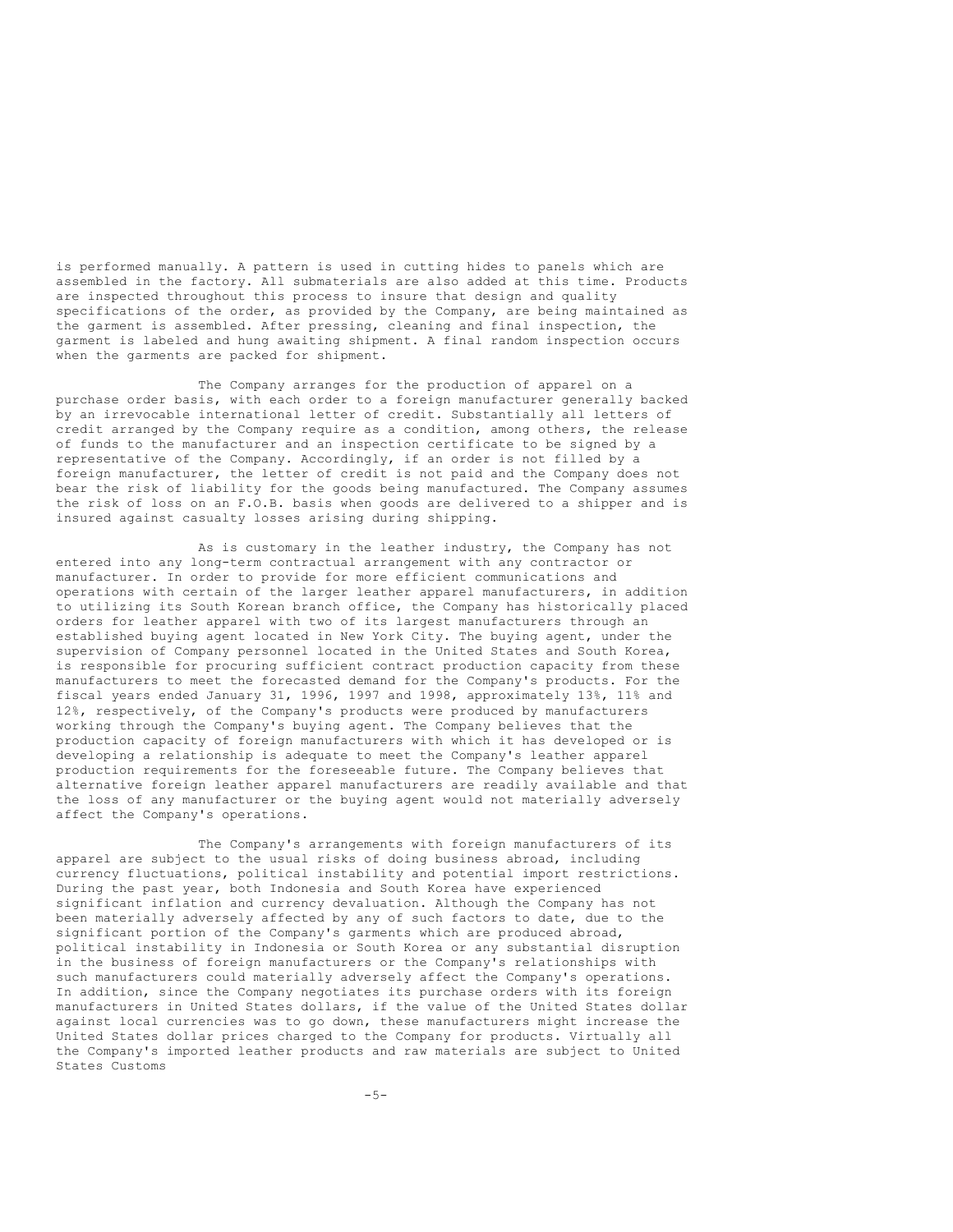is performed manually. A pattern is used in cutting hides to panels which are assembled in the factory. All submaterials are also added at this time. Products are inspected throughout this process to insure that design and quality specifications of the order, as provided by the Company, are being maintained as the garment is assembled. After pressing, cleaning and final inspection, the garment is labeled and hung awaiting shipment. A final random inspection occurs when the garments are packed for shipment.

The Company arranges for the production of apparel on a purchase order basis, with each order to a foreign manufacturer generally backed by an irrevocable international letter of credit. Substantially all letters of credit arranged by the Company require as a condition, among others, the release of funds to the manufacturer and an inspection certificate to be signed by a representative of the Company. Accordingly, if an order is not filled by a foreign manufacturer, the letter of credit is not paid and the Company does not bear the risk of liability for the goods being manufactured. The Company assumes the risk of loss on an F.O.B. basis when goods are delivered to a shipper and is insured against casualty losses arising during shipping.

As is customary in the leather industry, the Company has not entered into any long-term contractual arrangement with any contractor or manufacturer. In order to provide for more efficient communications and operations with certain of the larger leather apparel manufacturers, in addition to utilizing its South Korean branch office, the Company has historically placed orders for leather apparel with two of its largest manufacturers through an established buying agent located in New York City. The buying agent, under the supervision of Company personnel located in the United States and South Korea, is responsible for procuring sufficient contract production capacity from these manufacturers to meet the forecasted demand for the Company's products. For the fiscal years ended January 31, 1996, 1997 and 1998, approximately 13%, 11% and 12%, respectively, of the Company's products were produced by manufacturers working through the Company's buying agent. The Company believes that the production capacity of foreign manufacturers with which it has developed or is developing a relationship is adequate to meet the Company's leather apparel production requirements for the foreseeable future. The Company believes that alternative foreign leather apparel manufacturers are readily available and that the loss of any manufacturer or the buying agent would not materially adversely affect the Company's operations.

The Company's arrangements with foreign manufacturers of its apparel are subject to the usual risks of doing business abroad, including currency fluctuations, political instability and potential import restrictions. During the past year, both Indonesia and South Korea have experienced significant inflation and currency devaluation. Although the Company has not been materially adversely affected by any of such factors to date, due to the significant portion of the Company's garments which are produced abroad, political instability in Indonesia or South Korea or any substantial disruption in the business of foreign manufacturers or the Company's relationships with such manufacturers could materially adversely affect the Company's operations. In addition, since the Company negotiates its purchase orders with its foreign manufacturers in United States dollars, if the value of the United States dollar against local currencies was to go down, these manufacturers might increase the United States dollar prices charged to the Company for products. Virtually all the Company's imported leather products and raw materials are subject to United States Customs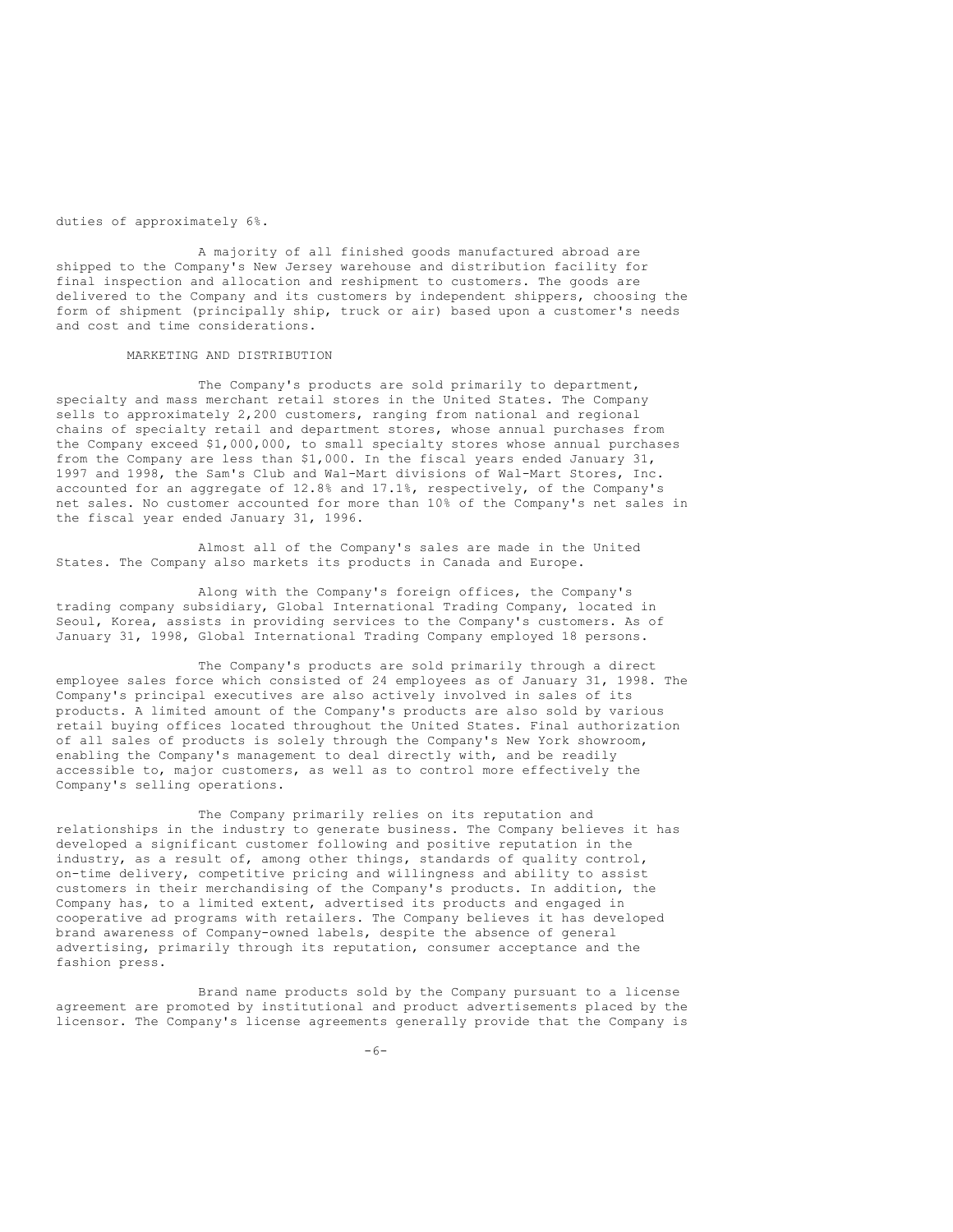duties of approximately 6%.

A majority of all finished goods manufactured abroad are shipped to the Company's New Jersey warehouse and distribution facility for final inspection and allocation and reshipment to customers. The goods are delivered to the Company and its customers by independent shippers, choosing the form of shipment (principally ship, truck or air) based upon a customer's needs and cost and time considerations.

## MARKETING AND DISTRIBUTION

The Company's products are sold primarily to department, specialty and mass merchant retail stores in the United States. The Company sells to approximately 2,200 customers, ranging from national and regional chains of specialty retail and department stores, whose annual purchases from the Company exceed \$1,000,000, to small specialty stores whose annual purchases from the Company are less than \$1,000. In the fiscal years ended January 31, 1997 and 1998, the Sam's Club and Wal-Mart divisions of Wal-Mart Stores, Inc. accounted for an aggregate of 12.8% and 17.1%, respectively, of the Company's net sales. No customer accounted for more than 10% of the Company's net sales in the fiscal year ended January 31, 1996.

Almost all of the Company's sales are made in the United States. The Company also markets its products in Canada and Europe.

Along with the Company's foreign offices, the Company's trading company subsidiary, Global International Trading Company, located in Seoul, Korea, assists in providing services to the Company's customers. As of January 31, 1998, Global International Trading Company employed 18 persons.

The Company's products are sold primarily through a direct employee sales force which consisted of 24 employees as of January 31, 1998. The Company's principal executives are also actively involved in sales of its products. A limited amount of the Company's products are also sold by various retail buying offices located throughout the United States. Final authorization of all sales of products is solely through the Company's New York showroom, enabling the Company's management to deal directly with, and be readily accessible to, major customers, as well as to control more effectively the Company's selling operations.

The Company primarily relies on its reputation and relationships in the industry to generate business. The Company believes it has developed a significant customer following and positive reputation in the industry, as a result of, among other things, standards of quality control, on-time delivery, competitive pricing and willingness and ability to assist customers in their merchandising of the Company's products. In addition, the Company has, to a limited extent, advertised its products and engaged in cooperative ad programs with retailers. The Company believes it has developed brand awareness of Company-owned labels, despite the absence of general advertising, primarily through its reputation, consumer acceptance and the fashion press.

Brand name products sold by the Company pursuant to a license agreement are promoted by institutional and product advertisements placed by the licensor. The Company's license agreements generally provide that the Company is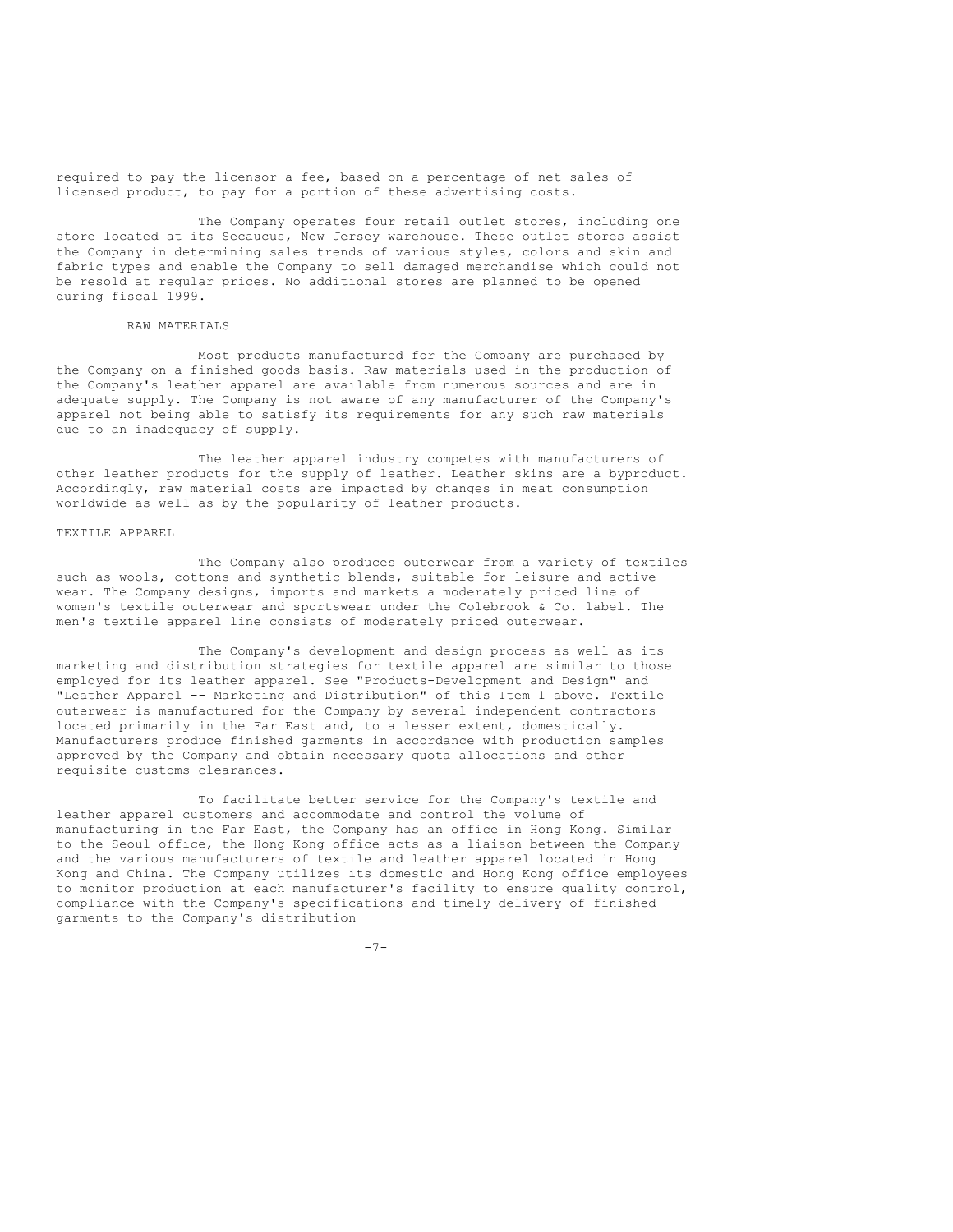required to pay the licensor a fee, based on a percentage of net sales of licensed product, to pay for a portion of these advertising costs.

The Company operates four retail outlet stores, including one store located at its Secaucus, New Jersey warehouse. These outlet stores assist the Company in determining sales trends of various styles, colors and skin and fabric types and enable the Company to sell damaged merchandise which could not be resold at regular prices. No additional stores are planned to be opened during fiscal 1999.

## RAW MATERIALS

Most products manufactured for the Company are purchased by the Company on a finished goods basis. Raw materials used in the production of the Company's leather apparel are available from numerous sources and are in adequate supply. The Company is not aware of any manufacturer of the Company's apparel not being able to satisfy its requirements for any such raw materials due to an inadequacy of supply.

The leather apparel industry competes with manufacturers of other leather products for the supply of leather. Leather skins are a byproduct. Accordingly, raw material costs are impacted by changes in meat consumption worldwide as well as by the popularity of leather products.

#### TEXTILE APPAREL

The Company also produces outerwear from a variety of textiles such as wools, cottons and synthetic blends, suitable for leisure and active wear. The Company designs, imports and markets a moderately priced line of women's textile outerwear and sportswear under the Colebrook & Co. label. The men's textile apparel line consists of moderately priced outerwear.

The Company's development and design process as well as its marketing and distribution strategies for textile apparel are similar to those employed for its leather apparel. See "Products-Development and Design" and "Leather Apparel -- Marketing and Distribution" of this Item 1 above. Textile outerwear is manufactured for the Company by several independent contractors located primarily in the Far East and, to a lesser extent, domestically. Manufacturers produce finished garments in accordance with production samples approved by the Company and obtain necessary quota allocations and other requisite customs clearances.

To facilitate better service for the Company's textile and leather apparel customers and accommodate and control the volume of manufacturing in the Far East, the Company has an office in Hong Kong. Similar to the Seoul office, the Hong Kong office acts as a liaison between the Company and the various manufacturers of textile and leather apparel located in Hong Kong and China. The Company utilizes its domestic and Hong Kong office employees to monitor production at each manufacturer's facility to ensure quality control, compliance with the Company's specifications and timely delivery of finished garments to the Company's distribution

-7-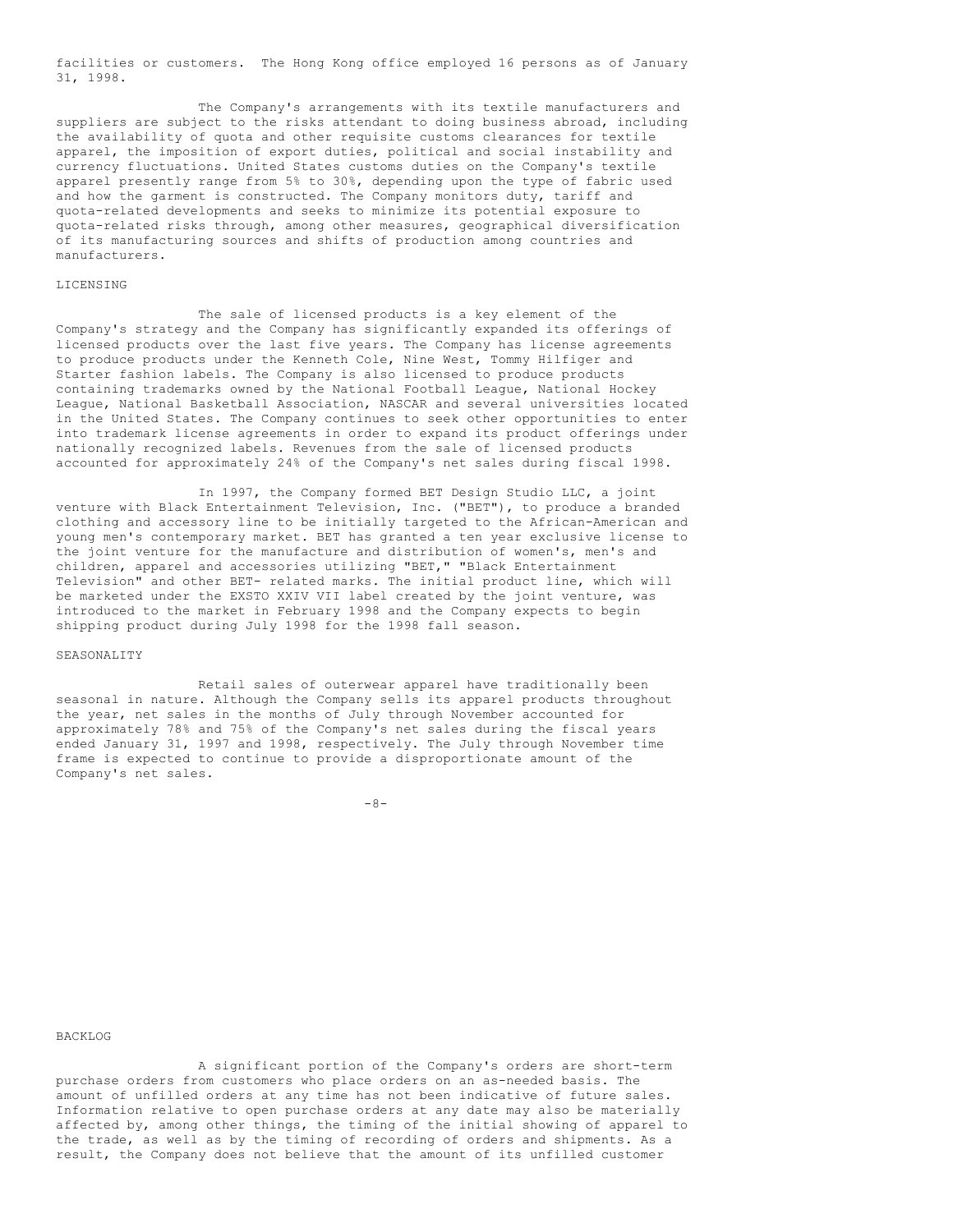facilities or customers. The Hong Kong office employed 16 persons as of January 31, 1998.

The Company's arrangements with its textile manufacturers and suppliers are subject to the risks attendant to doing business abroad, including the availability of quota and other requisite customs clearances for textile apparel, the imposition of export duties, political and social instability and currency fluctuations. United States customs duties on the Company's textile apparel presently range from 5% to 30%, depending upon the type of fabric used and how the garment is constructed. The Company monitors duty, tariff and quota-related developments and seeks to minimize its potential exposure to quota-related risks through, among other measures, geographical diversification of its manufacturing sources and shifts of production among countries and manufacturers.

## LICENSING

The sale of licensed products is a key element of the Company's strategy and the Company has significantly expanded its offerings of licensed products over the last five years. The Company has license agreements to produce products under the Kenneth Cole, Nine West, Tommy Hilfiger and Starter fashion labels. The Company is also licensed to produce products containing trademarks owned by the National Football League, National Hockey League, National Basketball Association, NASCAR and several universities located in the United States. The Company continues to seek other opportunities to enter into trademark license agreements in order to expand its product offerings under nationally recognized labels. Revenues from the sale of licensed products accounted for approximately 24% of the Company's net sales during fiscal 1998.

In 1997, the Company formed BET Design Studio LLC, a joint venture with Black Entertainment Television, Inc. ("BET"), to produce a branded clothing and accessory line to be initially targeted to the African-American and young men's contemporary market. BET has granted a ten year exclusive license to the joint venture for the manufacture and distribution of women's, men's and children, apparel and accessories utilizing "BET," "Black Entertainment Television" and other BET- related marks. The initial product line, which will be marketed under the EXSTO XXIV VII label created by the joint venture, was introduced to the market in February 1998 and the Company expects to begin shipping product during July 1998 for the 1998 fall season.

#### SEASONALITY

Retail sales of outerwear apparel have traditionally been seasonal in nature. Although the Company sells its apparel products throughout the year, net sales in the months of July through November accounted for approximately 78% and 75% of the Company's net sales during the fiscal years ended January 31, 1997 and 1998, respectively. The July through November time frame is expected to continue to provide a disproportionate amount of the Company's net sales.

 $-8-$ 

## BACKLOG

A significant portion of the Company's orders are short-term purchase orders from customers who place orders on an as-needed basis. The amount of unfilled orders at any time has not been indicative of future sales. Information relative to open purchase orders at any date may also be materially affected by, among other things, the timing of the initial showing of apparel to the trade, as well as by the timing of recording of orders and shipments. As a result, the Company does not believe that the amount of its unfilled customer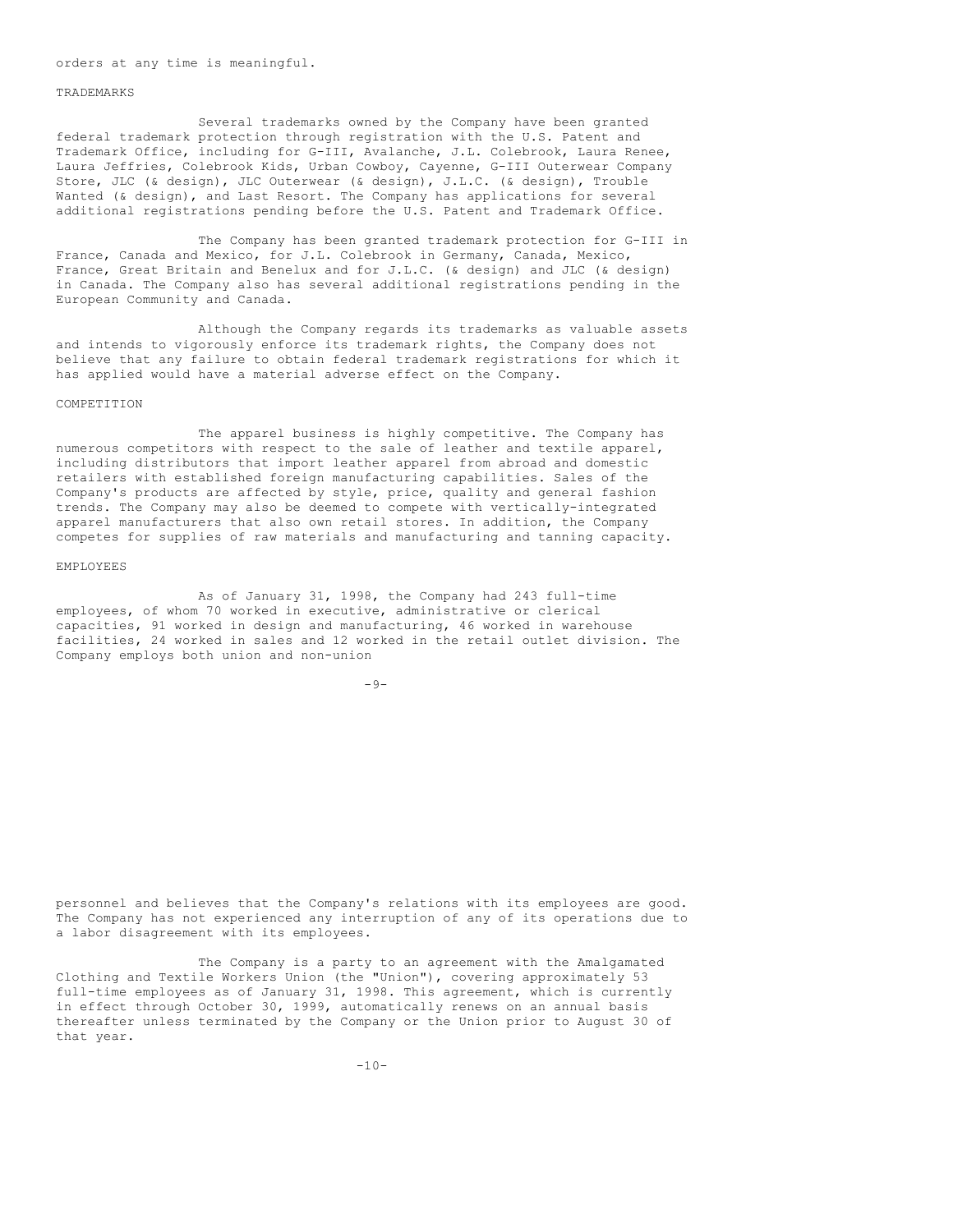orders at any time is meaningful.

#### TRADEMARKS

Several trademarks owned by the Company have been granted federal trademark protection through registration with the U.S. Patent and Trademark Office, including for G-III, Avalanche, J.L. Colebrook, Laura Renee, Laura Jeffries, Colebrook Kids, Urban Cowboy, Cayenne, G-III Outerwear Company Store, JLC (& design), JLC Outerwear (& design), J.L.C. (& design), Trouble Wanted (& design), and Last Resort. The Company has applications for several additional registrations pending before the U.S. Patent and Trademark Office.

The Company has been granted trademark protection for G-III in France, Canada and Mexico, for J.L. Colebrook in Germany, Canada, Mexico, France, Great Britain and Benelux and for J.L.C. (& design) and JLC (& design) in Canada. The Company also has several additional registrations pending in the European Community and Canada.

Although the Company regards its trademarks as valuable assets and intends to vigorously enforce its trademark rights, the Company does not believe that any failure to obtain federal trademark registrations for which it has applied would have a material adverse effect on the Company.

#### COMPETITION

The apparel business is highly competitive. The Company has numerous competitors with respect to the sale of leather and textile apparel, including distributors that import leather apparel from abroad and domestic retailers with established foreign manufacturing capabilities. Sales of the Company's products are affected by style, price, quality and general fashion trends. The Company may also be deemed to compete with vertically-integrated apparel manufacturers that also own retail stores. In addition, the Company competes for supplies of raw materials and manufacturing and tanning capacity.

#### EMPLOYEES

As of January 31, 1998, the Company had 243 full-time employees, of whom 70 worked in executive, administrative or clerical capacities, 91 worked in design and manufacturing, 46 worked in warehouse facilities, 24 worked in sales and 12 worked in the retail outlet division. The Company employs both union and non-union

 $-9-$ 

personnel and believes that the Company's relations with its employees are good. The Company has not experienced any interruption of any of its operations due to a labor disagreement with its employees.

The Company is a party to an agreement with the Amalgamated Clothing and Textile Workers Union (the "Union"), covering approximately 53 full-time employees as of January 31, 1998. This agreement, which is currently in effect through October 30, 1999, automatically renews on an annual basis thereafter unless terminated by the Company or the Union prior to August 30 of that year.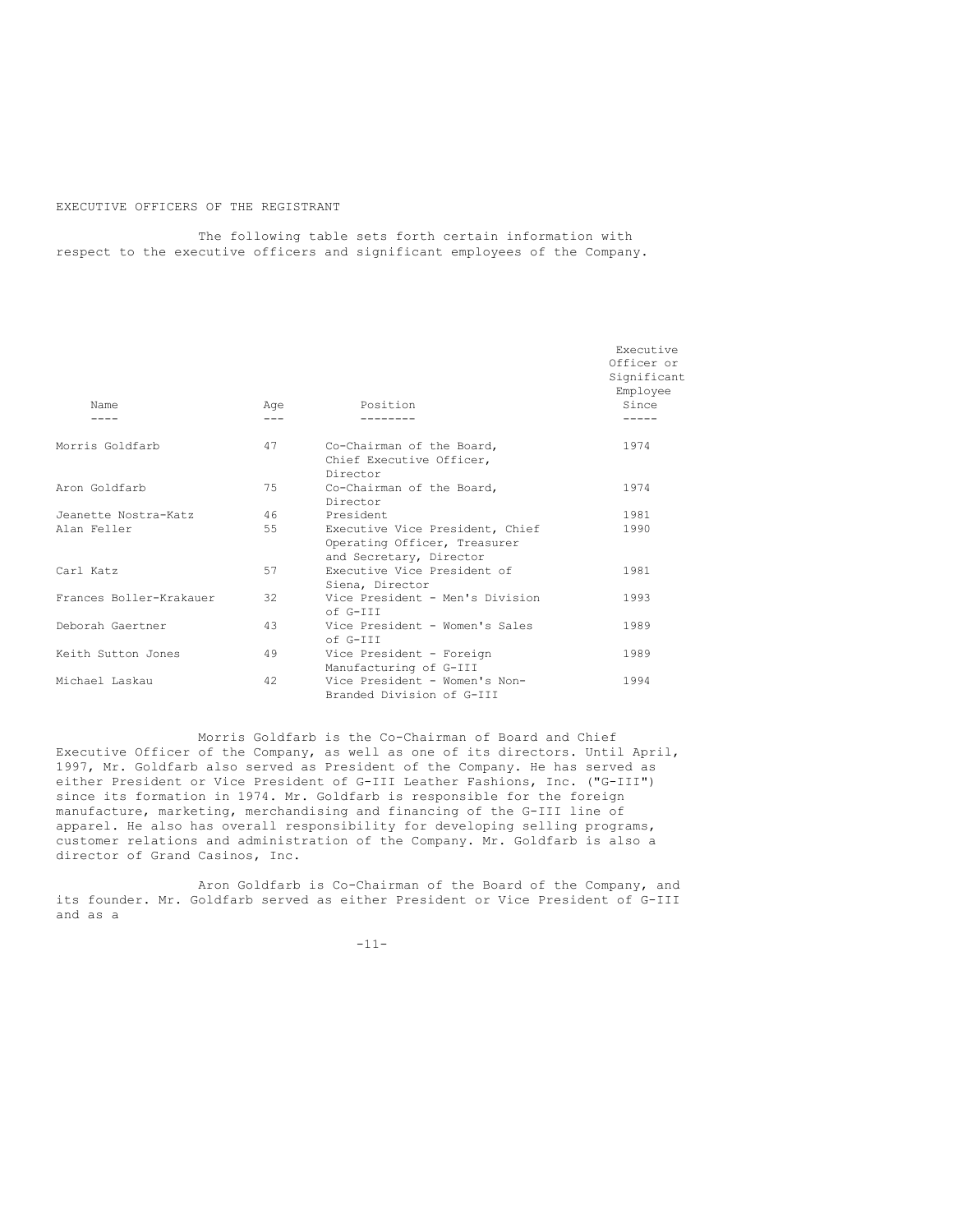## EXECUTIVE OFFICERS OF THE REGISTRANT

The following table sets forth certain information with respect to the executive officers and significant employees of the Company.

|                         |         |                                                                                            | Executive<br>Officer or<br>Significant<br>Employee |
|-------------------------|---------|--------------------------------------------------------------------------------------------|----------------------------------------------------|
| Name                    | Age     | Position                                                                                   | Since                                              |
|                         | $- - -$ |                                                                                            |                                                    |
| Morris Goldfarb         | 47      | Co-Chairman of the Board,<br>Chief Executive Officer,<br>Director                          | 1974                                               |
| Aron Goldfarb           | 75      | Co-Chairman of the Board,<br>Director                                                      | 1974                                               |
| Jeanette Nostra-Katz    | 46      | President                                                                                  | 1981                                               |
| Alan Feller             | 55      | Executive Vice President, Chief<br>Operating Officer, Treasurer<br>and Secretary, Director | 1990                                               |
| Carl Katz               | 57      | Executive Vice President of<br>Siena, Director                                             | 1981                                               |
| Frances Boller-Krakauer | 32      | Vice President - Men's Division<br>of G-TTT                                                | 1993                                               |
| Deborah Gaertner        | 43      | Vice President - Women's Sales<br>of G-TTT                                                 | 1989                                               |
| Keith Sutton Jones      | 49      | Vice President - Foreign<br>Manufacturing of G-III                                         | 1989                                               |
| Michael Laskau          | 42      | Vice President - Women's Non-<br>Branded Division of G-III                                 | 1994                                               |

Morris Goldfarb is the Co-Chairman of Board and Chief Executive Officer of the Company, as well as one of its directors. Until April, 1997, Mr. Goldfarb also served as President of the Company. He has served as either President or Vice President of G-III Leather Fashions, Inc. ("G-III") since its formation in 1974. Mr. Goldfarb is responsible for the foreign manufacture, marketing, merchandising and financing of the G-III line of apparel. He also has overall responsibility for developing selling programs, customer relations and administration of the Company. Mr. Goldfarb is also a director of Grand Casinos, Inc.

Aron Goldfarb is Co-Chairman of the Board of the Company, and its founder. Mr. Goldfarb served as either President or Vice President of G-III and as a

-11-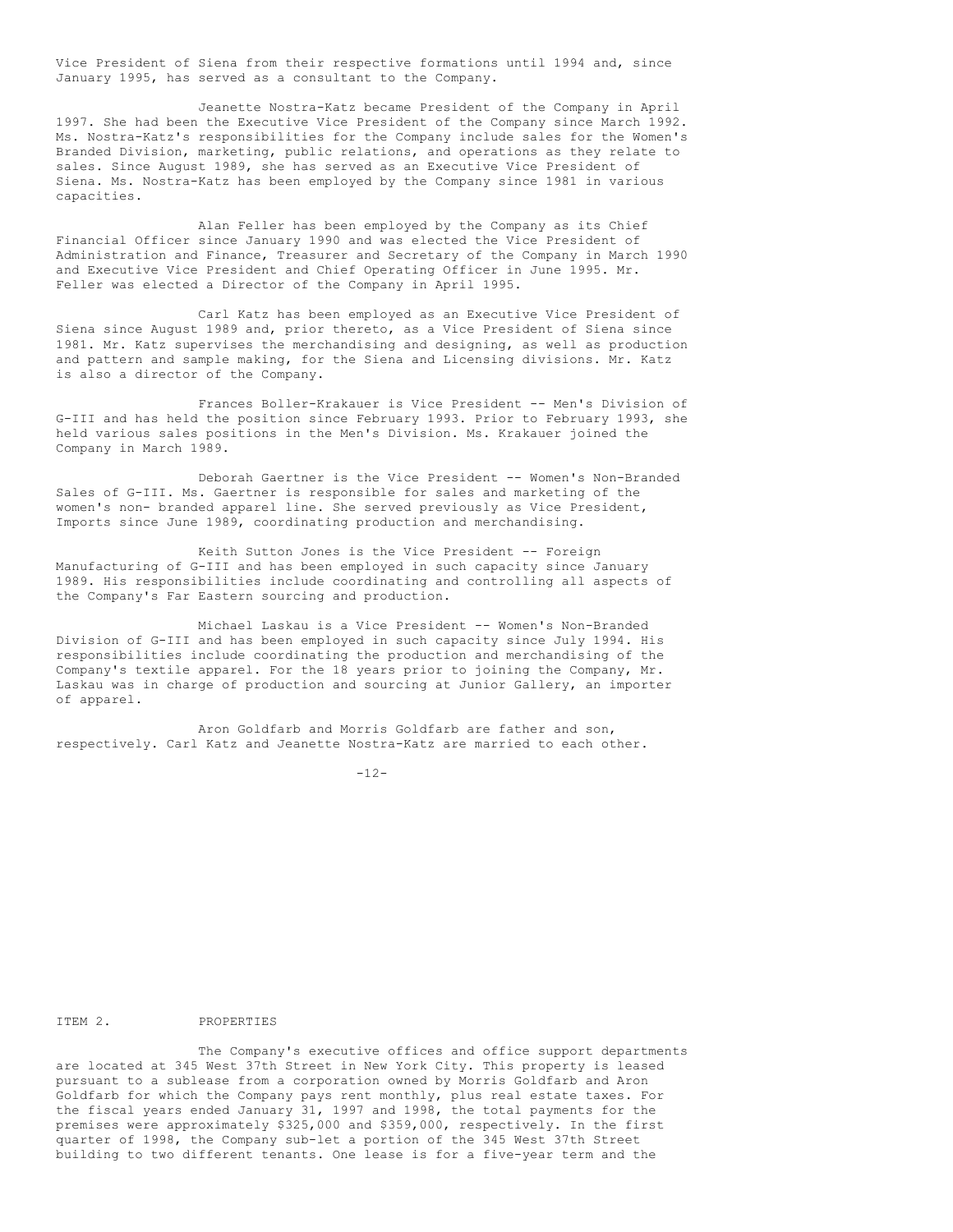Vice President of Siena from their respective formations until 1994 and, since January 1995, has served as a consultant to the Company.

Jeanette Nostra-Katz became President of the Company in April 1997. She had been the Executive Vice President of the Company since March 1992. Ms. Nostra-Katz's responsibilities for the Company include sales for the Women's Branded Division, marketing, public relations, and operations as they relate to sales. Since August 1989, she has served as an Executive Vice President of Siena. Ms. Nostra-Katz has been employed by the Company since 1981 in various capacities.

Alan Feller has been employed by the Company as its Chief Financial Officer since January 1990 and was elected the Vice President of Administration and Finance, Treasurer and Secretary of the Company in March 1990 and Executive Vice President and Chief Operating Officer in June 1995. Mr. Feller was elected a Director of the Company in April 1995.

Carl Katz has been employed as an Executive Vice President of Siena since August 1989 and, prior thereto, as a Vice President of Siena since 1981. Mr. Katz supervises the merchandising and designing, as well as production and pattern and sample making, for the Siena and Licensing divisions. Mr. Katz is also a director of the Company.

Frances Boller-Krakauer is Vice President -- Men's Division of G-III and has held the position since February 1993. Prior to February 1993, she held various sales positions in the Men's Division. Ms. Krakauer joined the Company in March 1989.

Deborah Gaertner is the Vice President -- Women's Non-Branded Sales of G-III. Ms. Gaertner is responsible for sales and marketing of the women's non- branded apparel line. She served previously as Vice President, Imports since June 1989, coordinating production and merchandising.

Keith Sutton Jones is the Vice President -- Foreign Manufacturing of G-III and has been employed in such capacity since January 1989. His responsibilities include coordinating and controlling all aspects of the Company's Far Eastern sourcing and production.

Michael Laskau is a Vice President -- Women's Non-Branded Division of G-III and has been employed in such capacity since July 1994. His responsibilities include coordinating the production and merchandising of the Company's textile apparel. For the 18 years prior to joining the Company, Mr. Laskau was in charge of production and sourcing at Junior Gallery, an importer of apparel.

Aron Goldfarb and Morris Goldfarb are father and son, respectively. Carl Katz and Jeanette Nostra-Katz are married to each other.

 $-12-$ 

ITEM 2. PROPERTIES

The Company's executive offices and office support departments are located at 345 West 37th Street in New York City. This property is leased pursuant to a sublease from a corporation owned by Morris Goldfarb and Aron Goldfarb for which the Company pays rent monthly, plus real estate taxes. For the fiscal years ended January 31, 1997 and 1998, the total payments for the premises were approximately \$325,000 and \$359,000, respectively. In the first quarter of 1998, the Company sub-let a portion of the 345 West 37th Street building to two different tenants. One lease is for a five-year term and the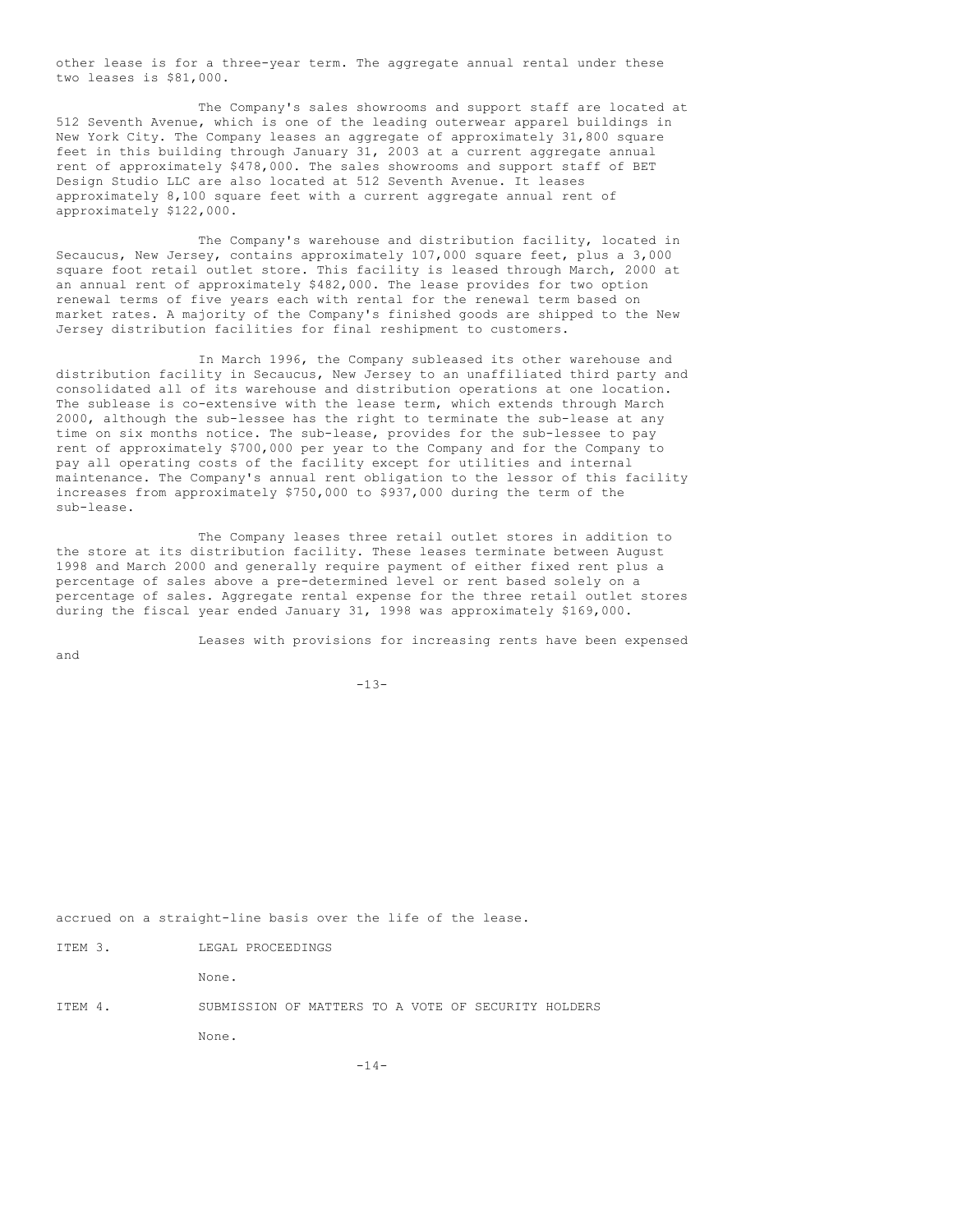other lease is for a three-year term. The aggregate annual rental under these two leases is \$81,000.

The Company's sales showrooms and support staff are located at 512 Seventh Avenue, which is one of the leading outerwear apparel buildings in New York City. The Company leases an aggregate of approximately 31,800 square feet in this building through January 31, 2003 at a current aggregate annual rent of approximately \$478,000. The sales showrooms and support staff of BET Design Studio LLC are also located at 512 Seventh Avenue. It leases approximately 8,100 square feet with a current aggregate annual rent of approximately \$122,000.

The Company's warehouse and distribution facility, located in Secaucus, New Jersey, contains approximately 107,000 square feet, plus a 3,000 square foot retail outlet store. This facility is leased through March, 2000 at an annual rent of approximately \$482,000. The lease provides for two option renewal terms of five years each with rental for the renewal term based on market rates. A majority of the Company's finished goods are shipped to the New Jersey distribution facilities for final reshipment to customers.

In March 1996, the Company subleased its other warehouse and distribution facility in Secaucus, New Jersey to an unaffiliated third party and consolidated all of its warehouse and distribution operations at one location. The sublease is co-extensive with the lease term, which extends through March 2000, although the sub-lessee has the right to terminate the sub-lease at any time on six months notice. The sub-lease, provides for the sub-lessee to pay rent of approximately \$700,000 per year to the Company and for the Company to pay all operating costs of the facility except for utilities and internal maintenance. The Company's annual rent obligation to the lessor of this facility increases from approximately \$750,000 to \$937,000 during the term of the sub-lease.

The Company leases three retail outlet stores in addition to the store at its distribution facility. These leases terminate between August 1998 and March 2000 and generally require payment of either fixed rent plus a percentage of sales above a pre-determined level or rent based solely on a percentage of sales. Aggregate rental expense for the three retail outlet stores during the fiscal year ended January 31, 1998 was approximately \$169,000.

 $-13-$ 

Leases with provisions for increasing rents have been expensed

accrued on a straight-line basis over the life of the lease.

|  | ITEM |  |  | LEGAL PROCEEDINGS |
|--|------|--|--|-------------------|
|--|------|--|--|-------------------|

and

None.

ITEM 4. SUBMISSION OF MATTERS TO A VOTE OF SECURITY HOLDERS None.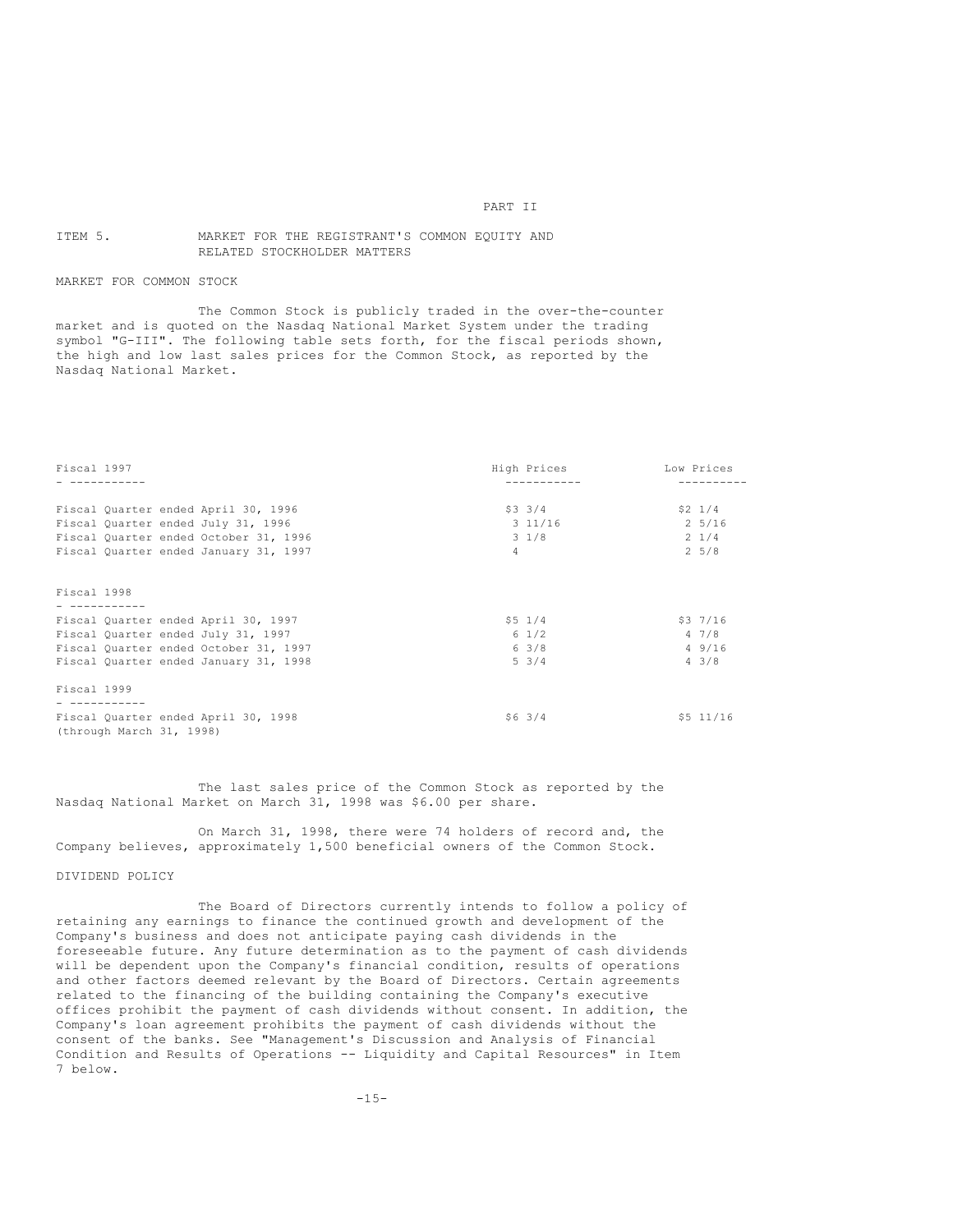#### PART II

## ITEM 5. MARKET FOR THE REGISTRANT'S COMMON EQUITY AND RELATED STOCKHOLDER MATTERS

## MARKET FOR COMMON STOCK

The Common Stock is publicly traded in the over-the-counter market and is quoted on the Nasdaq National Market System under the trading symbol "G-III". The following table sets forth, for the fiscal periods shown, the high and low last sales prices for the Common Stock, as reported by the Nasdaq National Market.

| Fiscal 1997                  |                                                                                                                                                             |                | High Prices                                 |  | Low Prices                                            |  |  |
|------------------------------|-------------------------------------------------------------------------------------------------------------------------------------------------------------|----------------|---------------------------------------------|--|-------------------------------------------------------|--|--|
|                              | Fiscal Quarter ended April 30, 1996<br>Fiscal Quarter ended July 31, 1996<br>Fiscal Quarter ended October 31, 1996<br>Fiscal Quarter ended January 31, 1997 | $\overline{4}$ | $$3 \t3/4$<br>$3\;11/16$<br>$3 \frac{1}{8}$ |  | $$2 \t1/4$<br>2 5/16<br>$2 \frac{1}{4}$<br>$2\;\;5/8$ |  |  |
| Fiscal 1998<br>- ----------- |                                                                                                                                                             |                |                                             |  |                                                       |  |  |
|                              | Fiscal Quarter ended April 30, 1997                                                                                                                         |                | $$5 \t1/4$                                  |  | \$37/16                                               |  |  |
|                              | Fiscal Quarter ended July 31, 1997                                                                                                                          |                | $6 \frac{1}{2}$                             |  | 47/8                                                  |  |  |
|                              | Fiscal Quarter ended October 31, 1997                                                                                                                       |                | 63/8                                        |  | 49/16                                                 |  |  |
|                              | Fiscal Quarter ended January 31, 1998                                                                                                                       |                | $5 \frac{3}{4}$                             |  | $4 \cdot 3/8$                                         |  |  |
| Fiscal 1999                  |                                                                                                                                                             |                |                                             |  |                                                       |  |  |
|                              |                                                                                                                                                             |                |                                             |  |                                                       |  |  |
|                              | Fiscal Quarter ended April 30, 1998<br>(through March 31, 1998)                                                                                             |                | $$6 \; 3/4$                                 |  | \$5 11/16                                             |  |  |

The last sales price of the Common Stock as reported by the Nasdaq National Market on March 31, 1998 was \$6.00 per share.

On March 31, 1998, there were 74 holders of record and, the Company believes, approximately 1,500 beneficial owners of the Common Stock.

#### DIVIDEND POLICY

The Board of Directors currently intends to follow a policy of retaining any earnings to finance the continued growth and development of the Company's business and does not anticipate paying cash dividends in the foreseeable future. Any future determination as to the payment of cash dividends will be dependent upon the Company's financial condition, results of operations and other factors deemed relevant by the Board of Directors. Certain agreements related to the financing of the building containing the Company's executive offices prohibit the payment of cash dividends without consent. In addition, the Company's loan agreement prohibits the payment of cash dividends without the consent of the banks. See "Management's Discussion and Analysis of Financial Condition and Results of Operations -- Liquidity and Capital Resources" in Item 7 below.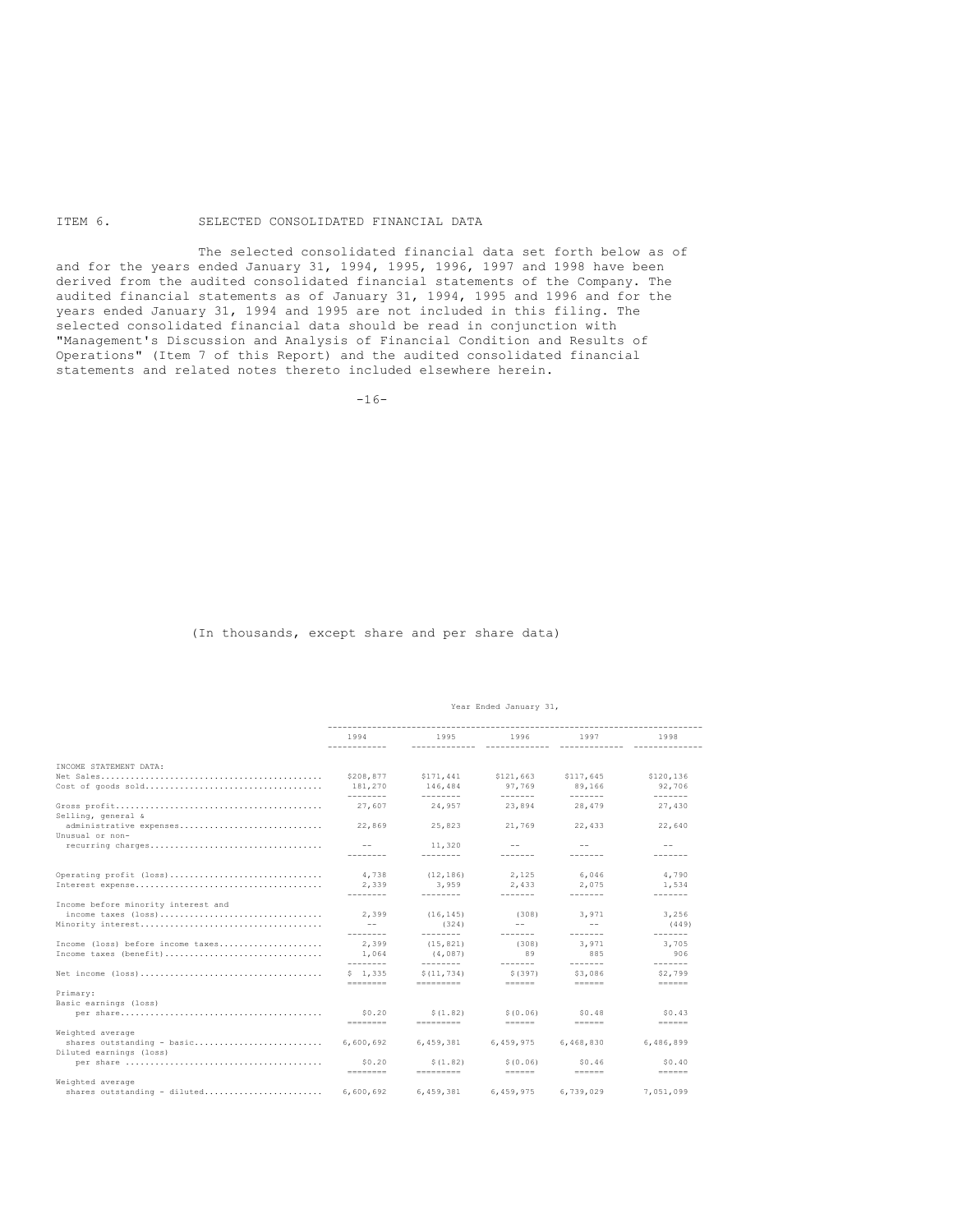## ITEM 6. SELECTED CONSOLIDATED FINANCIAL DATA

The selected consolidated financial data set forth below as of and for the years ended January 31, 1994, 1995, 1996, 1997 and 1998 have been derived from the audited consolidated financial statements of the Company. The audited financial statements as of January 31, 1994, 1995 and 1996 and for the years ended January 31, 1994 and 1995 are not included in this filing. The selected consolidated financial data should be read in conjunction with "Management's Discussion and Analysis of Financial Condition and Results of Operations" (Item 7 of this Report) and the audited consolidated financial statements and related notes thereto included elsewhere herein.

 $-16-$ 

#### (In thousands, except share and per share data)

#### Year Ended January 31,

|                                                                                                                      | 1994<br>------------ | 1995                   | 1996                                                             | 1997            | 1998                                                             |
|----------------------------------------------------------------------------------------------------------------------|----------------------|------------------------|------------------------------------------------------------------|-----------------|------------------------------------------------------------------|
| INCOME STATEMENT DATA:                                                                                               |                      |                        |                                                                  |                 |                                                                  |
|                                                                                                                      | \$208,877            | \$171,441              | \$121,663                                                        | \$117,645       | \$120.136                                                        |
| Cost of goods sold                                                                                                   | 181,270              | 146,484                | 97.769                                                           | 89.166          | 92,706                                                           |
|                                                                                                                      | ---------            | ---------              | $- - - - - - -$                                                  | $- - - - - - -$ | $- - - - - - -$                                                  |
| Selling, general &                                                                                                   | 27.607               | 24.957                 | 23,894                                                           | 28,479          | 27.430                                                           |
| administrative expenses<br>Unusual or non-                                                                           | 22,869               | 25,823                 | 21.769                                                           | 22,433          | 22,640                                                           |
| recurring charges                                                                                                    |                      | 11,320                 | $- -$                                                            | $- -$           | $- -$                                                            |
|                                                                                                                      |                      | --------               |                                                                  |                 |                                                                  |
| Operating profit (loss)                                                                                              | 4,738                | (12, 186)              | 2.125                                                            | 6,046           | 4,790                                                            |
|                                                                                                                      | 2.339                | 3,959                  | 2.433                                                            | 2.075           | 1,534                                                            |
|                                                                                                                      | --------             | --------               | -------                                                          | -------         | -------                                                          |
| Income before minority interest and                                                                                  |                      |                        |                                                                  |                 |                                                                  |
| income taxes (loss)                                                                                                  | 2,399                | (16, 145)              | (308)                                                            | 3,971           | 3,256                                                            |
|                                                                                                                      | $- -$                | (324)                  | $- -$                                                            | $ -$            | (449)                                                            |
|                                                                                                                      | --------             | --------               | -------                                                          | -------         | -------                                                          |
| Income (loss) before income taxes                                                                                    | 2.399                | (15.821)               | (308)                                                            | 3.971           | 3.705                                                            |
| Income taxes (benefit)                                                                                               | 1,064                | (4.087)                | 89                                                               | 885             | 906                                                              |
|                                                                                                                      | ---------            | ---------              | -------                                                          | -------         | -------                                                          |
| Net income $(\text{loss}), \ldots, \text{S}, \ldots, \text{S}, \ldots, \text{S}, \ldots, \text{S}, \ldots, \text{S}$ | \$1.335              | \$(11.734)             | \$(397)                                                          | \$3,086         | \$2,799                                                          |
|                                                                                                                      | --------             | ----------             |                                                                  |                 | $\qquad \qquad \equiv \equiv \equiv \equiv \equiv \equiv \equiv$ |
| Primary:                                                                                                             |                      |                        |                                                                  |                 |                                                                  |
| Basic earnings (loss)                                                                                                |                      |                        |                                                                  |                 |                                                                  |
|                                                                                                                      | \$0.20               | \$(1.82)               | \$(0.06)                                                         | \$0.48          | \$0.43                                                           |
|                                                                                                                      | --------             |                        | $\qquad \qquad \equiv \equiv \equiv \equiv \equiv \equiv \equiv$ |                 |                                                                  |
| Weighted average                                                                                                     |                      |                        |                                                                  |                 |                                                                  |
| shares outstanding - basic                                                                                           | 6.600.692            | 6.459.381              | 6.459.975                                                        | 6,468,830       | 6.486.899                                                        |
| Diluted earnings (loss)                                                                                              |                      |                        |                                                                  |                 |                                                                  |
|                                                                                                                      | \$0.20<br>--------   | \$(1.82)<br>---------- | \$(0.06)<br>$\frac{1}{2}$                                        | \$0.46          | \$0.40<br>$=$ = = = = =                                          |
| Weighted average                                                                                                     |                      |                        |                                                                  |                 |                                                                  |
| shares outstanding - diluted                                                                                         | 6,600,692            | 6.459.381              | 6.459.975                                                        | 6.739.029       | 7,051,099                                                        |
|                                                                                                                      |                      |                        |                                                                  |                 |                                                                  |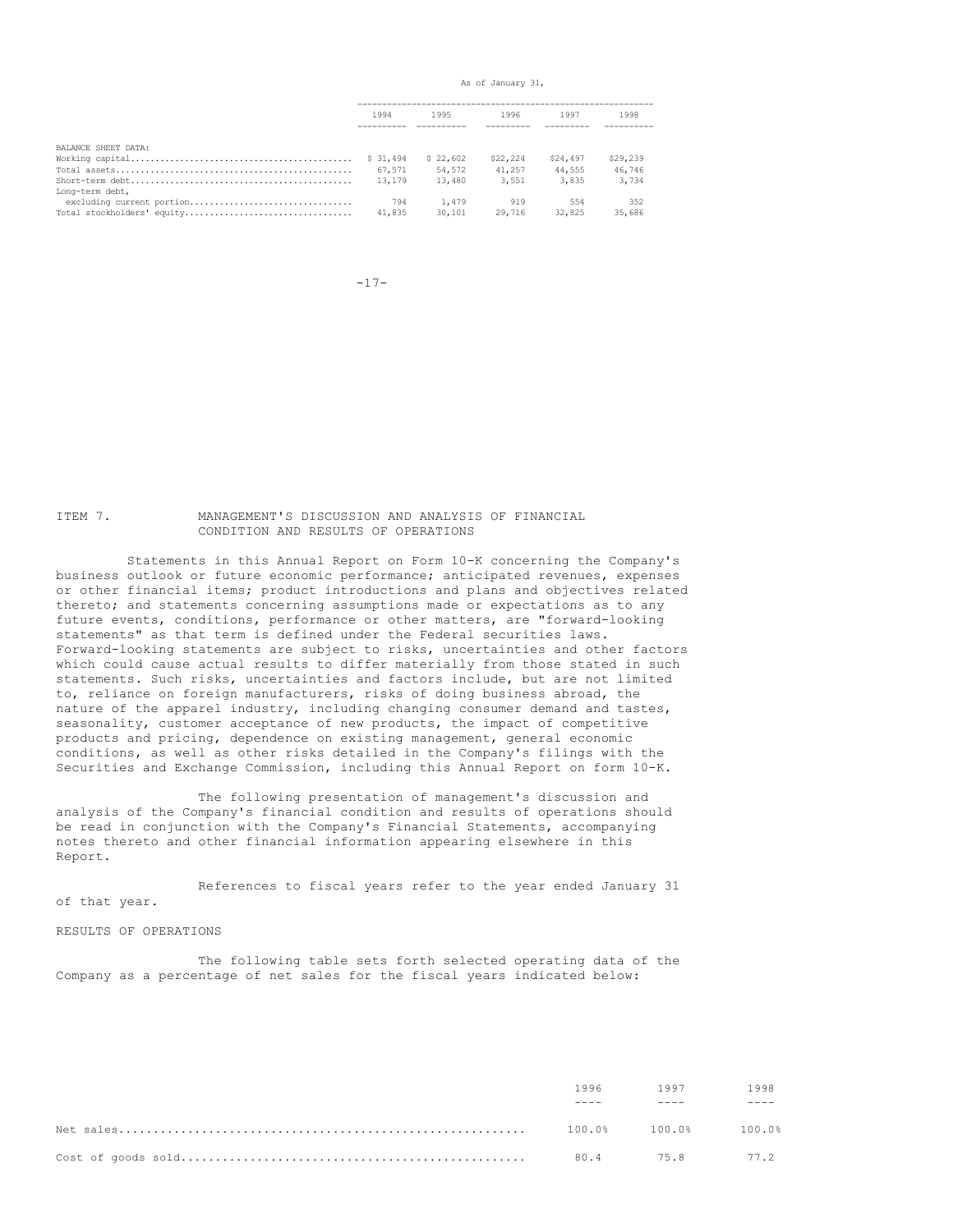As of January 31,

|                            | 1994     | 1995     | 1996     | 1997     | 1998     |
|----------------------------|----------|----------|----------|----------|----------|
|                            |          |          |          |          |          |
| BALANCE SHEET DATA:        |          |          |          |          |          |
|                            | \$31,494 | \$22,602 | \$22,224 | \$24,497 | \$29,239 |
|                            | 67,571   | 54,572   | 41,257   | 44,555   | 46,746   |
|                            | 13,179   | 13,480   | 3,551    | 3,835    | 3,734    |
| Long-term debt,            |          |          |          |          |          |
| excluding current portion  | 794      | 1,479    | 919      | 554      | 352      |
| Total stockholders' equity | 41,835   | 30,101   | 29,716   | 32,825   | 35,686   |

-17-

#### ITEM 7. MANAGEMENT'S DISCUSSION AND ANALYSIS OF FINANCIAL CONDITION AND RESULTS OF OPERATIONS

Statements in this Annual Report on Form 10-K concerning the Company's business outlook or future economic performance; anticipated revenues, expenses or other financial items; product introductions and plans and objectives related thereto; and statements concerning assumptions made or expectations as to any future events, conditions, performance or other matters, are "forward-looking statements" as that term is defined under the Federal securities laws. Forward-looking statements are subject to risks, uncertainties and other factors which could cause actual results to differ materially from those stated in such statements. Such risks, uncertainties and factors include, but are not limited to, reliance on foreign manufacturers, risks of doing business abroad, the nature of the apparel industry, including changing consumer demand and tastes, seasonality, customer acceptance of new products, the impact of competitive products and pricing, dependence on existing management, general economic conditions, as well as other risks detailed in the Company's filings with the Securities and Exchange Commission, including this Annual Report on form 10-K.

The following presentation of management's discussion and analysis of the Company's financial condition and results of operations should be read in conjunction with the Company's Financial Statements, accompanying notes thereto and other financial information appearing elsewhere in this Report.

References to fiscal years refer to the year ended January 31 of that year.

RESULTS OF OPERATIONS

The following table sets forth selected operating data of the Company as a percentage of net sales for the fiscal years indicated below:

| 1996 - | 1997                       | 1998 |
|--------|----------------------------|------|
|        |                            |      |
|        | $100.0%$ $100.0%$ $100.0%$ |      |
|        | 80.4 75.8 77.2             |      |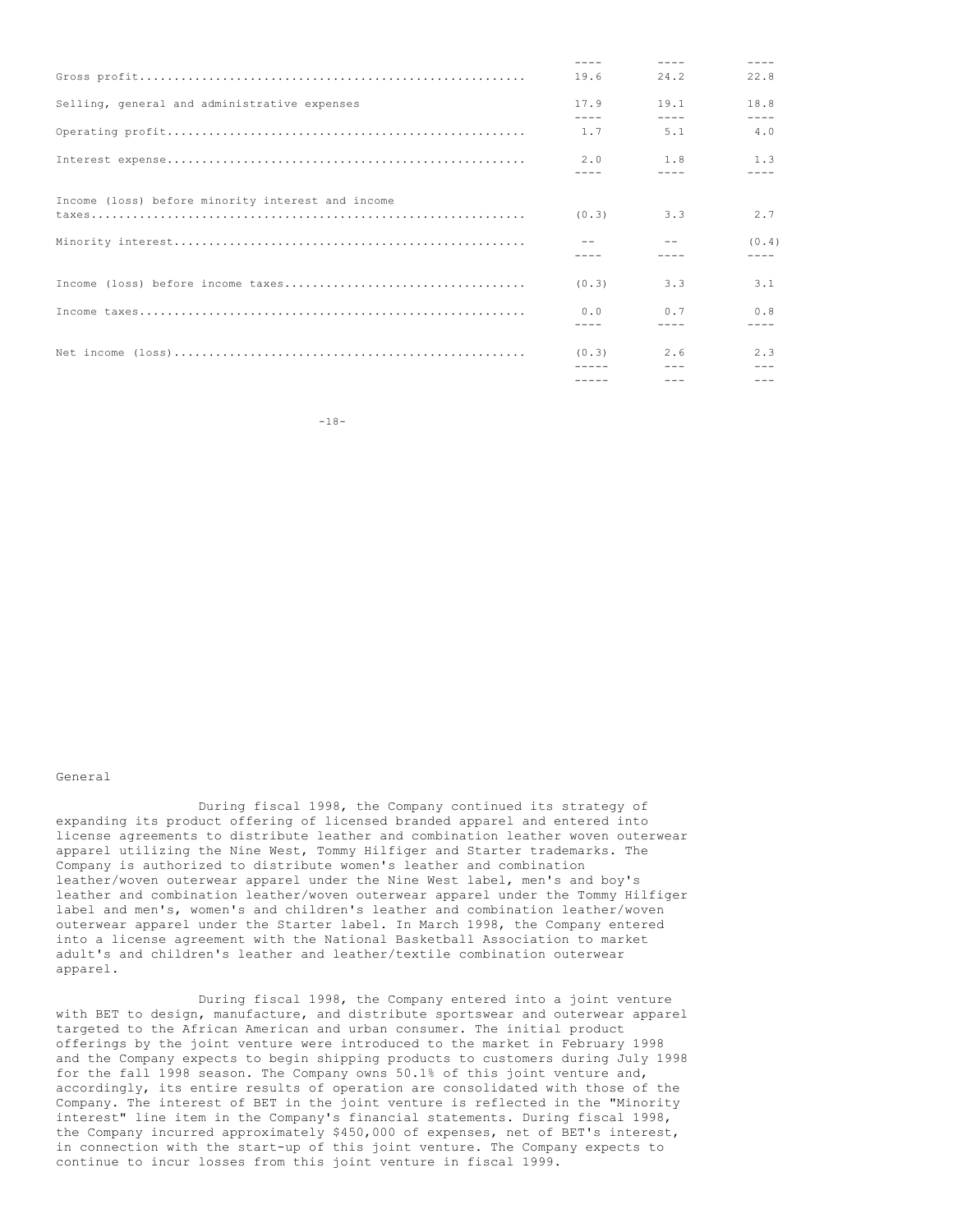|                                                                                                                      | 19.6             | 24.2                     | 22.8               |
|----------------------------------------------------------------------------------------------------------------------|------------------|--------------------------|--------------------|
| Selling, general and administrative expenses                                                                         | 17.9             | 19.1                     | 18.8               |
|                                                                                                                      | $- - - -$<br>1.7 | $- - - - -$<br>5.1       | 4.0                |
|                                                                                                                      | 2.0              | 1.8                      | 1.3                |
|                                                                                                                      |                  |                          |                    |
| Income (loss) before minority interest and income                                                                    | (0.3)            | 3.3                      | 2.7                |
|                                                                                                                      |                  |                          | (0.4)<br>$- - - -$ |
|                                                                                                                      | (0, 3)           | 3.3                      | 3.1                |
|                                                                                                                      | 0.0              | 0.7                      | 0.8                |
|                                                                                                                      |                  |                          |                    |
| Net income $(\text{loss}) \dots \dots \dots \dots \dots \dots \dots \dots \dots \dots \dots \dots \dots \dots \dots$ | (0.3)            | 2.6                      | 2.3                |
|                                                                                                                      | $- - - - -$      | $\frac{1}{2}$<br>$- - -$ | $- - -$            |

-18-

## General

During fiscal 1998, the Company continued its strategy of expanding its product offering of licensed branded apparel and entered into license agreements to distribute leather and combination leather woven outerwear apparel utilizing the Nine West, Tommy Hilfiger and Starter trademarks. The Company is authorized to distribute women's leather and combination leather/woven outerwear apparel under the Nine West label, men's and boy's leather and combination leather/woven outerwear apparel under the Tommy Hilfiger label and men's, women's and children's leather and combination leather/woven outerwear apparel under the Starter label. In March 1998, the Company entered into a license agreement with the National Basketball Association to market adult's and children's leather and leather/textile combination outerwear apparel.

During fiscal 1998, the Company entered into a joint venture with BET to design, manufacture, and distribute sportswear and outerwear apparel targeted to the African American and urban consumer. The initial product offerings by the joint venture were introduced to the market in February 1998 and the Company expects to begin shipping products to customers during July 1998 for the fall 1998 season. The Company owns 50.1% of this joint venture and, accordingly, its entire results of operation are consolidated with those of the Company. The interest of BET in the joint venture is reflected in the "Minority interest" line item in the Company's financial statements. During fiscal 1998, the Company incurred approximately \$450,000 of expenses, net of BET's interest, in connection with the start-up of this joint venture. The Company expects to continue to incur losses from this joint venture in fiscal 1999.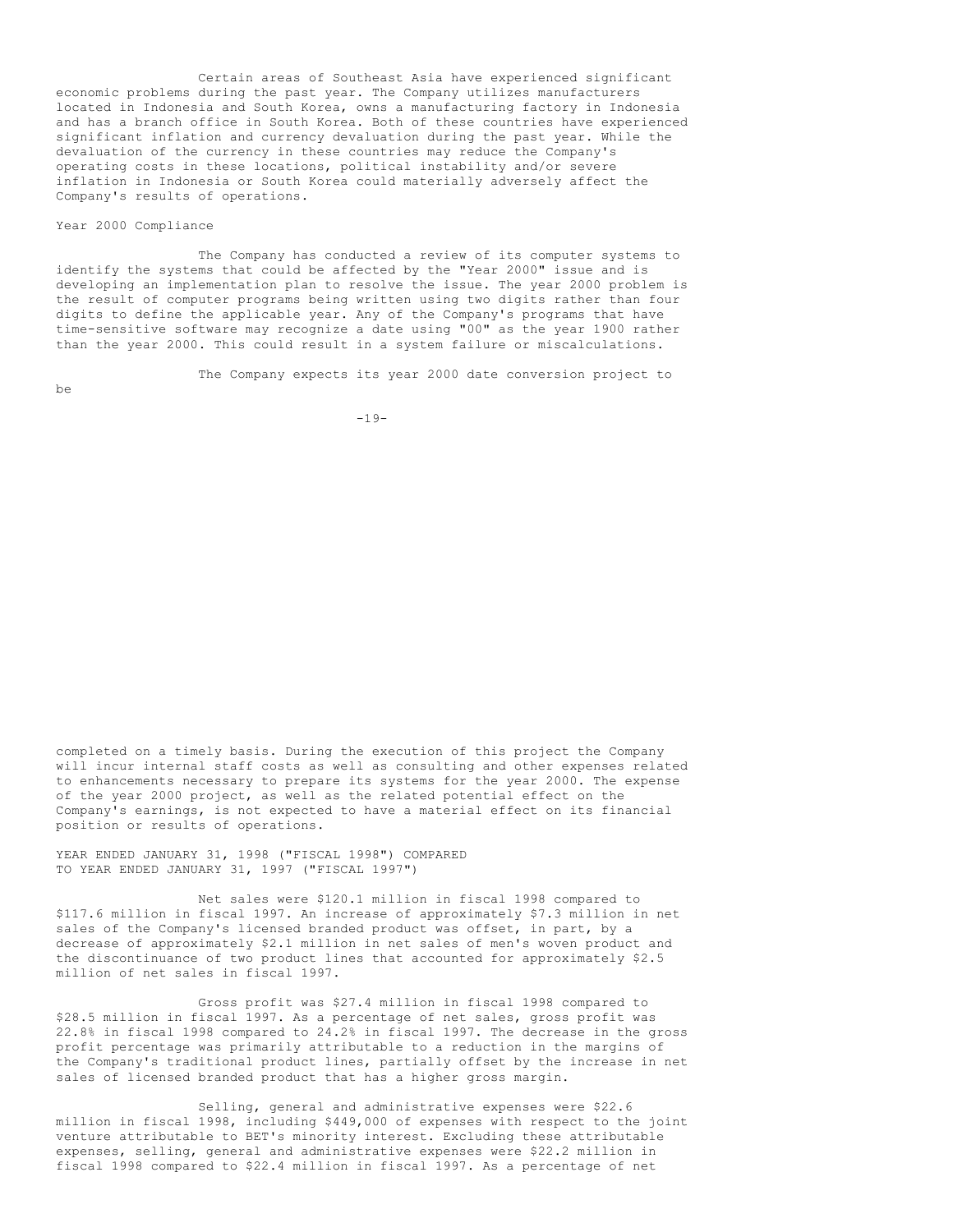Certain areas of Southeast Asia have experienced significant economic problems during the past year. The Company utilizes manufacturers located in Indonesia and South Korea, owns a manufacturing factory in Indonesia and has a branch office in South Korea. Both of these countries have experienced significant inflation and currency devaluation during the past year. While the devaluation of the currency in these countries may reduce the Company's operating costs in these locations, political instability and/or severe inflation in Indonesia or South Korea could materially adversely affect the Company's results of operations.

## Year 2000 Compliance

The Company has conducted a review of its computer systems to identify the systems that could be affected by the "Year 2000" issue and is developing an implementation plan to resolve the issue. The year 2000 problem is the result of computer programs being written using two digits rather than four digits to define the applicable year. Any of the Company's programs that have time-sensitive software may recognize a date using "00" as the year 1900 rather than the year 2000. This could result in a system failure or miscalculations.

The Company expects its year 2000 date conversion project to

be

 $-19-$ 

completed on a timely basis. During the execution of this project the Company will incur internal staff costs as well as consulting and other expenses related to enhancements necessary to prepare its systems for the year 2000. The expense of the year 2000 project, as well as the related potential effect on the Company's earnings, is not expected to have a material effect on its financial position or results of operations.

YEAR ENDED JANUARY 31, 1998 ("FISCAL 1998") COMPARED TO YEAR ENDED JANUARY 31, 1997 ("FISCAL 1997")

Net sales were \$120.1 million in fiscal 1998 compared to \$117.6 million in fiscal 1997. An increase of approximately \$7.3 million in net sales of the Company's licensed branded product was offset, in part, by a decrease of approximately \$2.1 million in net sales of men's woven product and the discontinuance of two product lines that accounted for approximately \$2.5 million of net sales in fiscal 1997.

Gross profit was \$27.4 million in fiscal 1998 compared to \$28.5 million in fiscal 1997. As a percentage of net sales, gross profit was 22.8% in fiscal 1998 compared to 24.2% in fiscal 1997. The decrease in the gross profit percentage was primarily attributable to a reduction in the margins of the Company's traditional product lines, partially offset by the increase in net sales of licensed branded product that has a higher gross margin.

Selling, general and administrative expenses were \$22.6 million in fiscal 1998, including \$449,000 of expenses with respect to the joint venture attributable to BET's minority interest. Excluding these attributable expenses, selling, general and administrative expenses were \$22.2 million in fiscal 1998 compared to \$22.4 million in fiscal 1997. As a percentage of net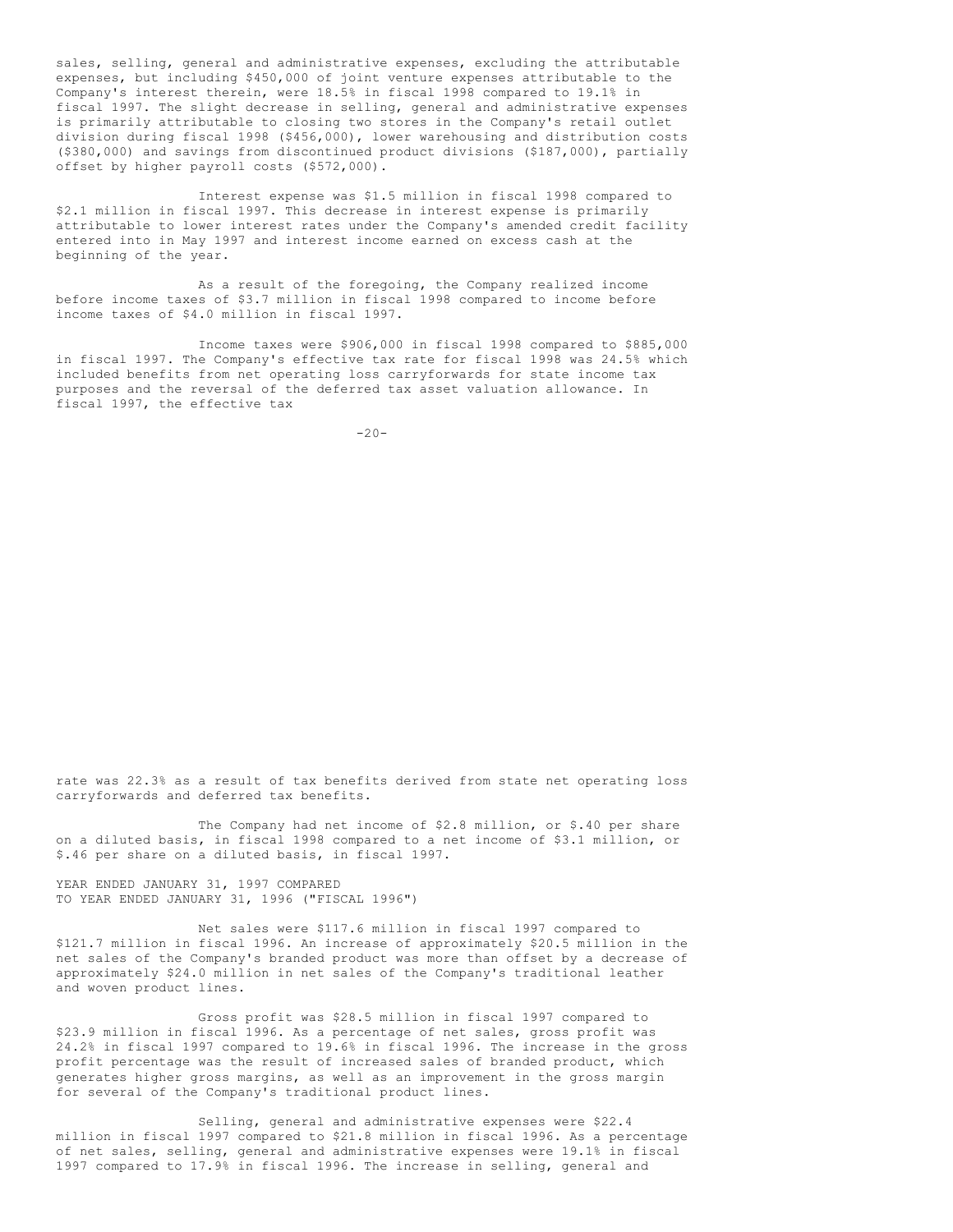sales, selling, general and administrative expenses, excluding the attributable expenses, but including \$450,000 of joint venture expenses attributable to the Company's interest therein, were 18.5% in fiscal 1998 compared to 19.1% in fiscal 1997. The slight decrease in selling, general and administrative expenses is primarily attributable to closing two stores in the Company's retail outlet division during fiscal 1998 (\$456,000), lower warehousing and distribution costs (\$380,000) and savings from discontinued product divisions (\$187,000), partially offset by higher payroll costs (\$572,000).

Interest expense was \$1.5 million in fiscal 1998 compared to \$2.1 million in fiscal 1997. This decrease in interest expense is primarily attributable to lower interest rates under the Company's amended credit facility entered into in May 1997 and interest income earned on excess cash at the beginning of the year.

As a result of the foregoing, the Company realized income before income taxes of \$3.7 million in fiscal 1998 compared to income before income taxes of \$4.0 million in fiscal 1997.

Income taxes were \$906,000 in fiscal 1998 compared to \$885,000 in fiscal 1997. The Company's effective tax rate for fiscal 1998 was 24.5% which included benefits from net operating loss carryforwards for state income tax purposes and the reversal of the deferred tax asset valuation allowance. In fiscal 1997, the effective tax

 $-20-$ 

rate was 22.3% as a result of tax benefits derived from state net operating loss carryforwards and deferred tax benefits.

The Company had net income of \$2.8 million, or \$.40 per share on a diluted basis, in fiscal 1998 compared to a net income of \$3.1 million, or \$.46 per share on a diluted basis, in fiscal 1997.

YEAR ENDED JANUARY 31, 1997 COMPARED TO YEAR ENDED JANUARY 31, 1996 ("FISCAL 1996")

Net sales were \$117.6 million in fiscal 1997 compared to \$121.7 million in fiscal 1996. An increase of approximately \$20.5 million in the net sales of the Company's branded product was more than offset by a decrease of approximately \$24.0 million in net sales of the Company's traditional leather and woven product lines.

Gross profit was \$28.5 million in fiscal 1997 compared to \$23.9 million in fiscal 1996. As a percentage of net sales, gross profit was 24.2% in fiscal 1997 compared to 19.6% in fiscal 1996. The increase in the gross profit percentage was the result of increased sales of branded product, which generates higher gross margins, as well as an improvement in the gross margin for several of the Company's traditional product lines.

Selling, general and administrative expenses were \$22.4 million in fiscal 1997 compared to \$21.8 million in fiscal 1996. As a percentage of net sales, selling, general and administrative expenses were 19.1% in fiscal 1997 compared to 17.9% in fiscal 1996. The increase in selling, general and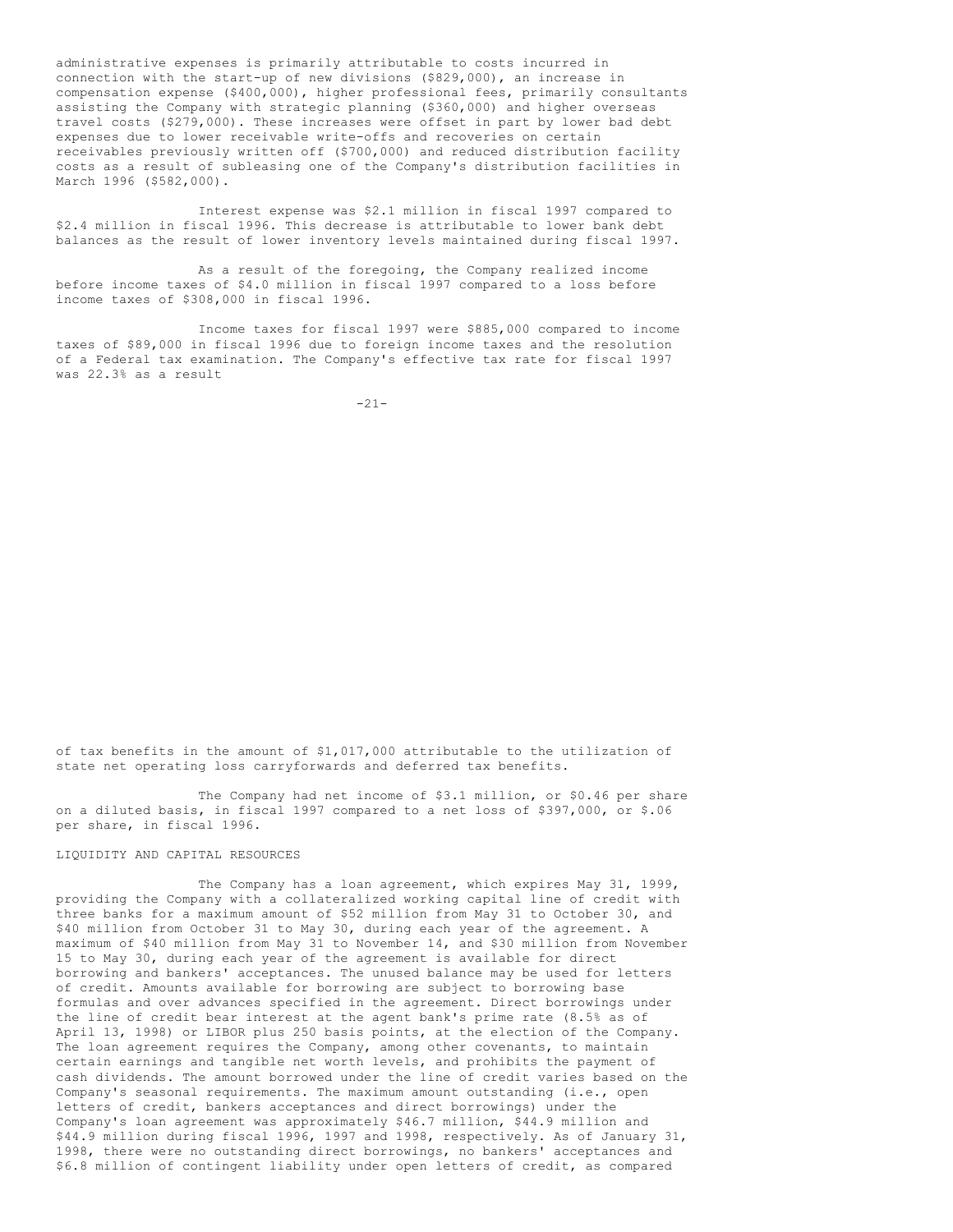administrative expenses is primarily attributable to costs incurred in connection with the start-up of new divisions (\$829,000), an increase in compensation expense (\$400,000), higher professional fees, primarily consultants assisting the Company with strategic planning (\$360,000) and higher overseas travel costs (\$279,000). These increases were offset in part by lower bad debt expenses due to lower receivable write-offs and recoveries on certain receivables previously written off (\$700,000) and reduced distribution facility costs as a result of subleasing one of the Company's distribution facilities in March 1996 (\$582,000).

Interest expense was \$2.1 million in fiscal 1997 compared to \$2.4 million in fiscal 1996. This decrease is attributable to lower bank debt balances as the result of lower inventory levels maintained during fiscal 1997.

As a result of the foregoing, the Company realized income before income taxes of \$4.0 million in fiscal 1997 compared to a loss before income taxes of \$308,000 in fiscal 1996.

Income taxes for fiscal 1997 were \$885,000 compared to income taxes of \$89,000 in fiscal 1996 due to foreign income taxes and the resolution of a Federal tax examination. The Company's effective tax rate for fiscal 1997 was 22.3% as a result

 $-21-$ 

of tax benefits in the amount of \$1,017,000 attributable to the utilization of state net operating loss carryforwards and deferred tax benefits.

The Company had net income of \$3.1 million, or \$0.46 per share on a diluted basis, in fiscal 1997 compared to a net loss of \$397,000, or \$.06 per share, in fiscal 1996.

## LIQUIDITY AND CAPITAL RESOURCES

The Company has a loan agreement, which expires May 31, 1999, providing the Company with a collateralized working capital line of credit with three banks for a maximum amount of \$52 million from May 31 to October 30, and \$40 million from October 31 to May 30, during each year of the agreement. A maximum of \$40 million from May 31 to November 14, and \$30 million from November 15 to May 30, during each year of the agreement is available for direct borrowing and bankers' acceptances. The unused balance may be used for letters of credit. Amounts available for borrowing are subject to borrowing base formulas and over advances specified in the agreement. Direct borrowings under the line of credit bear interest at the agent bank's prime rate (8.5% as of April 13, 1998) or LIBOR plus 250 basis points, at the election of the Company. The loan agreement requires the Company, among other covenants, to maintain certain earnings and tangible net worth levels, and prohibits the payment of cash dividends. The amount borrowed under the line of credit varies based on the Company's seasonal requirements. The maximum amount outstanding (i.e., open letters of credit, bankers acceptances and direct borrowings) under the Company's loan agreement was approximately \$46.7 million, \$44.9 million and \$44.9 million during fiscal 1996, 1997 and 1998, respectively. As of January 31, 1998, there were no outstanding direct borrowings, no bankers' acceptances and \$6.8 million of contingent liability under open letters of credit, as compared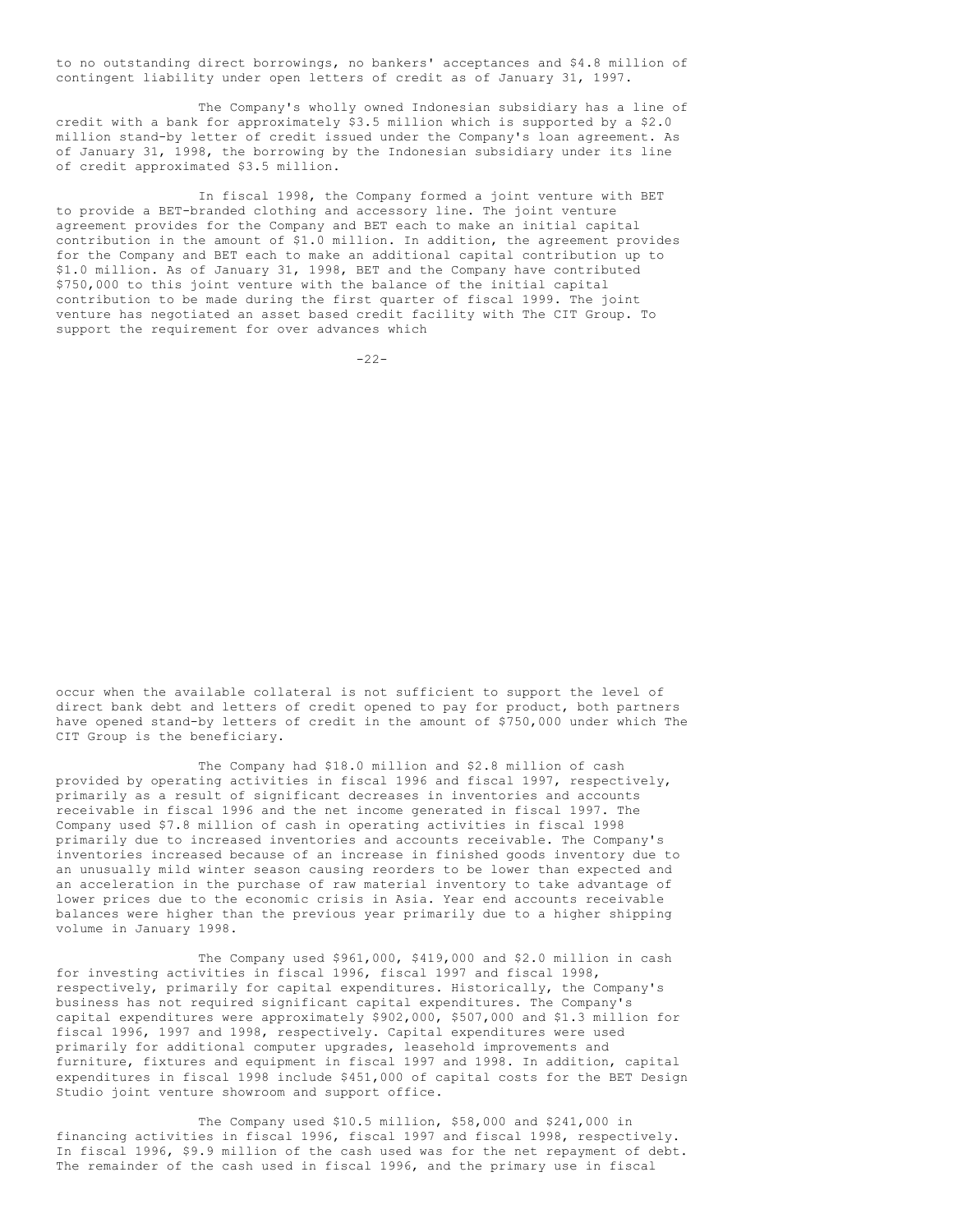to no outstanding direct borrowings, no bankers' acceptances and \$4.8 million of contingent liability under open letters of credit as of January 31, 1997.

The Company's wholly owned Indonesian subsidiary has a line of credit with a bank for approximately \$3.5 million which is supported by a \$2.0 million stand-by letter of credit issued under the Company's loan agreement. As of January 31, 1998, the borrowing by the Indonesian subsidiary under its line of credit approximated \$3.5 million.

In fiscal 1998, the Company formed a joint venture with BET to provide a BET-branded clothing and accessory line. The joint venture agreement provides for the Company and BET each to make an initial capital contribution in the amount of \$1.0 million. In addition, the agreement provides for the Company and BET each to make an additional capital contribution up to \$1.0 million. As of January 31, 1998, BET and the Company have contributed \$750,000 to this joint venture with the balance of the initial capital contribution to be made during the first quarter of fiscal 1999. The joint venture has negotiated an asset based credit facility with The CIT Group. To support the requirement for over advances which

 $-22-$ 

occur when the available collateral is not sufficient to support the level of direct bank debt and letters of credit opened to pay for product, both partners have opened stand-by letters of credit in the amount of \$750,000 under which The CIT Group is the beneficiary.

The Company had \$18.0 million and \$2.8 million of cash provided by operating activities in fiscal 1996 and fiscal 1997, respectively, primarily as a result of significant decreases in inventories and accounts receivable in fiscal 1996 and the net income generated in fiscal 1997. The Company used \$7.8 million of cash in operating activities in fiscal 1998 primarily due to increased inventories and accounts receivable. The Company's inventories increased because of an increase in finished goods inventory due to an unusually mild winter season causing reorders to be lower than expected and an acceleration in the purchase of raw material inventory to take advantage of lower prices due to the economic crisis in Asia. Year end accounts receivable balances were higher than the previous year primarily due to a higher shipping volume in January 1998.

The Company used \$961,000, \$419,000 and \$2.0 million in cash for investing activities in fiscal 1996, fiscal 1997 and fiscal 1998, respectively, primarily for capital expenditures. Historically, the Company's business has not required significant capital expenditures. The Company's capital expenditures were approximately \$902,000, \$507,000 and \$1.3 million for fiscal 1996, 1997 and 1998, respectively. Capital expenditures were used primarily for additional computer upgrades, leasehold improvements and furniture, fixtures and equipment in fiscal 1997 and 1998. In addition, capital expenditures in fiscal 1998 include \$451,000 of capital costs for the BET Design Studio joint venture showroom and support office.

The Company used \$10.5 million, \$58,000 and \$241,000 in financing activities in fiscal 1996, fiscal 1997 and fiscal 1998, respectively. In fiscal 1996, \$9.9 million of the cash used was for the net repayment of debt. The remainder of the cash used in fiscal 1996, and the primary use in fiscal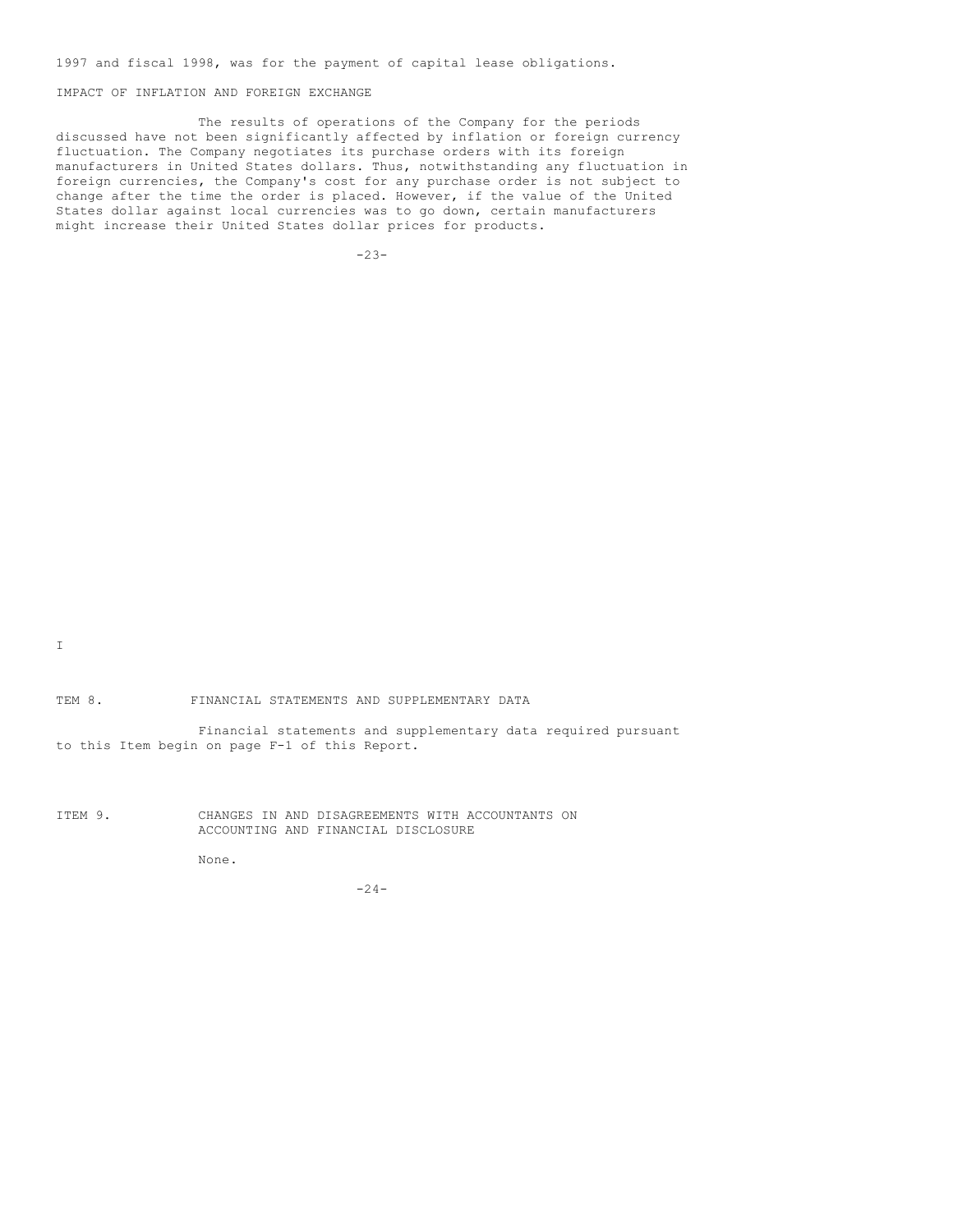1997 and fiscal 1998, was for the payment of capital lease obligations.

IMPACT OF INFLATION AND FOREIGN EXCHANGE

The results of operations of the Company for the periods discussed have not been significantly affected by inflation or foreign currency fluctuation. The Company negotiates its purchase orders with its foreign manufacturers in United States dollars. Thus, notwithstanding any fluctuation in foreign currencies, the Company's cost for any purchase order is not subject to change after the time the order is placed. However, if the value of the United States dollar against local currencies was to go down, certain manufacturers might increase their United States dollar prices for products.

-23-

I

TEM 8. FINANCIAL STATEMENTS AND SUPPLEMENTARY DATA

Financial statements and supplementary data required pursuant to this Item begin on page F-1 of this Report.

ITEM 9. CHANGES IN AND DISAGREEMENTS WITH ACCOUNTANTS ON ACCOUNTING AND FINANCIAL DISCLOSURE

None.

-24-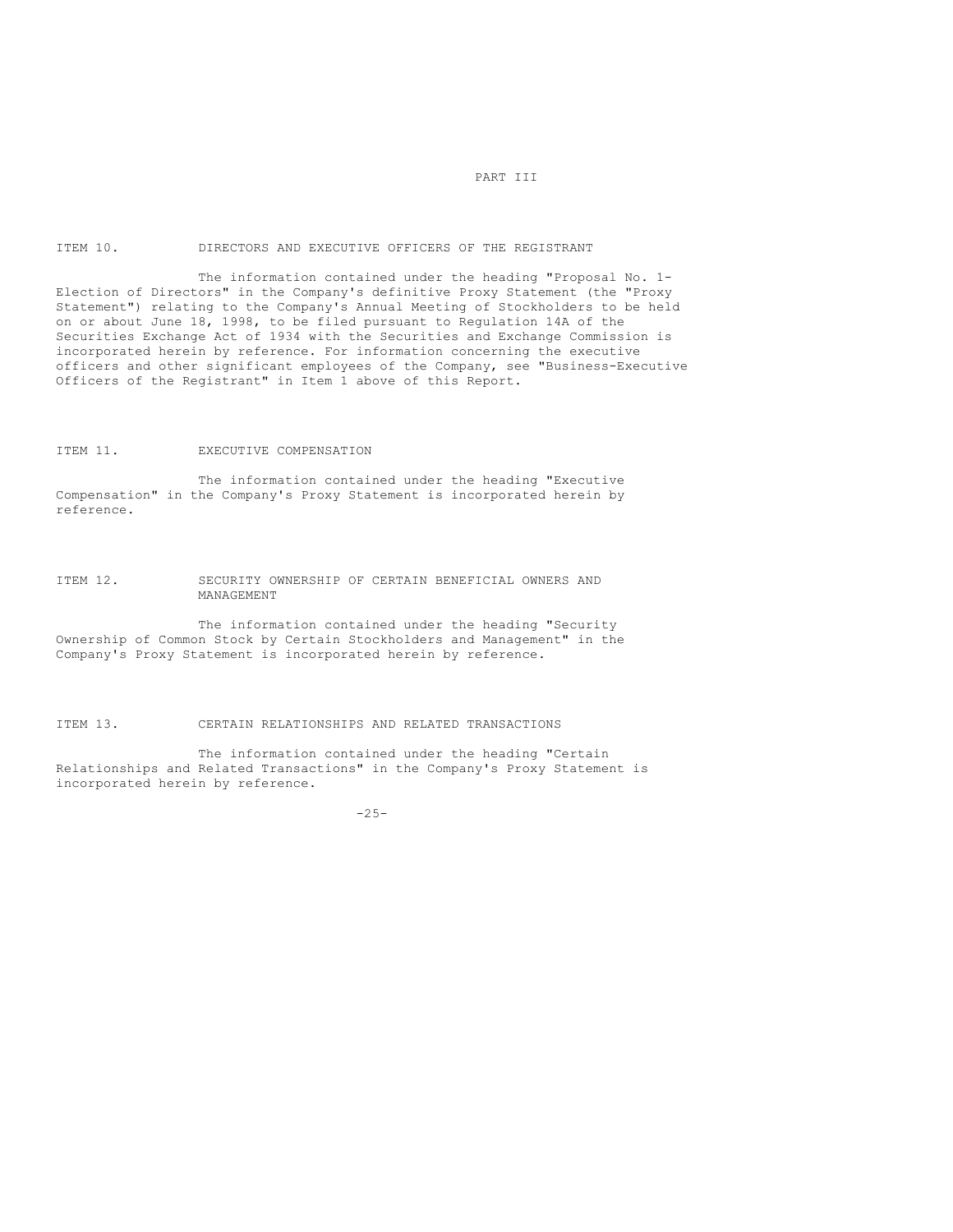## PART III

## ITEM 10. DIRECTORS AND EXECUTIVE OFFICERS OF THE REGISTRANT

The information contained under the heading "Proposal No. 1- Election of Directors" in the Company's definitive Proxy Statement (the "Proxy Statement") relating to the Company's Annual Meeting of Stockholders to be held on or about June 18, 1998, to be filed pursuant to Regulation 14A of the Securities Exchange Act of 1934 with the Securities and Exchange Commission is incorporated herein by reference. For information concerning the executive officers and other significant employees of the Company, see "Business-Executive Officers of the Registrant" in Item 1 above of this Report.

#### ITEM 11. EXECUTIVE COMPENSATION

The information contained under the heading "Executive Compensation" in the Company's Proxy Statement is incorporated herein by reference.

## ITEM 12. SECURITY OWNERSHIP OF CERTAIN BENEFICIAL OWNERS AND MANAGEMENT

The information contained under the heading "Security Ownership of Common Stock by Certain Stockholders and Management" in the Company's Proxy Statement is incorporated herein by reference.

## ITEM 13. CERTAIN RELATIONSHIPS AND RELATED TRANSACTIONS

The information contained under the heading "Certain Relationships and Related Transactions" in the Company's Proxy Statement is incorporated herein by reference.

-25-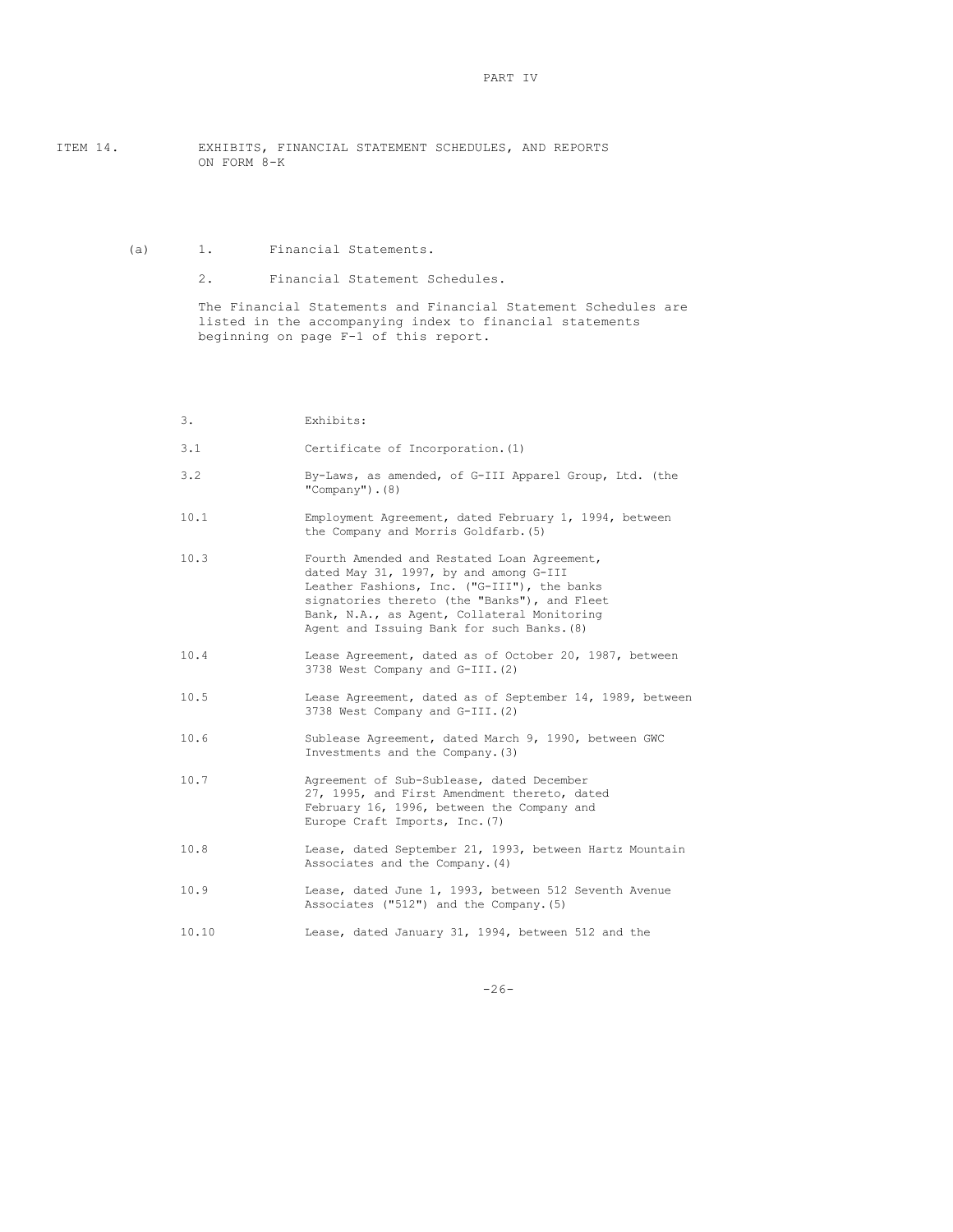ITEM 14. EXHIBITS, FINANCIAL STATEMENT SCHEDULES, AND REPORTS ON FORM 8-K

(a) 1. Financial Statements.

2. Financial Statement Schedules.

The Financial Statements and Financial Statement Schedules are listed in the accompanying index to financial statements beginning on page F-1 of this report.

| 3.    | Exhibits:                                                                                                                                                                                                                                                                         |
|-------|-----------------------------------------------------------------------------------------------------------------------------------------------------------------------------------------------------------------------------------------------------------------------------------|
| 3.1   | Certificate of Incorporation. (1)                                                                                                                                                                                                                                                 |
| 3.2   | By-Laws, as amended, of G-III Apparel Group, Ltd. (the<br>"Company"). $(8)$                                                                                                                                                                                                       |
| 10.1  | Employment Agreement, dated February 1, 1994, between<br>the Company and Morris Goldfarb. (5)                                                                                                                                                                                     |
| 10.3  | Fourth Amended and Restated Loan Agreement,<br>dated May 31, 1997, by and among G-III<br>Leather Fashions, Inc. ("G-III"), the banks<br>signatories thereto (the "Banks"), and Fleet<br>Bank, N.A., as Agent, Collateral Monitoring<br>Agent and Issuing Bank for such Banks. (8) |
| 10.4  | Lease Agreement, dated as of October 20, 1987, between<br>3738 West Company and G-III. (2)                                                                                                                                                                                        |
| 10.5  | Lease Agreement, dated as of September 14, 1989, between<br>3738 West Company and G-III. (2)                                                                                                                                                                                      |
| 10.6  | Sublease Agreement, dated March 9, 1990, between GWC<br>Investments and the Company. (3)                                                                                                                                                                                          |
| 10.7  | Agreement of Sub-Sublease, dated December<br>27, 1995, and First Amendment thereto, dated<br>February 16, 1996, between the Company and<br>Europe Craft Imports, Inc. (7)                                                                                                         |
| 10.8  | Lease, dated September 21, 1993, between Hartz Mountain<br>Associates and the Company. (4)                                                                                                                                                                                        |
| 10.9  | Lease, dated June 1, 1993, between 512 Seventh Avenue<br>Associates ("512") and the Company. (5)                                                                                                                                                                                  |
| 10.10 | Lease, dated January 31, 1994, between 512 and the                                                                                                                                                                                                                                |

-26-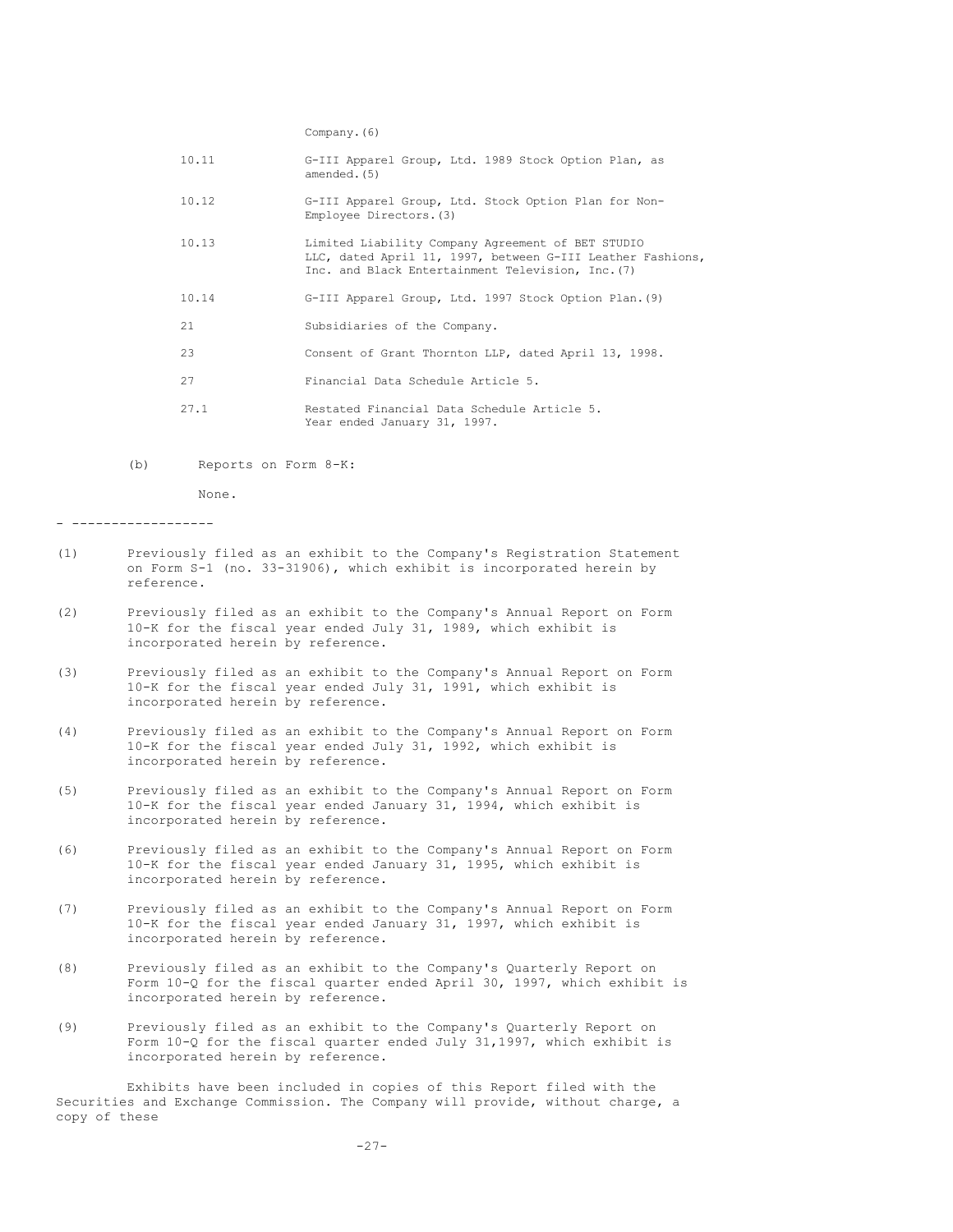Company.(6)

| 10.11 | G-III Apparel Group, Ltd. 1989 Stock Option Plan, as<br>amended. (5)                                                                                                 |
|-------|----------------------------------------------------------------------------------------------------------------------------------------------------------------------|
| 10.12 | G-III Apparel Group, Ltd. Stock Option Plan for Non-<br>Employee Directors. (3)                                                                                      |
| 10.13 | Limited Liability Company Agreement of BET STUDIO<br>LLC, dated April 11, 1997, between G-III Leather Fashions,<br>Inc. and Black Entertainment Television, Inc. (7) |
| 10.14 | G-III Apparel Group, Ltd. 1997 Stock Option Plan. (9)                                                                                                                |
| 21    | Subsidiaries of the Company.                                                                                                                                         |
| 23    | Consent of Grant Thornton LLP, dated April 13, 1998.                                                                                                                 |
| 27    | Financial Data Schedule Article 5.                                                                                                                                   |
| 27.1  | Restated Financial Data Schedule Article 5.<br>Year ended January 31, 1997.                                                                                          |

(b) Reports on Form 8-K:

None.

- ------------------

- (1) Previously filed as an exhibit to the Company's Registration Statement on Form S-1 (no. 33-31906), which exhibit is incorporated herein by reference.
- (2) Previously filed as an exhibit to the Company's Annual Report on Form 10-K for the fiscal year ended July 31, 1989, which exhibit is incorporated herein by reference.
- (3) Previously filed as an exhibit to the Company's Annual Report on Form 10-K for the fiscal year ended July 31, 1991, which exhibit is incorporated herein by reference.
- (4) Previously filed as an exhibit to the Company's Annual Report on Form 10-K for the fiscal year ended July 31, 1992, which exhibit is incorporated herein by reference.
- (5) Previously filed as an exhibit to the Company's Annual Report on Form 10-K for the fiscal year ended January 31, 1994, which exhibit is incorporated herein by reference.
- (6) Previously filed as an exhibit to the Company's Annual Report on Form 10-K for the fiscal year ended January 31, 1995, which exhibit is incorporated herein by reference.
- (7) Previously filed as an exhibit to the Company's Annual Report on Form 10-K for the fiscal year ended January 31, 1997, which exhibit is incorporated herein by reference.
- (8) Previously filed as an exhibit to the Company's Quarterly Report on Form 10-Q for the fiscal quarter ended April 30, 1997, which exhibit is incorporated herein by reference.
- (9) Previously filed as an exhibit to the Company's Quarterly Report on Form 10-Q for the fiscal quarter ended July 31,1997, which exhibit is incorporated herein by reference.

Exhibits have been included in copies of this Report filed with the Securities and Exchange Commission. The Company will provide, without charge, a copy of these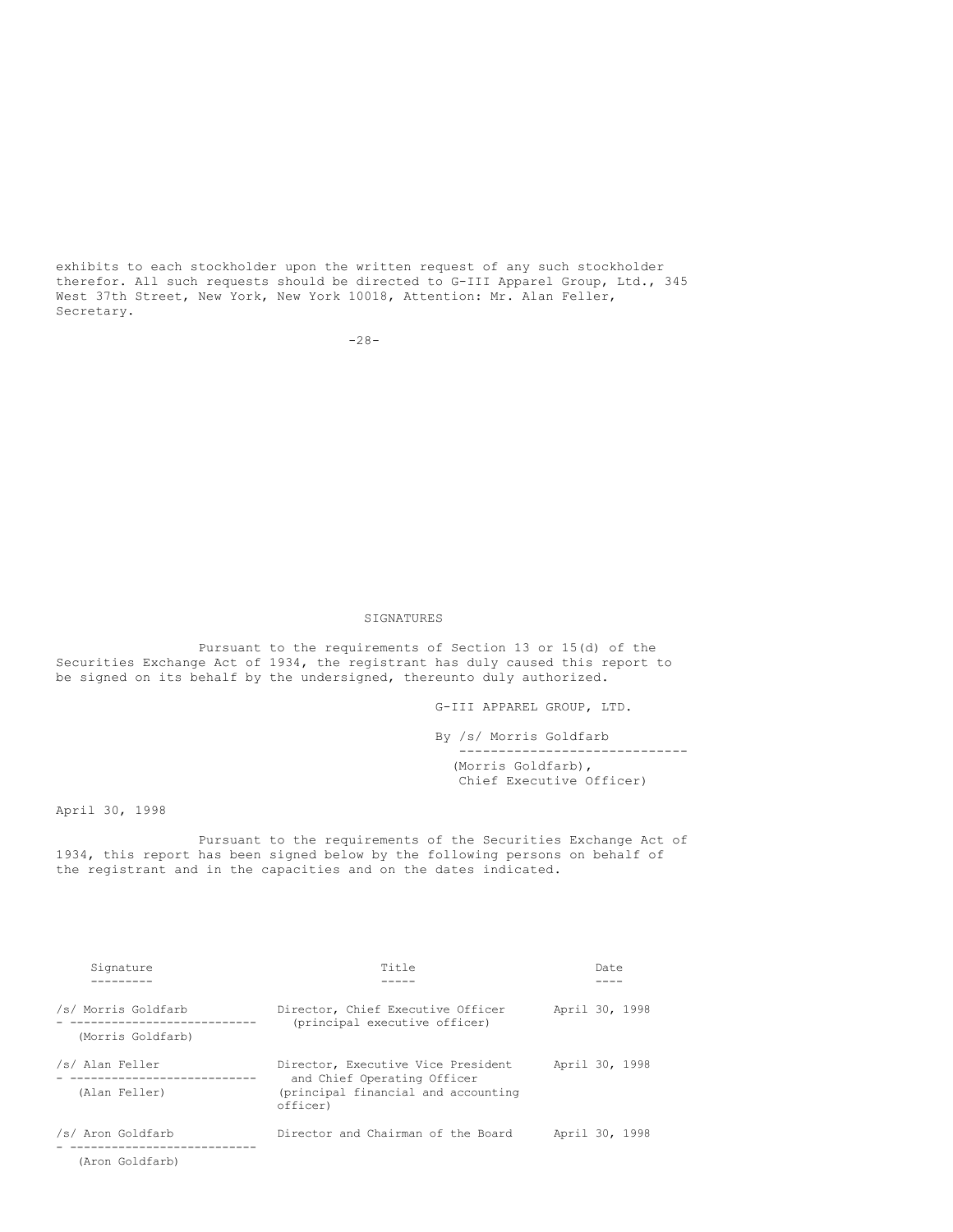exhibits to each stockholder upon the written request of any such stockholder therefor. All such requests should be directed to G-III Apparel Group, Ltd., 345 West 37th Street, New York, New York 10018, Attention: Mr. Alan Feller, Secretary.

-28-

## SIGNATURES

Pursuant to the requirements of Section 13 or 15(d) of the Securities Exchange Act of 1934, the registrant has duly caused this report to be signed on its behalf by the undersigned, thereunto duly authorized.

G-III APPAREL GROUP, LTD.

By /s/ Morris Goldfarb ----------------------------- (Morris Goldfarb),

Chief Executive Officer)

April 30, 1998

Pursuant to the requirements of the Securities Exchange Act of 1934, this report has been signed below by the following persons on behalf of the registrant and in the capacities and on the dates indicated.

| Signature           | Title                                                             |                | Date |  |
|---------------------|-------------------------------------------------------------------|----------------|------|--|
|                     |                                                                   |                |      |  |
| /s/ Morris Goldfarb | Director, Chief Executive Officer                                 | April 30, 1998 |      |  |
| (Morris Goldfarb)   | (principal executive officer)                                     |                |      |  |
| /s/ Alan Feller     | Director, Executive Vice President<br>and Chief Operating Officer | April 30, 1998 |      |  |
| (Alan Feller)       | (principal financial and accounting<br>officer)                   |                |      |  |
| /s/ Aron Goldfarb   | Director and Chairman of the Board                                | April 30, 1998 |      |  |
| (Aron Goldfarb)     |                                                                   |                |      |  |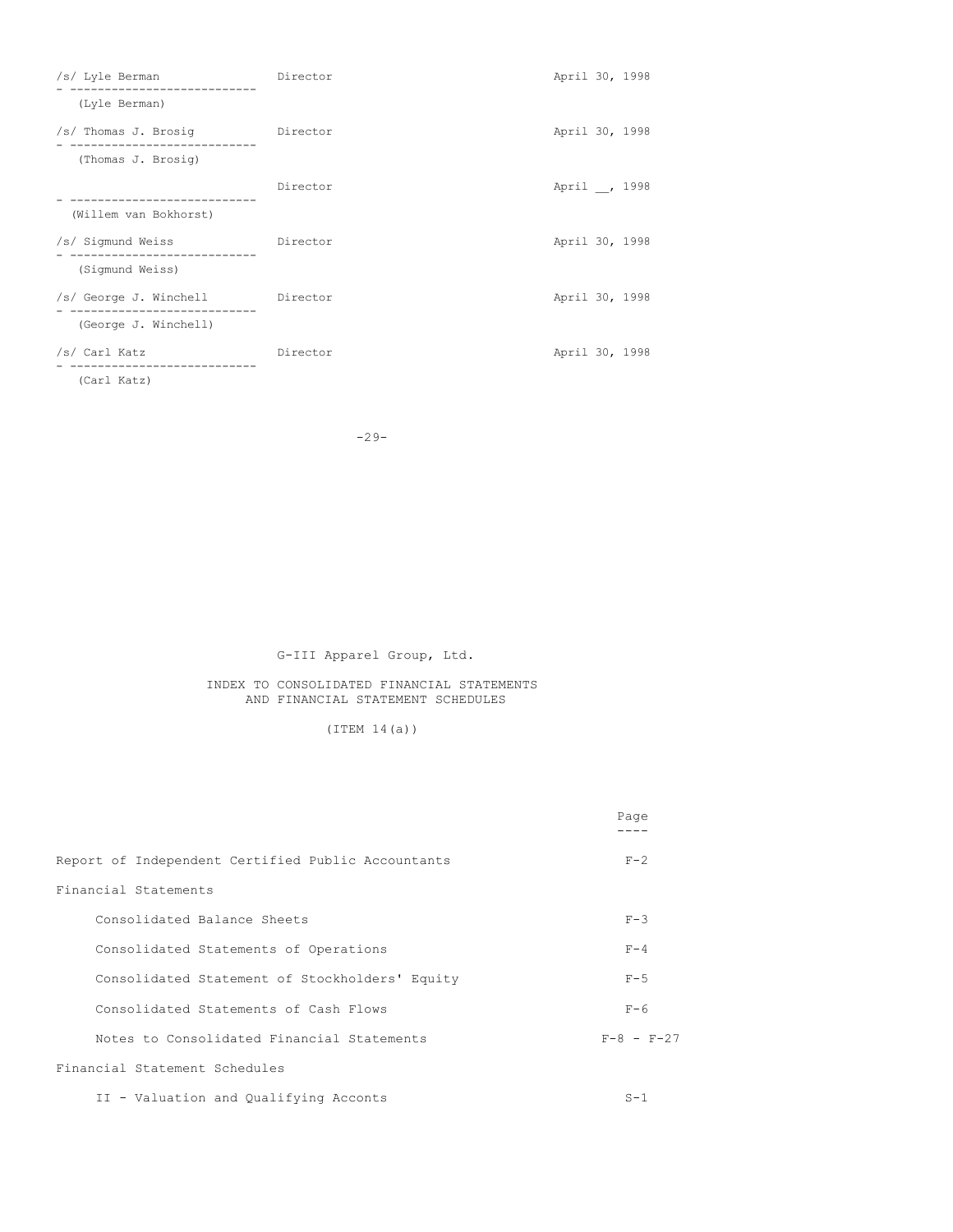| /s/ Lyle Berman                                           | Director | April 30, 1998 |  |
|-----------------------------------------------------------|----------|----------------|--|
| (Lyle Berman)                                             |          |                |  |
| /s/ Thomas J. Brosiq Director<br>------------------------ |          | April 30, 1998 |  |
| (Thomas J. Brosiq)                                        |          |                |  |
|                                                           | Director | April , 1998   |  |
| (Willem van Bokhorst)                                     |          |                |  |
| /s/ Sigmund Weiss                                         | Director | April 30, 1998 |  |
| (Sigmund Weiss)                                           |          |                |  |
| /s/ George J. Winchell Director                           |          | April 30, 1998 |  |
| (George J. Winchell)                                      |          |                |  |
| /s/ Carl Katz                                             | Director | April 30, 1998 |  |
| (Carl Katz)                                               |          |                |  |

-29-

# G-III Apparel Group, Ltd.

# INDEX TO CONSOLIDATED FINANCIAL STATEMENTS AND FINANCIAL STATEMENT SCHEDULES

# (ITEM 14(a))

|                                                    | Page             |
|----------------------------------------------------|------------------|
| Report of Independent Certified Public Accountants | $F - 2$          |
| Financial Statements                               |                  |
| Consolidated Balance Sheets                        | $F - 3$          |
| Consolidated Statements of Operations              | $F - 4$          |
| Consolidated Statement of Stockholders' Equity     | $F - 5$          |
| Consolidated Statements of Cash Flows              | $F-6$            |
| Notes to Consolidated Financial Statements         | $F - 8 - F - 27$ |
| Financial Statement Schedules                      |                  |
| II - Valuation and Qualifying Acconts              | $S-1$            |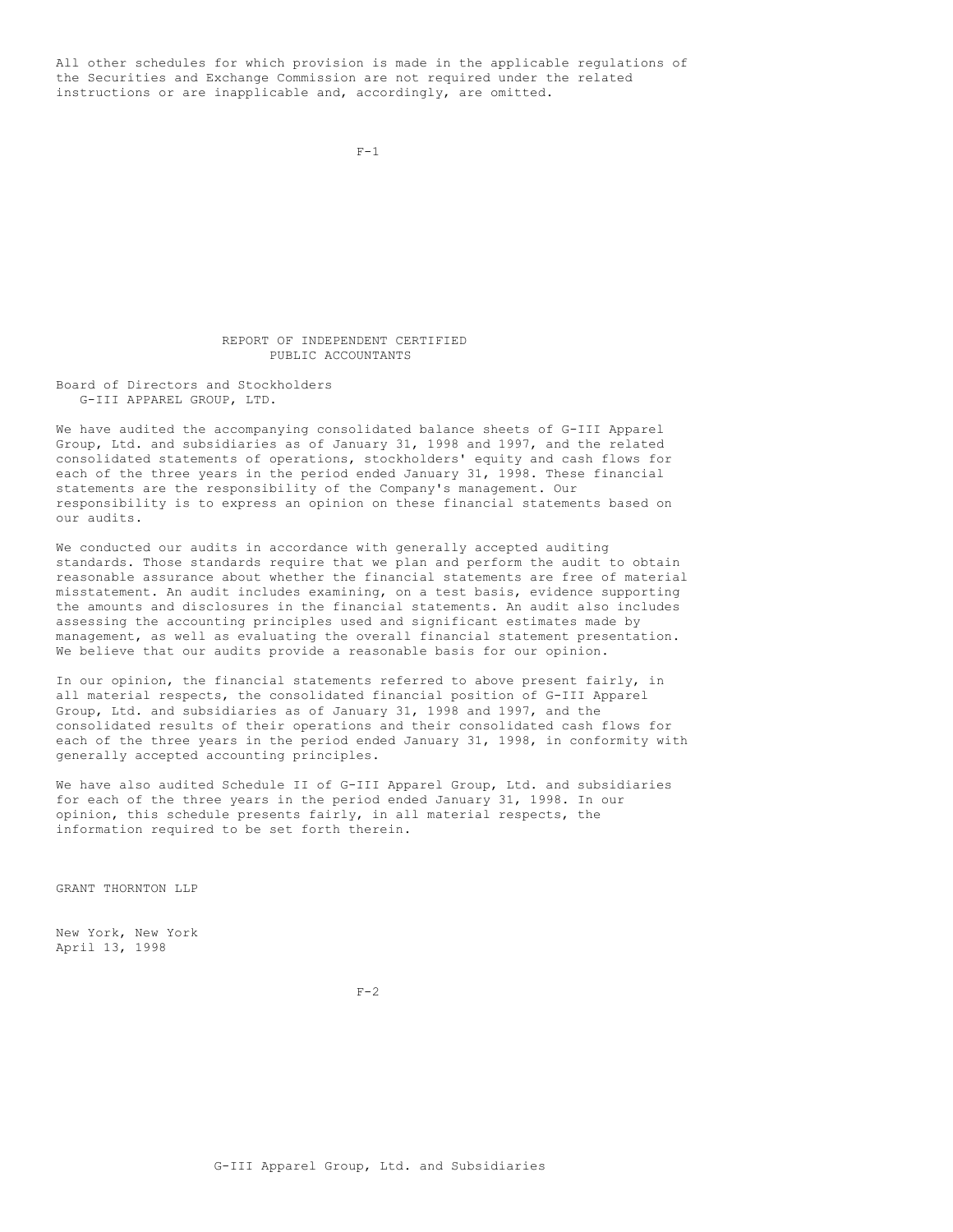All other schedules for which provision is made in the applicable regulations of the Securities and Exchange Commission are not required under the related instructions or are inapplicable and, accordingly, are omitted.

```
F-1
```
REPORT OF INDEPENDENT CERTIFIED PUBLIC ACCOUNTANTS

Board of Directors and Stockholders G-III APPAREL GROUP, LTD.

We have audited the accompanying consolidated balance sheets of G-III Apparel Group, Ltd. and subsidiaries as of January 31, 1998 and 1997, and the related consolidated statements of operations, stockholders' equity and cash flows for each of the three years in the period ended January 31, 1998. These financial statements are the responsibility of the Company's management. Our responsibility is to express an opinion on these financial statements based on our audits.

We conducted our audits in accordance with generally accepted auditing standards. Those standards require that we plan and perform the audit to obtain reasonable assurance about whether the financial statements are free of material misstatement. An audit includes examining, on a test basis, evidence supporting the amounts and disclosures in the financial statements. An audit also includes assessing the accounting principles used and significant estimates made by management, as well as evaluating the overall financial statement presentation. We believe that our audits provide a reasonable basis for our opinion.

In our opinion, the financial statements referred to above present fairly, in all material respects, the consolidated financial position of G-III Apparel Group, Ltd. and subsidiaries as of January 31, 1998 and 1997, and the consolidated results of their operations and their consolidated cash flows for each of the three years in the period ended January 31, 1998, in conformity with generally accepted accounting principles.

We have also audited Schedule II of G-III Apparel Group, Ltd. and subsidiaries for each of the three years in the period ended January 31, 1998. In our opinion, this schedule presents fairly, in all material respects, the information required to be set forth therein.

GRANT THORNTON LLP

New York, New York April 13, 1998

 $F-2$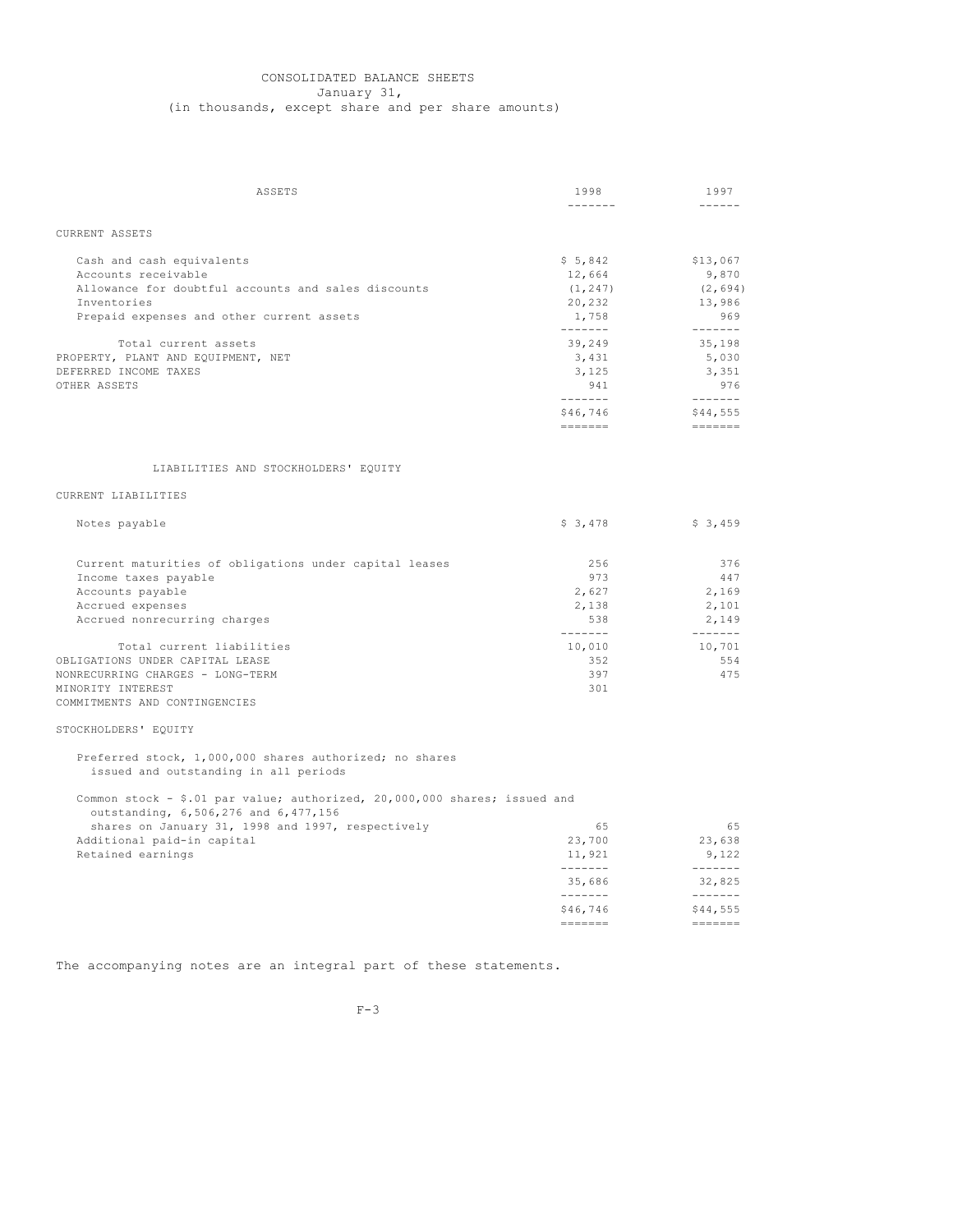## CONSOLIDATED BALANCE SHEETS January 31, (in thousands, except share and per share amounts)

| ASSETS                                                                                                            | 1998               | 1997                                                                    |
|-------------------------------------------------------------------------------------------------------------------|--------------------|-------------------------------------------------------------------------|
|                                                                                                                   | -------            | $\frac{1}{2}$                                                           |
| <b>CURRENT ASSETS</b>                                                                                             |                    |                                                                         |
|                                                                                                                   |                    |                                                                         |
| Cash and cash equivalents                                                                                         | \$5,842            | \$13,067                                                                |
| Accounts receivable                                                                                               | 12,664             | 9,870                                                                   |
| Allowance for doubtful accounts and sales discounts                                                               | (1, 247)           | (2, 694)                                                                |
| Inventories                                                                                                       | 20,232             | 13,986                                                                  |
| Prepaid expenses and other current assets                                                                         | 1,758              | 969                                                                     |
| Total current assets                                                                                              | --------<br>39,249 | 35,198                                                                  |
| PROPERTY, PLANT AND EQUIPMENT, NET                                                                                | 3,431              | 5,030                                                                   |
| DEFERRED INCOME TAXES                                                                                             | 3,125              | 3,351                                                                   |
| OTHER ASSETS                                                                                                      | 941                | 976                                                                     |
|                                                                                                                   | --------           |                                                                         |
|                                                                                                                   | \$46,746           | \$44,555                                                                |
|                                                                                                                   | $=$ = = = = = =    |                                                                         |
|                                                                                                                   |                    |                                                                         |
| LIABILITIES AND STOCKHOLDERS' EQUITY                                                                              |                    |                                                                         |
| CURRENT LIABILITIES                                                                                               |                    |                                                                         |
| Notes payable                                                                                                     | \$3,478            | \$3,459                                                                 |
|                                                                                                                   | 256                | 376                                                                     |
| Current maturities of obligations under capital leases                                                            | 973                | 447                                                                     |
| Income taxes payable<br>Accounts payable                                                                          | 2,627              | 2,169                                                                   |
| Accrued expenses                                                                                                  | 2,138              | 2,101                                                                   |
| Accrued nonrecurring charges                                                                                      | 538                | 2,149                                                                   |
|                                                                                                                   | --------           |                                                                         |
| Total current liabilities                                                                                         | 10,010             | 10,701                                                                  |
| OBLIGATIONS UNDER CAPITAL LEASE                                                                                   | 352                | 554                                                                     |
| NONRECURRING CHARGES - LONG-TERM                                                                                  | 397                | 475                                                                     |
| MINORITY INTEREST                                                                                                 | 301                |                                                                         |
| COMMITMENTS AND CONTINGENCIES                                                                                     |                    |                                                                         |
| STOCKHOLDERS' EQUITY                                                                                              |                    |                                                                         |
| Preferred stock, 1,000,000 shares authorized; no shares<br>issued and outstanding in all periods                  |                    |                                                                         |
| Common stock - \$.01 par value; authorized, 20,000,000 shares; issued and<br>outstanding, 6,506,276 and 6,477,156 |                    |                                                                         |
| shares on January 31, 1998 and 1997, respectively                                                                 | 65                 | 65                                                                      |
| Additional paid-in capital                                                                                        | 23,700             | 23,638                                                                  |
| Retained earnings                                                                                                 | 11,921             | 9,122                                                                   |
|                                                                                                                   | $- - - - - - -$    |                                                                         |
|                                                                                                                   | 35,686<br>-------  | 32,825                                                                  |
|                                                                                                                   | \$46,746           | \$44,555                                                                |
|                                                                                                                   | $\frac{1}{2}$      | $\qquad \qquad \equiv \equiv \equiv \equiv \equiv \equiv \equiv \equiv$ |
|                                                                                                                   |                    |                                                                         |

The accompanying notes are an integral part of these statements.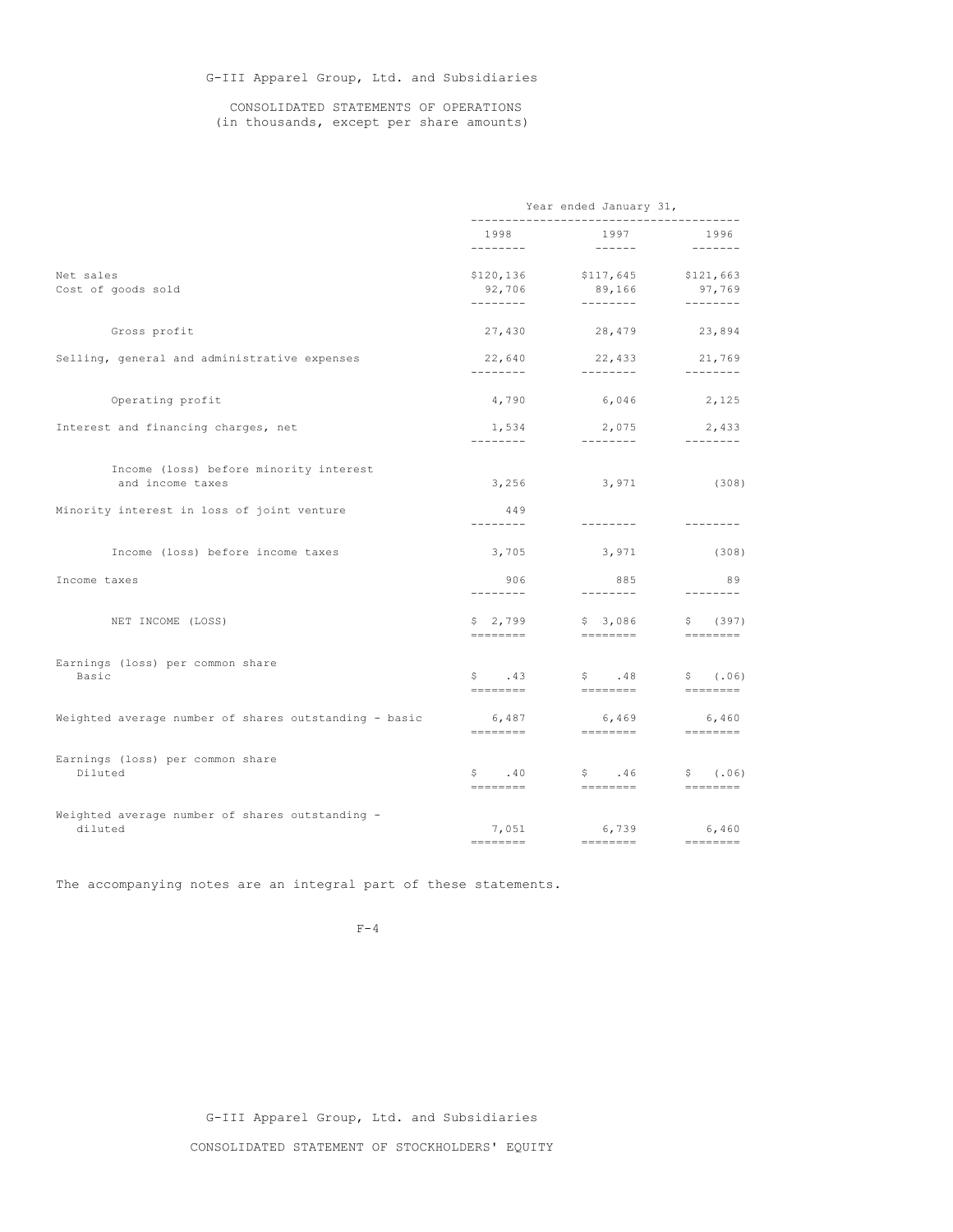G-III Apparel Group, Ltd. and Subsidiaries

## CONSOLIDATED STATEMENTS OF OPERATIONS (in thousands, except per share amounts)

|                                                            | Year ended January 31,           |                                  |                                 |
|------------------------------------------------------------|----------------------------------|----------------------------------|---------------------------------|
|                                                            | 1998                             | 1997                             | 1996                            |
| Net sales<br>Cost of goods sold                            | \$120,136<br>92,706<br>--------- | \$117,645<br>89,166<br>--------- | \$121,663<br>97,769<br>-------- |
| Gross profit                                               | 27,430                           |                                  | 28,479 23,894                   |
| Selling, general and administrative expenses               | 22,640<br>---------              | 22,433 21,769<br>_________       | ---------                       |
| Operating profit                                           | 4,790                            | 6,046                            | 2,125                           |
| Interest and financing charges, net                        | 1,534<br>---------               | 2,075 2,433<br>_________         | ---------                       |
| Income (loss) before minority interest<br>and income taxes |                                  | $3,256$ $3,971$ (308)            |                                 |
| Minority interest in loss of joint venture                 | 449<br>--------                  |                                  |                                 |
| Income (loss) before income taxes                          | 3,705                            | 3,971                            | (308)                           |
| Income taxes                                               | 906<br>--------                  | 885<br>---------                 | 89<br>--------                  |
| NET INCOME (LOSS)                                          | \$2,799                          | \$3,086                          | \$(397)                         |
| Earnings (loss) per common share<br>Basic                  | $\mathsf{S}$ . 43                | $\mathsf{S}$ . 48<br>========    | \$(.06)<br>=========            |
| Weighted average number of shares outstanding - basic      | 6,487                            | 6,469<br>========     ========   | 6,460<br>========               |
| Earnings (loss) per common share<br>Diluted                | $\sim 40$<br>========            | $\sqrt{5}$ . 46<br>========      | \$ (.06)<br>========            |
| Weighted average number of shares outstanding -<br>diluted | $=$ =======                      | 7,051 6,739 6,460<br>========    | $=$ ========                    |

The accompanying notes are an integral part of these statements.

 $F-4$ 

G-III Apparel Group, Ltd. and Subsidiaries CONSOLIDATED STATEMENT OF STOCKHOLDERS' EQUITY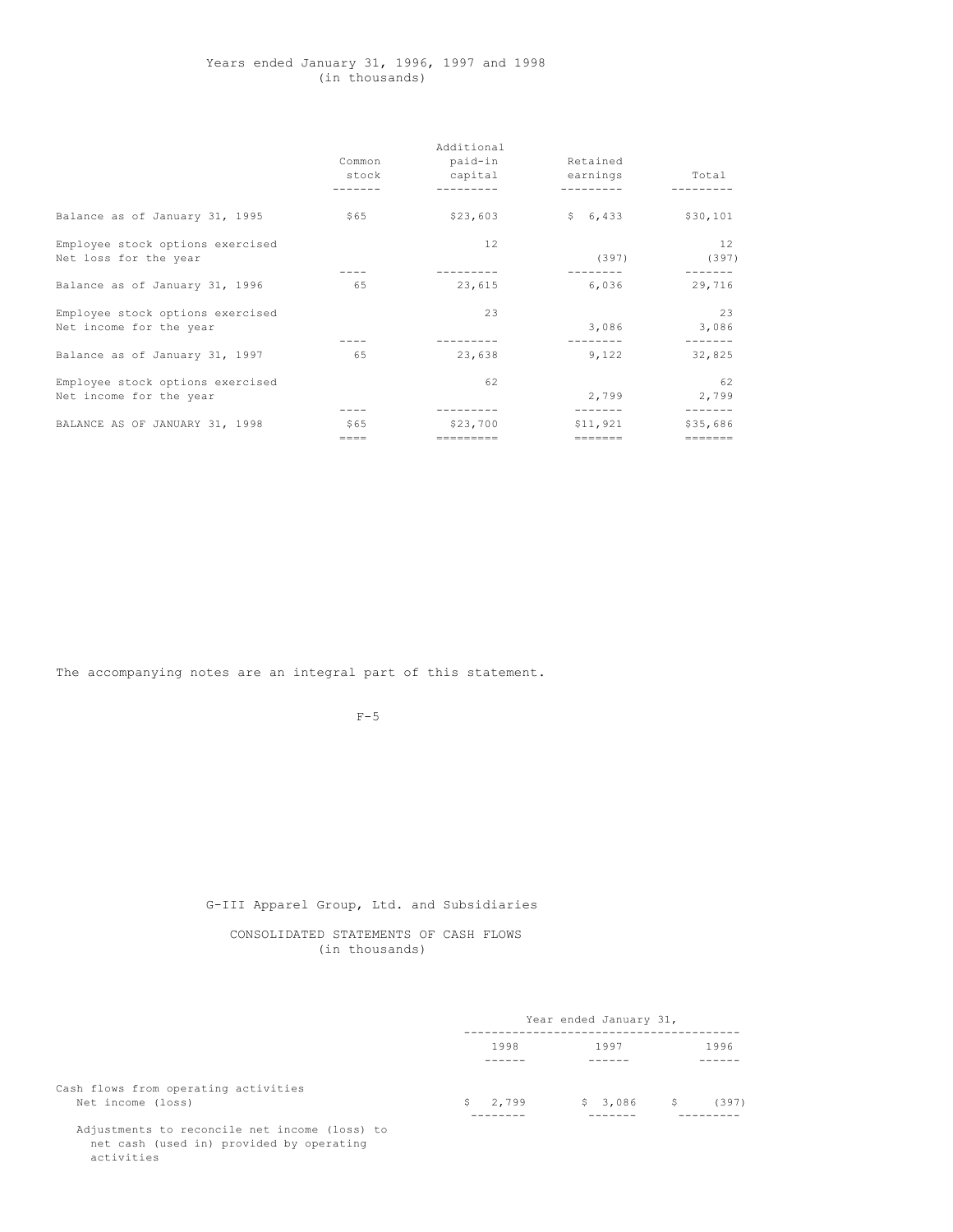## Years ended January 31, 1996, 1997 and 1998 (in thousands)

|                                  |           | Additional |          |          |
|----------------------------------|-----------|------------|----------|----------|
|                                  | Common    | paid-in    | Retained |          |
|                                  | stock     | capital    | earnings | Total    |
|                                  |           |            |          |          |
| Balance as of January 31, 1995   | \$65      | \$23,603   | \$6,433  | \$30,101 |
| Employee stock options exercised |           | 12         |          | 12       |
| Net loss for the year            |           |            | (397)    | (397)    |
|                                  |           |            |          |          |
| Balance as of January 31, 1996   | 65        | 23,615     | 6,036    | 29,716   |
| Employee stock options exercised |           | 23         |          | 23       |
| Net income for the year          |           |            | 3,086    | 3,086    |
|                                  |           |            |          |          |
| Balance as of January 31, 1997   | 65        | 23,638     | 9,122    | 32,825   |
| Employee stock options exercised |           | 62         |          | 62       |
| Net income for the year          |           |            | 2,799    | 2,799    |
|                                  |           |            | -------  | -------  |
| BALANCE AS OF JANUARY 31, 1998   | \$65      | \$23,700   | \$11,921 | \$35,686 |
|                                  | $== == =$ | =========  | =======  | =======  |

The accompanying notes are an integral part of this statement.

 $F-5$ 

G-III Apparel Group, Ltd. and Subsidiaries

CONSOLIDATED STATEMENTS OF CASH FLOWS (in thousands)

|                                                           | Year ended January 31, |             |       |
|-----------------------------------------------------------|------------------------|-------------|-------|
|                                                           | 1998                   | 1997        | 1996  |
| Cash flows from operating activities<br>Net income (loss) | \$2,799                | $$3,086$ \$ | (397) |

Adjustments to reconcile net income (loss) to net cash (used in) provided by operating activities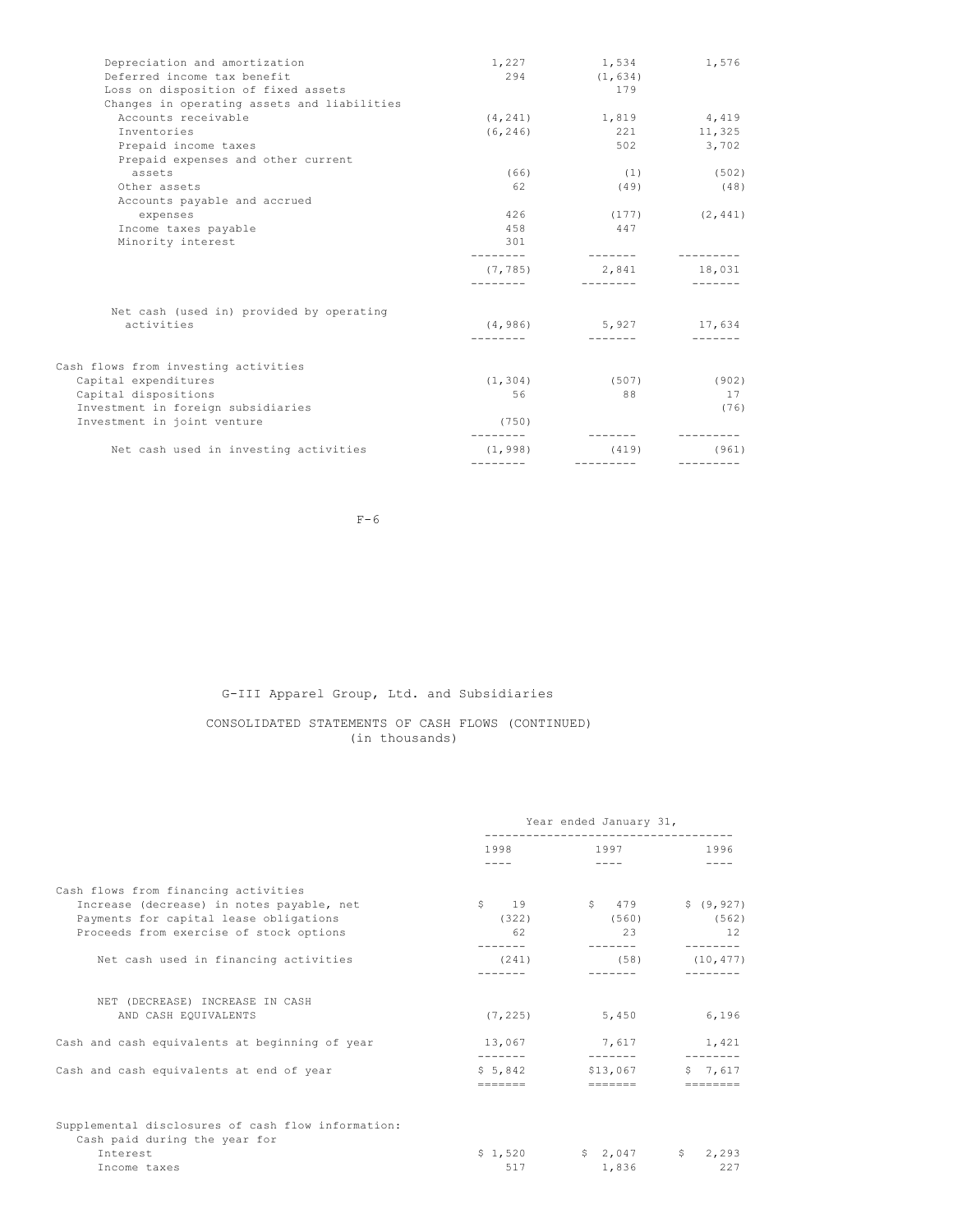| Depreciation and amortization               | 1,227                 | 1,534                   | 1,576              |
|---------------------------------------------|-----------------------|-------------------------|--------------------|
| Deferred income tax benefit                 | 294                   | (1, 634)                |                    |
| Loss on disposition of fixed assets         |                       | 179                     |                    |
| Changes in operating assets and liabilities |                       |                         |                    |
| Accounts receivable                         | (4, 241)              | 1,819                   | 4,419              |
| Inventories                                 | (6, 246)              | 221                     | 11,325             |
| Prepaid income taxes                        |                       | 502                     | 3,702              |
| Prepaid expenses and other current          |                       |                         |                    |
| assets                                      | (66)                  | (1)                     | (502)              |
| Other assets                                | 62                    | (49)                    | (48)               |
| Accounts payable and accrued                |                       |                         |                    |
| expenses                                    | 426                   |                         | $(177)$ $(2, 441)$ |
| Income taxes payable                        | 458                   | 447                     |                    |
| Minority interest                           | 301                   |                         |                    |
|                                             | (7, 785)<br>--------- | 2,841 18,031            |                    |
| Net cash (used in) provided by operating    |                       |                         |                    |
| activities                                  |                       | $(4, 986)$ 5,927 17,634 |                    |
|                                             |                       |                         |                    |
| Cash flows from investing activities        |                       |                         |                    |
| Capital expenditures                        | (1, 304)              | (507)                   | (902)              |
| Capital dispositions                        | 56                    | 88                      | 17                 |
| Investment in foreign subsidiaries          |                       |                         | (76)               |
| Investment in joint venture                 | (750)                 |                         |                    |
|                                             |                       |                         |                    |
| Net cash used in investing activities       | (1, 998)              | (419)                   | (961)              |
|                                             | ---------             | ----------              |                    |

 $F-6$ 

G-III Apparel Group, Ltd. and Subsidiaries

# CONSOLIDATED STATEMENTS OF CASH FLOWS (CONTINUED) (in thousands)

|                                                                                                                                                                        | Year ended January 31,    |                                                                                                                                    |                            |
|------------------------------------------------------------------------------------------------------------------------------------------------------------------------|---------------------------|------------------------------------------------------------------------------------------------------------------------------------|----------------------------|
|                                                                                                                                                                        | $1998$ and $1998$<br>---- | 1997 — 1997 — 1997 — 1997 — 1997 — 1997 — 1997 — 1997 — 1997 — 1997 — 1997 — 1998 — 1998 — 1998 — 1999 — 1999 — 199<br>$- - - - -$ | 1996                       |
| Cash flows from financing activities<br>Increase (decrease) in notes payable, net<br>Payments for capital lease obligations<br>Proceeds from exercise of stock options | (322)<br>62               | $\begin{array}{ccccccc}\n\text{S} & & 19 & & \text{S} & 479 \\ \end{array}$<br>(560)<br>23                                         | \$ (9, 927)<br>(562)<br>12 |
| Net cash used in financing activities                                                                                                                                  |                           | $(241)$ $(58)$ $(10, 477)$                                                                                                         | --------                   |
| NET (DECREASE) INCREASE IN CASH<br>AND CASH EQUIVALENTS                                                                                                                | (7, 225)                  | 5,450                                                                                                                              | 6,196                      |
| Cash and cash equivalents at beginning of year                                                                                                                         |                           | 13,067 7,617 1,421                                                                                                                 |                            |
| Cash and cash equivalents at end of year                                                                                                                               |                           | $$5,842$ $$13,067$                                                                                                                 | 57.617                     |
| Supplemental disclosures of cash flow information:<br>Cash paid during the year for<br>Interest<br>Income taxes                                                        | 517                       | $$1,520$ $$2,047$ $$2,293$<br>1,836                                                                                                | 227                        |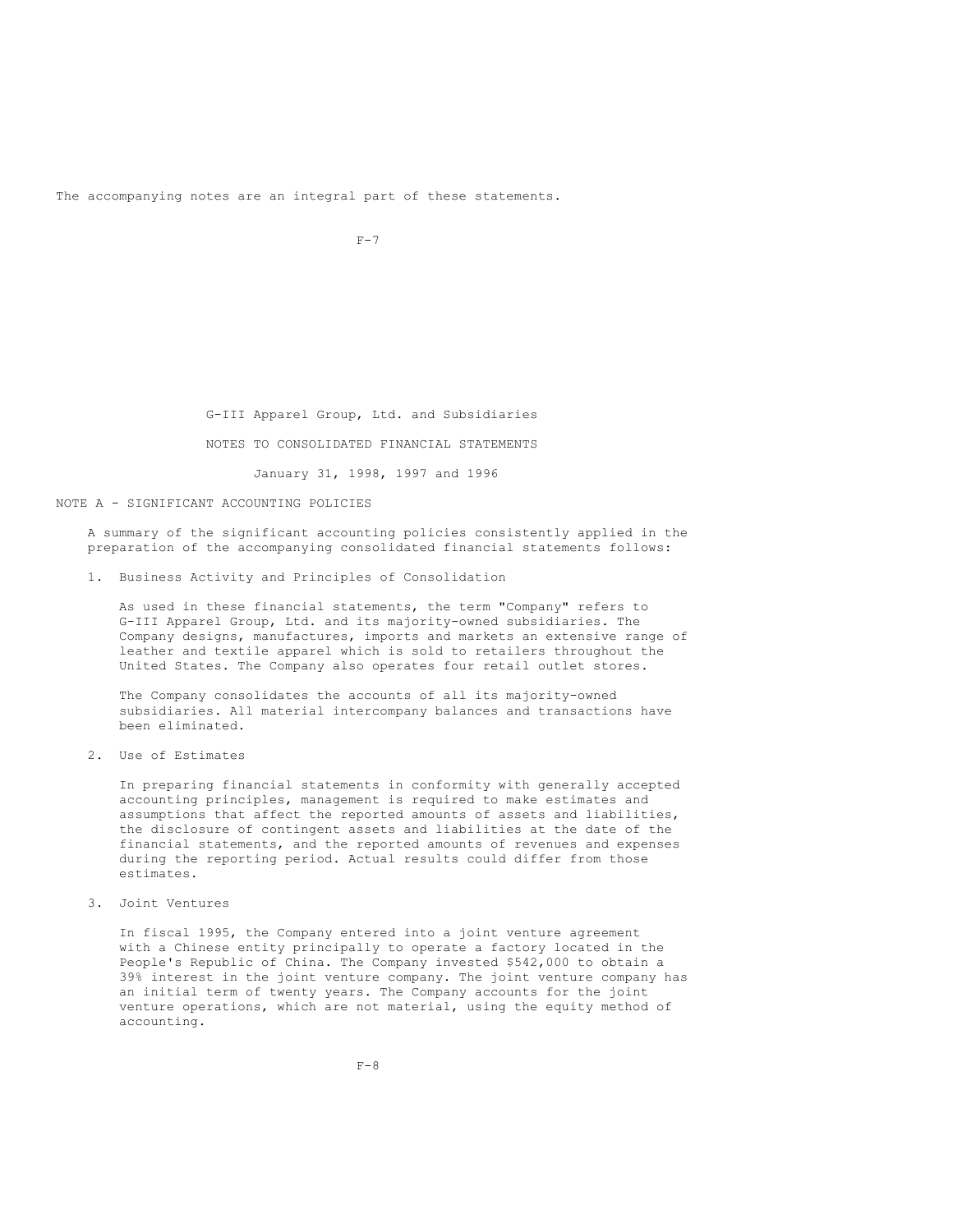The accompanying notes are an integral part of these statements.

 $F-7$ 

G-III Apparel Group, Ltd. and Subsidiaries NOTES TO CONSOLIDATED FINANCIAL STATEMENTS January 31, 1998, 1997 and 1996

NOTE A - SIGNIFICANT ACCOUNTING POLICIES

A summary of the significant accounting policies consistently applied in the preparation of the accompanying consolidated financial statements follows:

1. Business Activity and Principles of Consolidation

As used in these financial statements, the term "Company" refers to G-III Apparel Group, Ltd. and its majority-owned subsidiaries. The Company designs, manufactures, imports and markets an extensive range of leather and textile apparel which is sold to retailers throughout the United States. The Company also operates four retail outlet stores.

The Company consolidates the accounts of all its majority-owned subsidiaries. All material intercompany balances and transactions have been eliminated.

2. Use of Estimates

In preparing financial statements in conformity with generally accepted accounting principles, management is required to make estimates and assumptions that affect the reported amounts of assets and liabilities, the disclosure of contingent assets and liabilities at the date of the financial statements, and the reported amounts of revenues and expenses during the reporting period. Actual results could differ from those estimates.

3. Joint Ventures

In fiscal 1995, the Company entered into a joint venture agreement with a Chinese entity principally to operate a factory located in the People's Republic of China. The Company invested \$542,000 to obtain a 39% interest in the joint venture company. The joint venture company has an initial term of twenty years. The Company accounts for the joint venture operations, which are not material, using the equity method of accounting.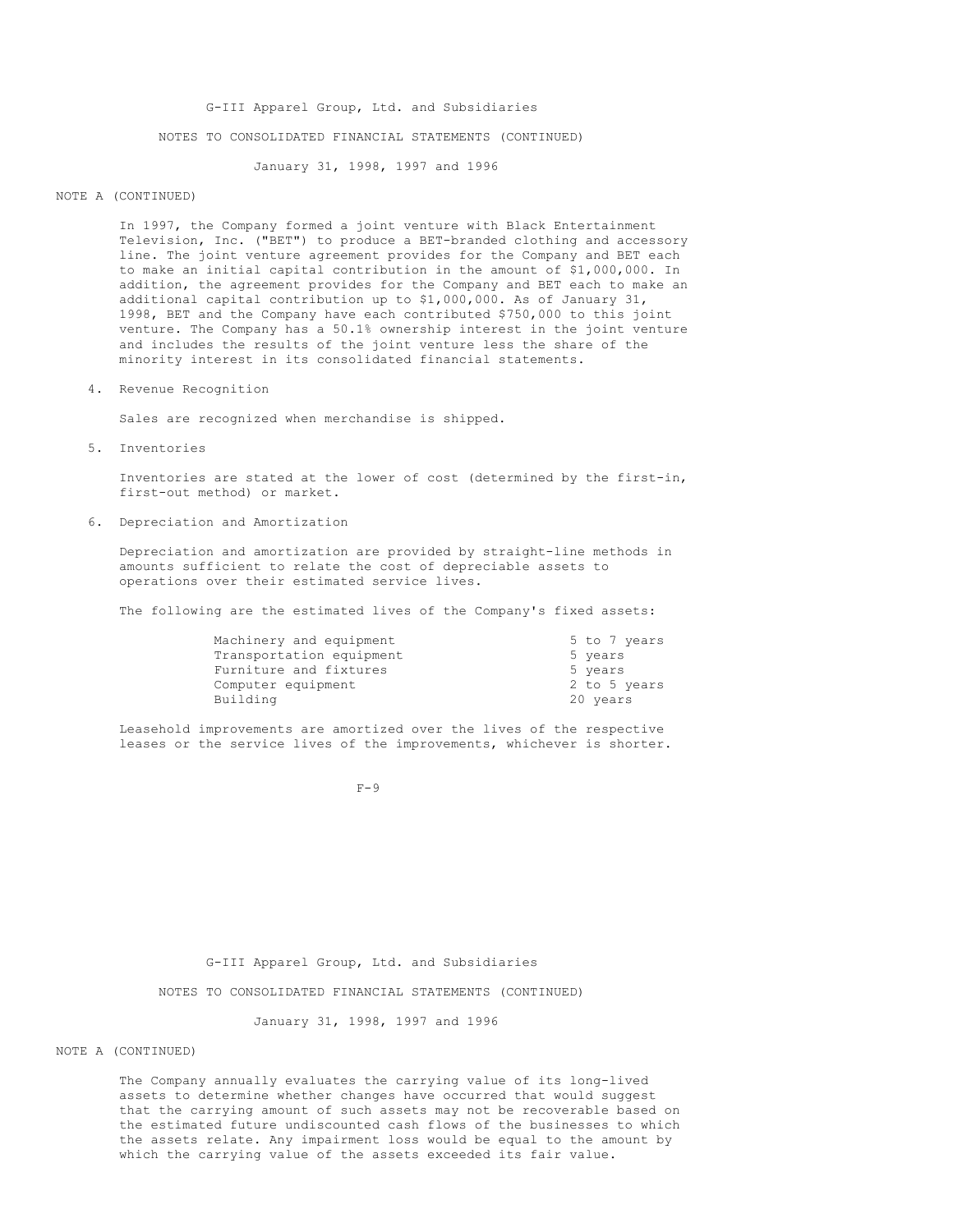G-III Apparel Group, Ltd. and Subsidiaries NOTES TO CONSOLIDATED FINANCIAL STATEMENTS (CONTINUED)

January 31, 1998, 1997 and 1996

#### NOTE A (CONTINUED)

In 1997, the Company formed a joint venture with Black Entertainment Television, Inc. ("BET") to produce a BET-branded clothing and accessory line. The joint venture agreement provides for the Company and BET each to make an initial capital contribution in the amount of \$1,000,000. In addition, the agreement provides for the Company and BET each to make an additional capital contribution up to \$1,000,000. As of January 31, 1998, BET and the Company have each contributed \$750,000 to this joint venture. The Company has a 50.1% ownership interest in the joint venture and includes the results of the joint venture less the share of the minority interest in its consolidated financial statements.

4. Revenue Recognition

Sales are recognized when merchandise is shipped.

5. Inventories

Inventories are stated at the lower of cost (determined by the first-in, first-out method) or market.

6. Depreciation and Amortization

Depreciation and amortization are provided by straight-line methods in amounts sufficient to relate the cost of depreciable assets to operations over their estimated service lives.

The following are the estimated lives of the Company's fixed assets:

| Machinery and equipment  | 5 to 7 years |
|--------------------------|--------------|
| Transportation equipment | 5 years      |
| Furniture and fixtures   | 5 years      |
| Computer equipment       | 2 to 5 years |
| Building                 | 20 years     |

Leasehold improvements are amortized over the lives of the respective leases or the service lives of the improvements, whichever is shorter.

 $F-Q$ 

G-III Apparel Group, Ltd. and Subsidiaries

NOTES TO CONSOLIDATED FINANCIAL STATEMENTS (CONTINUED)

January 31, 1998, 1997 and 1996

NOTE A (CONTINUED)

The Company annually evaluates the carrying value of its long-lived assets to determine whether changes have occurred that would suggest that the carrying amount of such assets may not be recoverable based on the estimated future undiscounted cash flows of the businesses to which the assets relate. Any impairment loss would be equal to the amount by which the carrying value of the assets exceeded its fair value.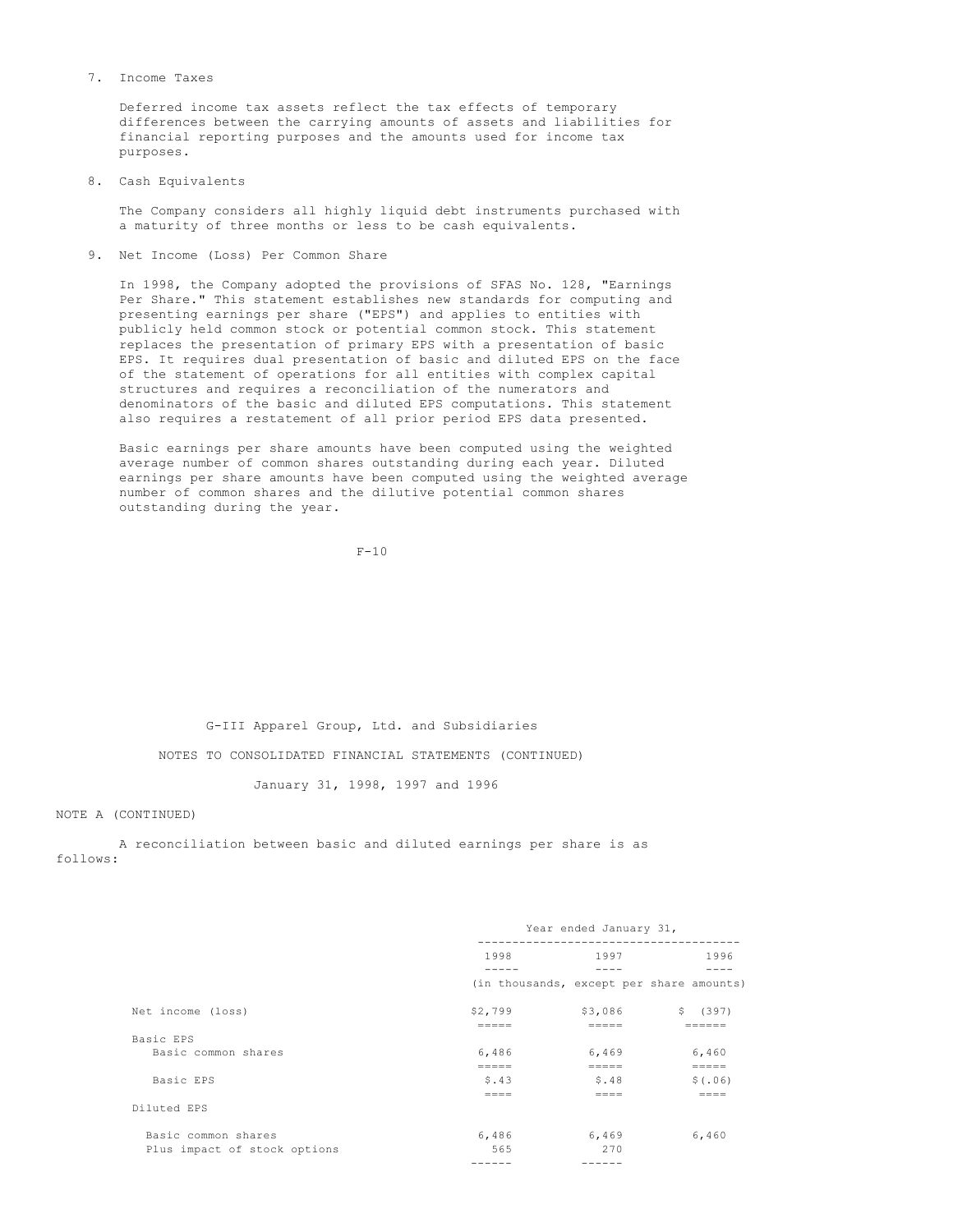#### 7. Income Taxes

Deferred income tax assets reflect the tax effects of temporary differences between the carrying amounts of assets and liabilities for financial reporting purposes and the amounts used for income tax purposes.

8. Cash Equivalents

The Company considers all highly liquid debt instruments purchased with a maturity of three months or less to be cash equivalents.

9. Net Income (Loss) Per Common Share

In 1998, the Company adopted the provisions of SFAS No. 128, "Earnings Per Share." This statement establishes new standards for computing and presenting earnings per share ("EPS") and applies to entities with publicly held common stock or potential common stock. This statement replaces the presentation of primary EPS with a presentation of basic EPS. It requires dual presentation of basic and diluted EPS on the face of the statement of operations for all entities with complex capital structures and requires a reconciliation of the numerators and denominators of the basic and diluted EPS computations. This statement also requires a restatement of all prior period EPS data presented.

Basic earnings per share amounts have been computed using the weighted average number of common shares outstanding during each year. Diluted earnings per share amounts have been computed using the weighted average number of common shares and the dilutive potential common shares outstanding during the year.

 $F-10$ 

G-III Apparel Group, Ltd. and Subsidiaries

NOTES TO CONSOLIDATED FINANCIAL STATEMENTS (CONTINUED)

January 31, 1998, 1997 and 1996

NOTE A (CONTINUED)

A reconciliation between basic and diluted earnings per share is as follows:

|                              | Year ended January 31, |                  |                                          |
|------------------------------|------------------------|------------------|------------------------------------------|
|                              | 1998                   | 1997             | 1996                                     |
|                              |                        |                  | (in thousands, except per share amounts) |
| Net income (loss)            | \$2,799<br>-----       | \$3,086          | \$ (397)                                 |
| Basic EPS                    |                        |                  |                                          |
| Basic common shares          | 6,486<br>$=====$       | 6,469<br>$=====$ | 6,460<br>$======$                        |
| Basic EPS                    | \$.43<br>----          | \$.48<br>====    | \$(.06)<br>$=$ $=$ $=$ $=$               |
| Diluted EPS                  |                        |                  |                                          |
| Basic common shares          | 6,486                  | 6,469            | 6,460                                    |
| Plus impact of stock options | 565                    | 270              |                                          |
|                              | ------                 | ------           |                                          |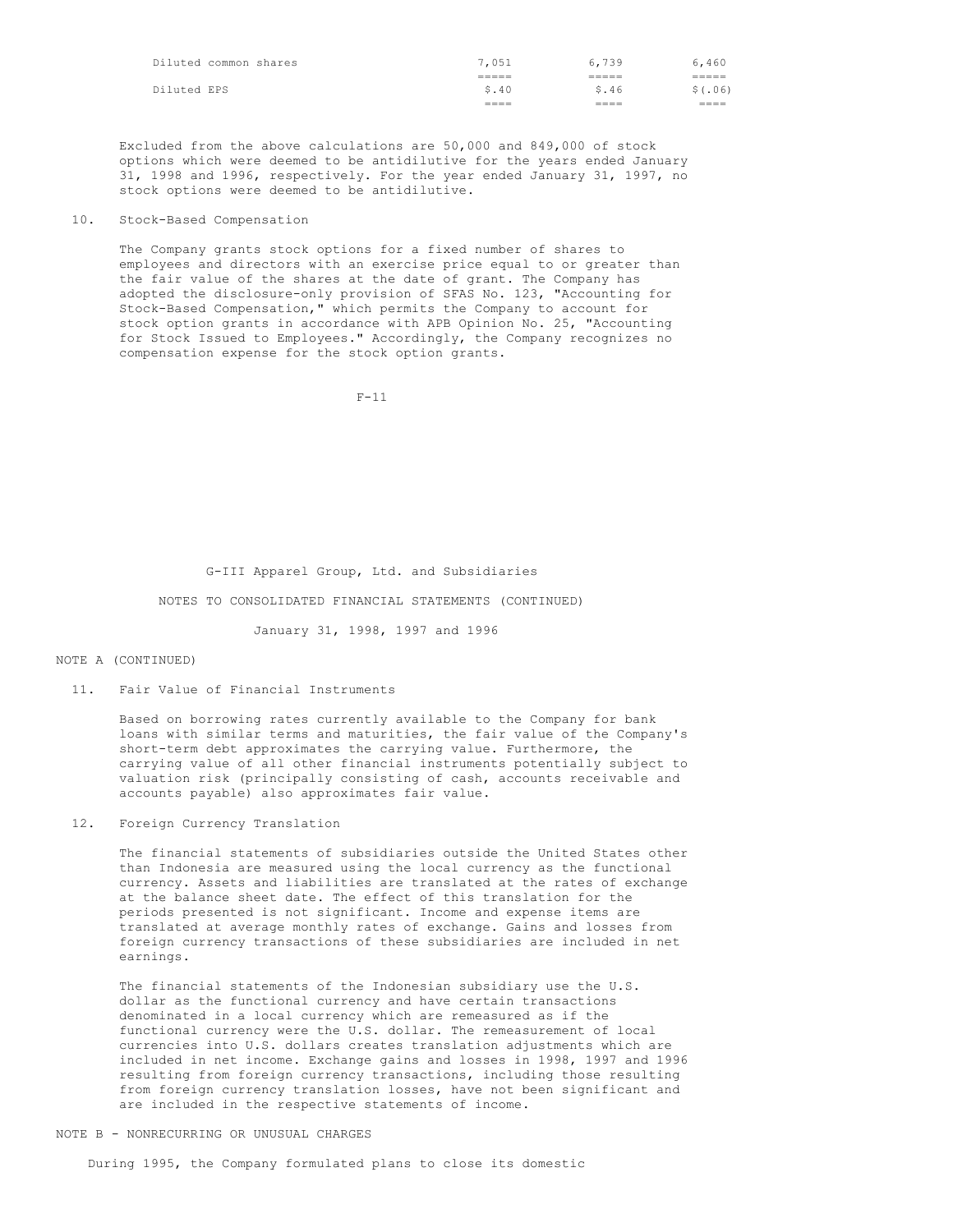| Diluted common shares | 7,051          | 6,739        | 6,460        |
|-----------------------|----------------|--------------|--------------|
|                       | -----<br>_____ | ------       | ------       |
| Diluted EPS           | \$.40          | \$.46        | \$(.06)      |
|                       | ____<br>====   | ----<br>---- | ----<br>==== |

Excluded from the above calculations are 50,000 and 849,000 of stock options which were deemed to be antidilutive for the years ended January 31, 1998 and 1996, respectively. For the year ended January 31, 1997, no stock options were deemed to be antidilutive.

## 10. Stock-Based Compensation

The Company grants stock options for a fixed number of shares to employees and directors with an exercise price equal to or greater than the fair value of the shares at the date of grant. The Company has adopted the disclosure-only provision of SFAS No. 123, "Accounting for Stock-Based Compensation," which permits the Company to account for stock option grants in accordance with APB Opinion No. 25, "Accounting for Stock Issued to Employees." Accordingly, the Company recognizes no compensation expense for the stock option grants.

 $F-11$ 

G-III Apparel Group, Ltd. and Subsidiaries

NOTES TO CONSOLIDATED FINANCIAL STATEMENTS (CONTINUED)

January 31, 1998, 1997 and 1996

#### NOTE A (CONTINUED)

11. Fair Value of Financial Instruments

Based on borrowing rates currently available to the Company for bank loans with similar terms and maturities, the fair value of the Company's short-term debt approximates the carrying value. Furthermore, the carrying value of all other financial instruments potentially subject to valuation risk (principally consisting of cash, accounts receivable and accounts payable) also approximates fair value.

12. Foreign Currency Translation

The financial statements of subsidiaries outside the United States other than Indonesia are measured using the local currency as the functional currency. Assets and liabilities are translated at the rates of exchange at the balance sheet date. The effect of this translation for the periods presented is not significant. Income and expense items are translated at average monthly rates of exchange. Gains and losses from foreign currency transactions of these subsidiaries are included in net earnings.

The financial statements of the Indonesian subsidiary use the U.S. dollar as the functional currency and have certain transactions denominated in a local currency which are remeasured as if the functional currency were the U.S. dollar. The remeasurement of local currencies into U.S. dollars creates translation adjustments which are included in net income. Exchange gains and losses in 1998, 1997 and 1996 resulting from foreign currency transactions, including those resulting from foreign currency translation losses, have not been significant and are included in the respective statements of income.

## NOTE B - NONRECURRING OR UNUSUAL CHARGES

During 1995, the Company formulated plans to close its domestic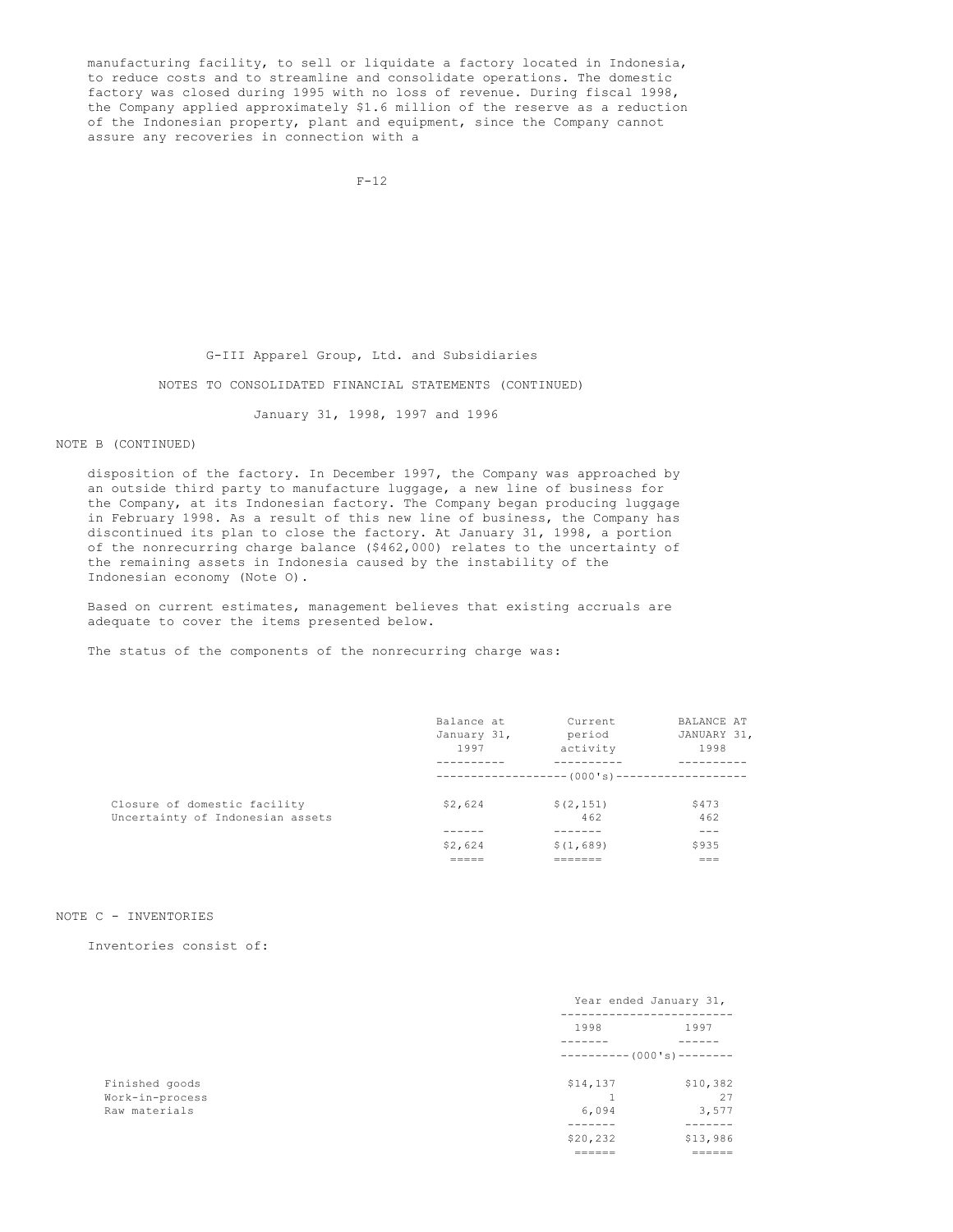manufacturing facility, to sell or liquidate a factory located in Indonesia, to reduce costs and to streamline and consolidate operations. The domestic factory was closed during 1995 with no loss of revenue. During fiscal 1998, the Company applied approximately \$1.6 million of the reserve as a reduction of the Indonesian property, plant and equipment, since the Company cannot assure any recoveries in connection with a

G-III Apparel Group, Ltd. and Subsidiaries

NOTES TO CONSOLIDATED FINANCIAL STATEMENTS (CONTINUED)

January 31, 1998, 1997 and 1996

NOTE B (CONTINUED)

disposition of the factory. In December 1997, the Company was approached by an outside third party to manufacture luggage, a new line of business for the Company, at its Indonesian factory. The Company began producing luggage in February 1998. As a result of this new line of business, the Company has discontinued its plan to close the factory. At January 31, 1998, a portion of the nonrecurring charge balance (\$462,000) relates to the uncertainty of the remaining assets in Indonesia caused by the instability of the Indonesian economy (Note O).

Based on current estimates, management believes that existing accruals are adequate to cover the items presented below.

The status of the components of the nonrecurring charge was:

|                                  | Balance at    | Current                              | BALANCE AT  |
|----------------------------------|---------------|--------------------------------------|-------------|
|                                  | January 31,   | period                               | JANUARY 31, |
|                                  | 1997          | activity                             | 1998        |
|                                  |               |                                      |             |
|                                  |               | ---- (000 ' s ) -------------------- |             |
| Closure of domestic facility     | \$2,624       | \$(2, 151)                           | \$473       |
| Uncertainty of Indonesian assets |               | 462                                  | 462         |
|                                  |               |                                      | ---         |
|                                  | \$2,624       | \$(1,689)                            | \$935       |
|                                  | -----<br>____ | .                                    | $= - -$     |

## NOTE C - INVENTORIES

Inventories consist of:

|                 |                          | Year ended January 31, |  |
|-----------------|--------------------------|------------------------|--|
|                 | 1998                     | 1997                   |  |
|                 | $---------(000's)------$ |                        |  |
| Finished goods  | \$14,137                 | \$10,382               |  |
| Work-in-process |                          | 27                     |  |
| Raw materials   | 6,094                    | 3,577                  |  |
|                 |                          |                        |  |
|                 | \$20,232                 | \$13,986               |  |
|                 | $=$ = = = = =            | $=$ = = = = =          |  |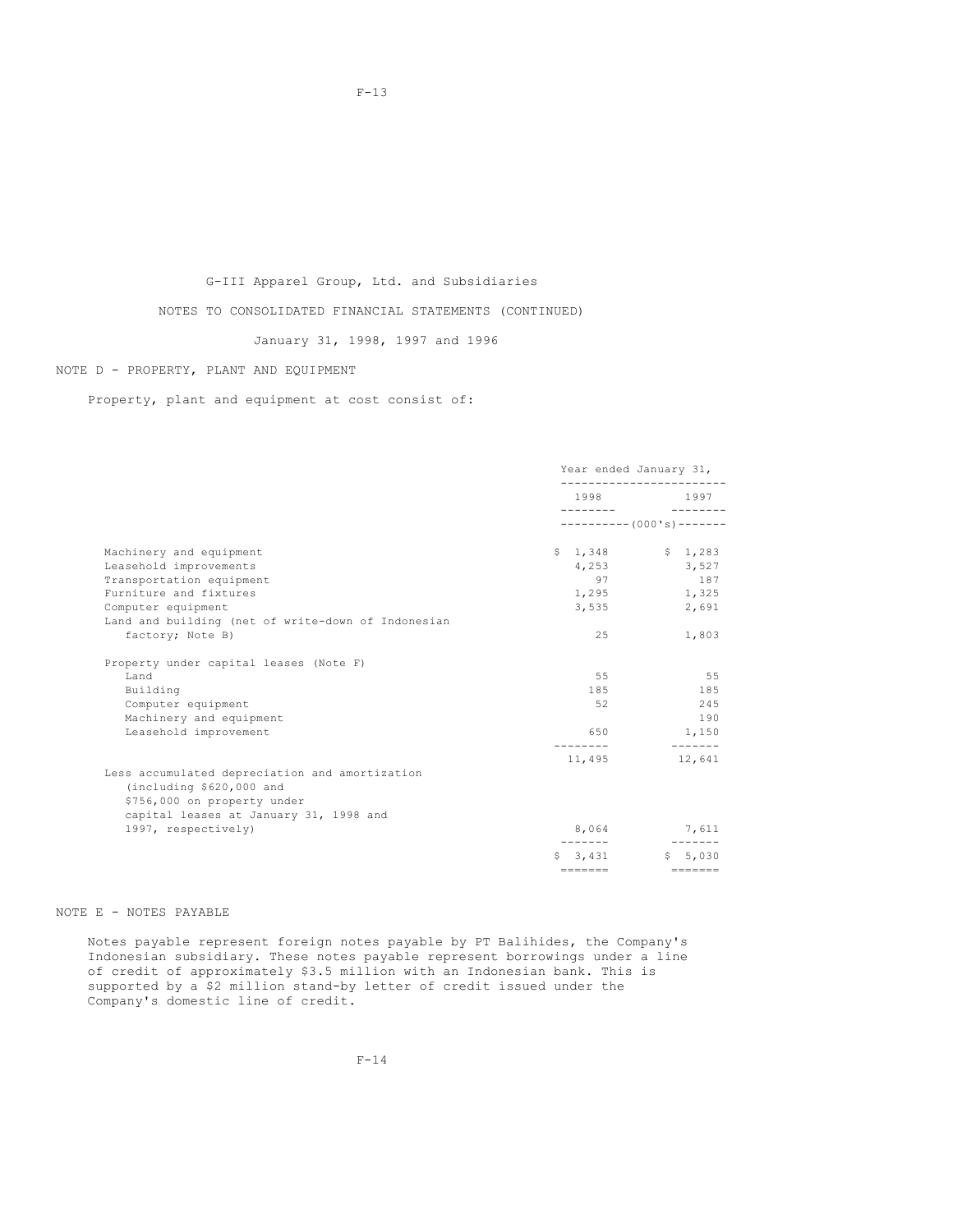# G-III Apparel Group, Ltd. and Subsidiaries

NOTES TO CONSOLIDATED FINANCIAL STATEMENTS (CONTINUED)

January 31, 1998, 1997 and 1996

## NOTE D - PROPERTY, PLANT AND EQUIPMENT

Property, plant and equipment at cost consist of:

|                                                                                                           | Year ended January 31,  |                          |
|-----------------------------------------------------------------------------------------------------------|-------------------------|--------------------------|
|                                                                                                           |                         | 1998 1997                |
|                                                                                                           |                         | $---------(000's)------$ |
| Machinery and equipment                                                                                   |                         | $$1,348$ $$1,283$        |
| Leasehold improvements                                                                                    |                         | 4,253 3,527              |
| Transportation equipment                                                                                  | 97                      | 187                      |
| Furniture and fixtures                                                                                    | 1,295                   | 1,325                    |
| Computer equipment                                                                                        | 3,535                   | 2,691                    |
| Land and building (net of write-down of Indonesian                                                        |                         |                          |
| factory; Note B)                                                                                          | 25                      | 1,803                    |
| Property under capital leases (Note F)                                                                    |                         |                          |
| Land                                                                                                      | 55                      | 55                       |
| Building                                                                                                  | 185                     | 185                      |
| Computer equipment                                                                                        | 52                      | 245                      |
| Machinery and equipment                                                                                   |                         | 190                      |
| Leasehold improvement                                                                                     | 650                     | 1,150                    |
|                                                                                                           | ---------<br>11,495     | ______________<br>12,641 |
| Less accumulated depreciation and amortization<br>(including \$620,000 and<br>\$756,000 on property under |                         |                          |
| capital leases at January 31, 1998 and                                                                    |                         |                          |
| 1997, respectively)                                                                                       |                         | 8,064 7,611              |
|                                                                                                           |                         | $$3,431$ $$5,030$        |
|                                                                                                           | $=$ $=$ $=$ $=$ $=$ $=$ | ________                 |

## NOTE E - NOTES PAYABLE

Notes payable represent foreign notes payable by PT Balihides, the Company's Indonesian subsidiary. These notes payable represent borrowings under a line of credit of approximately \$3.5 million with an Indonesian bank. This is supported by a \$2 million stand-by letter of credit issued under the Company's domestic line of credit.

F-13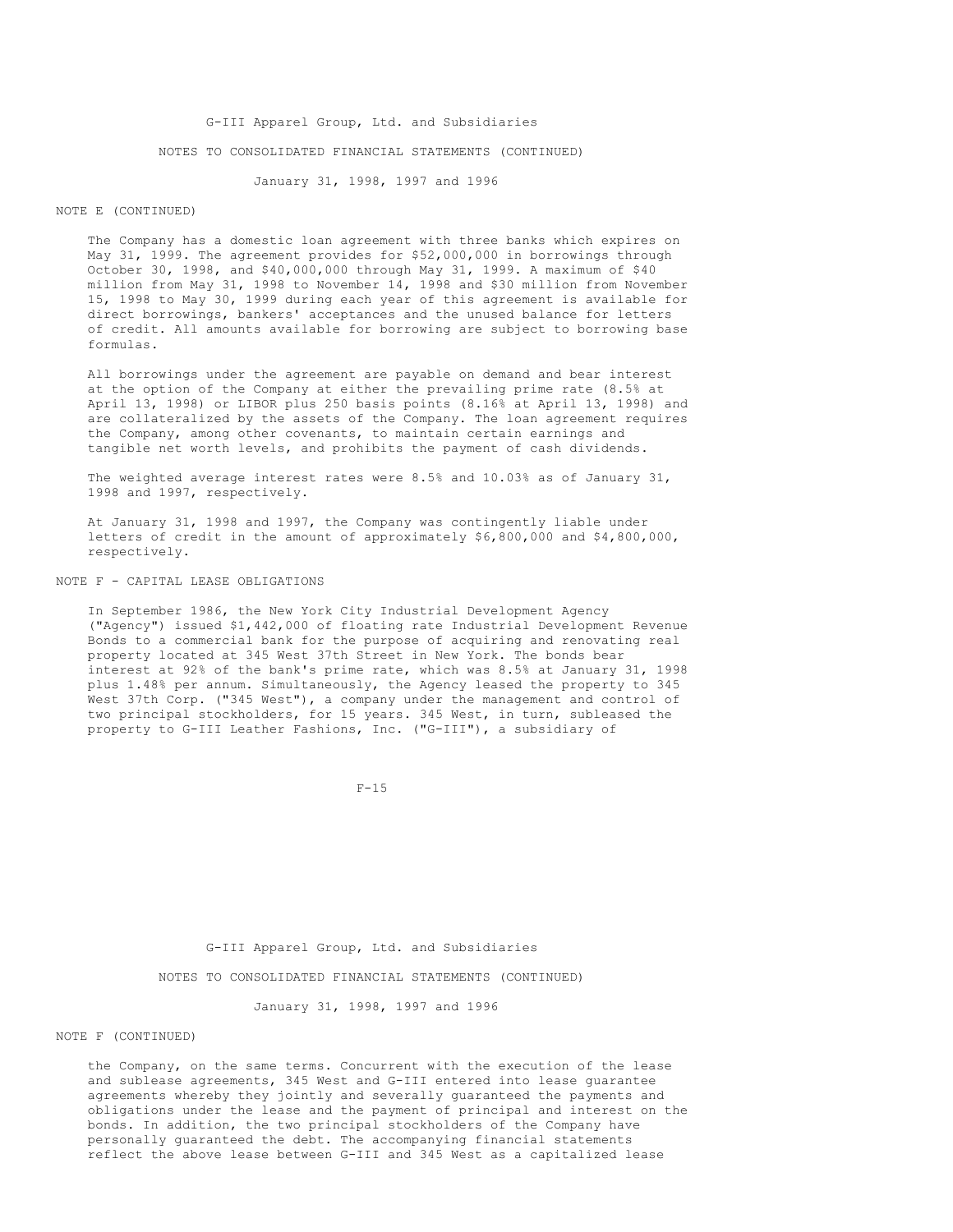G-III Apparel Group, Ltd. and Subsidiaries NOTES TO CONSOLIDATED FINANCIAL STATEMENTS (CONTINUED)

January 31, 1998, 1997 and 1996

## NOTE E (CONTINUED)

The Company has a domestic loan agreement with three banks which expires on May 31, 1999. The agreement provides for \$52,000,000 in borrowings through October 30, 1998, and \$40,000,000 through May 31, 1999. A maximum of \$40 million from May 31, 1998 to November 14, 1998 and \$30 million from November 15, 1998 to May 30, 1999 during each year of this agreement is available for direct borrowings, bankers' acceptances and the unused balance for letters of credit. All amounts available for borrowing are subject to borrowing base formulas.

All borrowings under the agreement are payable on demand and bear interest at the option of the Company at either the prevailing prime rate (8.5% at April 13, 1998) or LIBOR plus 250 basis points (8.16% at April 13, 1998) and are collateralized by the assets of the Company. The loan agreement requires the Company, among other covenants, to maintain certain earnings and tangible net worth levels, and prohibits the payment of cash dividends.

The weighted average interest rates were 8.5% and 10.03% as of January 31, 1998 and 1997, respectively.

At January 31, 1998 and 1997, the Company was contingently liable under letters of credit in the amount of approximately \$6,800,000 and \$4,800,000, respectively.

## NOTE F - CAPITAL LEASE OBLIGATIONS

In September 1986, the New York City Industrial Development Agency ("Agency") issued \$1,442,000 of floating rate Industrial Development Revenue Bonds to a commercial bank for the purpose of acquiring and renovating real property located at 345 West 37th Street in New York. The bonds bear interest at 92% of the bank's prime rate, which was 8.5% at January 31, 1998 plus 1.48% per annum. Simultaneously, the Agency leased the property to 345 West 37th Corp. ("345 West"), a company under the management and control of two principal stockholders, for 15 years. 345 West, in turn, subleased the property to G-III Leather Fashions, Inc. ("G-III"), a subsidiary of

 $F-15$ 

G-III Apparel Group, Ltd. and Subsidiaries

NOTES TO CONSOLIDATED FINANCIAL STATEMENTS (CONTINUED)

January 31, 1998, 1997 and 1996

## NOTE F (CONTINUED)

the Company, on the same terms. Concurrent with the execution of the lease and sublease agreements, 345 West and G-III entered into lease guarantee agreements whereby they jointly and severally guaranteed the payments and obligations under the lease and the payment of principal and interest on the bonds. In addition, the two principal stockholders of the Company have personally guaranteed the debt. The accompanying financial statements reflect the above lease between G-III and 345 West as a capitalized lease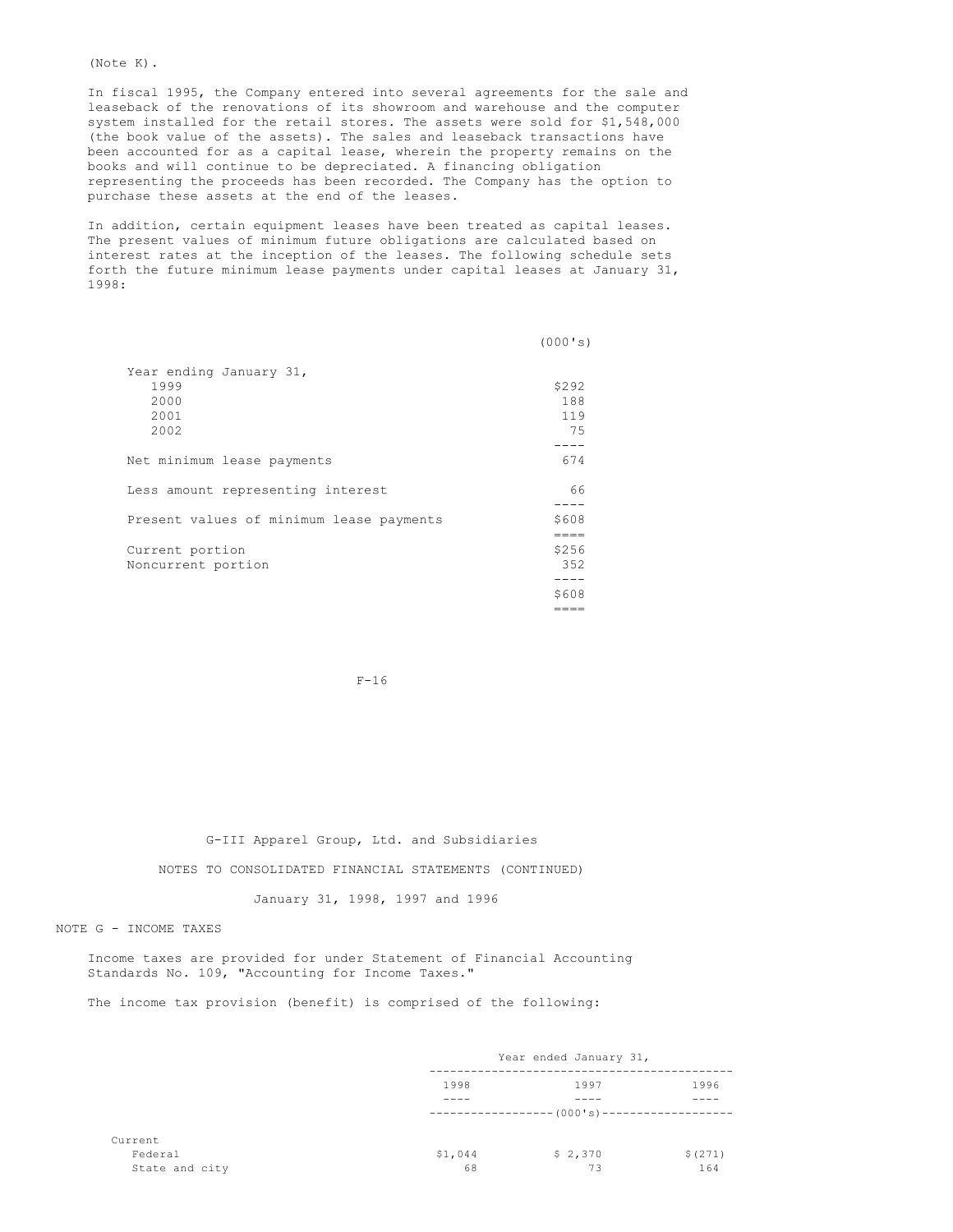(Note K).

In fiscal 1995, the Company entered into several agreements for the sale and leaseback of the renovations of its showroom and warehouse and the computer system installed for the retail stores. The assets were sold for \$1,548,000 (the book value of the assets). The sales and leaseback transactions have been accounted for as a capital lease, wherein the property remains on the books and will continue to be depreciated. A financing obligation representing the proceeds has been recorded. The Company has the option to purchase these assets at the end of the leases.

In addition, certain equipment leases have been treated as capital leases. The present values of minimum future obligations are calculated based on interest rates at the inception of the leases. The following schedule sets forth the future minimum lease payments under capital leases at January 31, 1998:

|                                                         | (000's)                   |
|---------------------------------------------------------|---------------------------|
| Year ending January 31,<br>1999<br>2000<br>2001<br>2002 | \$292<br>188<br>119<br>75 |
| Net minimum lease payments                              | 674                       |
| Less amount representing interest                       | 66                        |
| Present values of minimum lease payments                | \$608<br>$=====$          |
| Current portion<br>Noncurrent portion                   | \$256<br>352              |
|                                                         | \$608                     |

F-16

 $=$  $=$  $=$  $=$ 

G-III Apparel Group, Ltd. and Subsidiaries

NOTES TO CONSOLIDATED FINANCIAL STATEMENTS (CONTINUED)

January 31, 1998, 1997 and 1996

NOTE G - INCOME TAXES

Income taxes are provided for under Statement of Financial Accounting Standards No. 109, "Accounting for Income Taxes."

The income tax provision (benefit) is comprised of the following:

|                | Year ended January 31, |                                            |         |  |
|----------------|------------------------|--------------------------------------------|---------|--|
|                | 1998                   | 1997                                       | 1996    |  |
|                |                        |                                            |         |  |
|                |                        | ------------------ (000's)---------------- |         |  |
|                |                        |                                            |         |  |
|                | \$1,044                | \$2,370                                    | \$(271) |  |
| State and city | 68                     | 73                                         | 164     |  |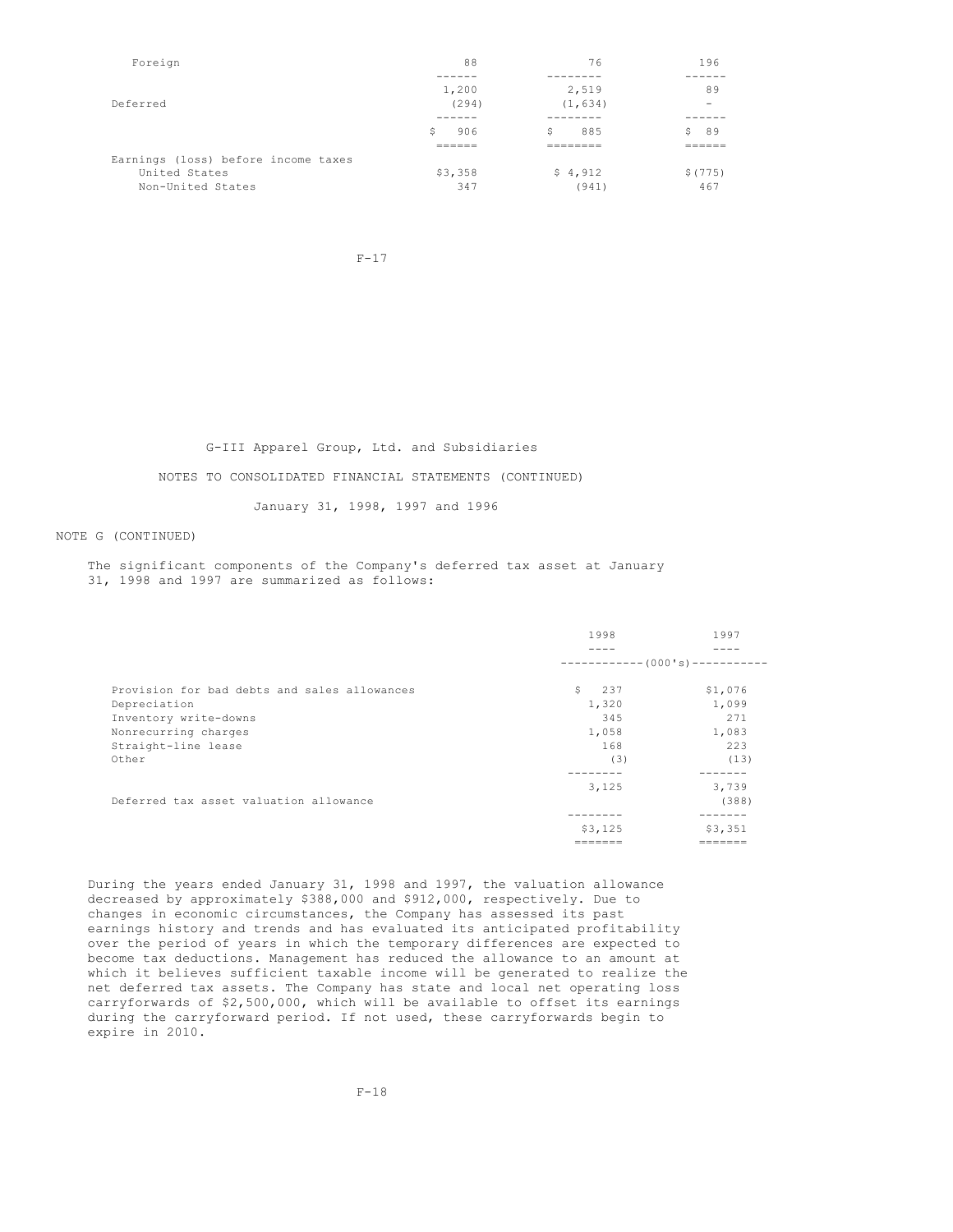| Foreign                             | 88               | 76        | 196     |
|-------------------------------------|------------------|-----------|---------|
|                                     |                  |           |         |
|                                     | 1,200            | 2,519     | 89      |
| Deferred                            | (294)            | (1, 634)  |         |
|                                     |                  |           |         |
|                                     | 906<br>Ŝ.        | 885<br>Š. | 89      |
|                                     | ------<br>______ | --------  | _____   |
| Earnings (loss) before income taxes |                  |           |         |
| United States                       | \$3,358          | \$4,912   | \$(775) |
| Non-United States                   | 347              | (941)     | 467     |

F-17

G-III Apparel Group, Ltd. and Subsidiaries

NOTES TO CONSOLIDATED FINANCIAL STATEMENTS (CONTINUED)

January 31, 1998, 1997 and 1996

## NOTE G (CONTINUED)

The significant components of the Company's deferred tax asset at January 31, 1998 and 1997 are summarized as follows:

|                                              | 1998                      | 1997    |  |
|----------------------------------------------|---------------------------|---------|--|
|                                              |                           |         |  |
|                                              | $----------(000's)------$ |         |  |
| Provision for bad debts and sales allowances | 237<br>S.                 | \$1,076 |  |
| Depreciation                                 | 1,320                     | 1,099   |  |
| Inventory write-downs                        | 345                       | 271     |  |
| Nonrecurring charges                         | 1,058                     | 1,083   |  |
| Straight-line lease                          | 168                       | 223     |  |
| Other                                        | (3)                       | (13)    |  |
|                                              | 3,125                     | 3,739   |  |
| Deferred tax asset valuation allowance       |                           | (388)   |  |
|                                              |                           |         |  |
|                                              | \$3,125                   | \$3,351 |  |
|                                              | -------                   | ======  |  |

During the years ended January 31, 1998 and 1997, the valuation allowance decreased by approximately \$388,000 and \$912,000, respectively. Due to changes in economic circumstances, the Company has assessed its past earnings history and trends and has evaluated its anticipated profitability over the period of years in which the temporary differences are expected to become tax deductions. Management has reduced the allowance to an amount at which it believes sufficient taxable income will be generated to realize the net deferred tax assets. The Company has state and local net operating loss carryforwards of \$2,500,000, which will be available to offset its earnings during the carryforward period. If not used, these carryforwards begin to expire in 2010.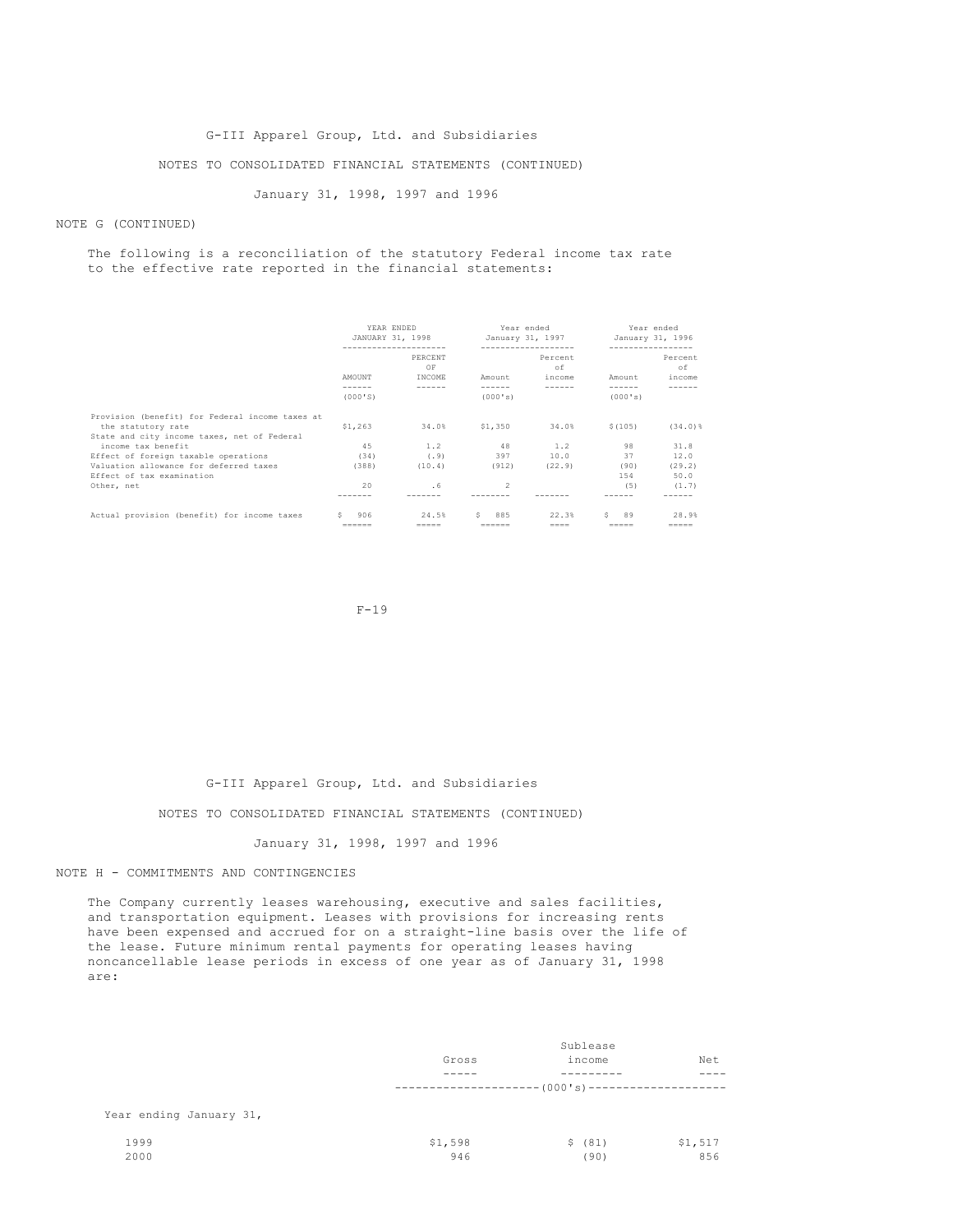#### G-III Apparel Group, Ltd. and Subsidiaries

## NOTES TO CONSOLIDATED FINANCIAL STATEMENTS (CONTINUED)

January 31, 1998, 1997 and 1996

## NOTE G (CONTINUED)

#### The following is a reconciliation of the statutory Federal income tax rate to the effective rate reported in the financial statements:

|                                                 | YEAR ENDED    | JANUARY 31, 1998<br>-------------------- | Year ended | January 31, 1997<br>------------------- | ----------------- | Year ended<br>January 31, 1996 |
|-------------------------------------------------|---------------|------------------------------------------|------------|-----------------------------------------|-------------------|--------------------------------|
|                                                 |               | PERCENT<br>OF                            |            | Percent<br>of                           |                   | Percent<br>of                  |
|                                                 | AMOUNT        | INCOME                                   | Amount     | income                                  | Amount            | income                         |
|                                                 | ------        | ------                                   | ------     | ------                                  | ------            |                                |
|                                                 | (000'S)       |                                          | (000's)    |                                         | (000's)           |                                |
| Provision (benefit) for Federal income taxes at |               |                                          |            |                                         |                   |                                |
| the statutory rate                              | \$1,263       | 34.0%                                    | \$1.350    | 34.0%                                   | \$(105)           | $(34.0)$ $%$                   |
| State and city income taxes, net of Federal     |               |                                          |            |                                         |                   |                                |
| income tax benefit                              | 45            | 1.2                                      | 48         | 1.2                                     | 98                | 31.8                           |
| Effect of foreign taxable operations            | (34)          | (.9)                                     | 397        | 10.0                                    | 37                | 12.0                           |
| Valuation allowance for deferred taxes          | (388)         | (10.4)                                   | (912)      | (22.9)                                  | (90)              | (29.2)                         |
| Effect of tax examination                       |               |                                          |            |                                         | 154               | 50.0                           |
| Other, net                                      | 20            | . 6                                      | $\hat{ }$  |                                         | (5)               | (1.7)                          |
|                                                 |               |                                          |            |                                         |                   |                                |
| Actual provision (benefit) for income taxes     | 906<br>s.     | 24.5%                                    | 885<br>S.  | 22.3%                                   | 89<br>S.          | 28.9%                          |
|                                                 | $- - - - - -$ | $=$                                      |            | $= = = =$                               | -----             | $=$ = = = =                    |

 $F-19$ 

#### G-III Apparel Group, Ltd. and Subsidiaries

#### NOTES TO CONSOLIDATED FINANCIAL STATEMENTS (CONTINUED)

## January 31, 1998, 1997 and 1996

## NOTE H - COMMITMENTS AND CONTINGENCIES

The Company currently leases warehousing, executive and sales facilities, and transportation equipment. Leases with provisions for increasing rents have been expensed and accrued for on a straight-line basis over the life of the lease. Future minimum rental payments for operating leases having noncancellable lease periods in excess of one year as of January 31, 1998 are:

|                         | Sublease                                         |         |         |  |
|-------------------------|--------------------------------------------------|---------|---------|--|
|                         | Gross                                            | income  | Net     |  |
|                         |                                                  |         |         |  |
|                         | ------------------ (000 's) -------------------- |         |         |  |
| Year ending January 31, |                                                  |         |         |  |
| 1999                    | \$1,598                                          | \$ (81) | \$1,517 |  |
| 2000                    | 946                                              | (90)    | 856     |  |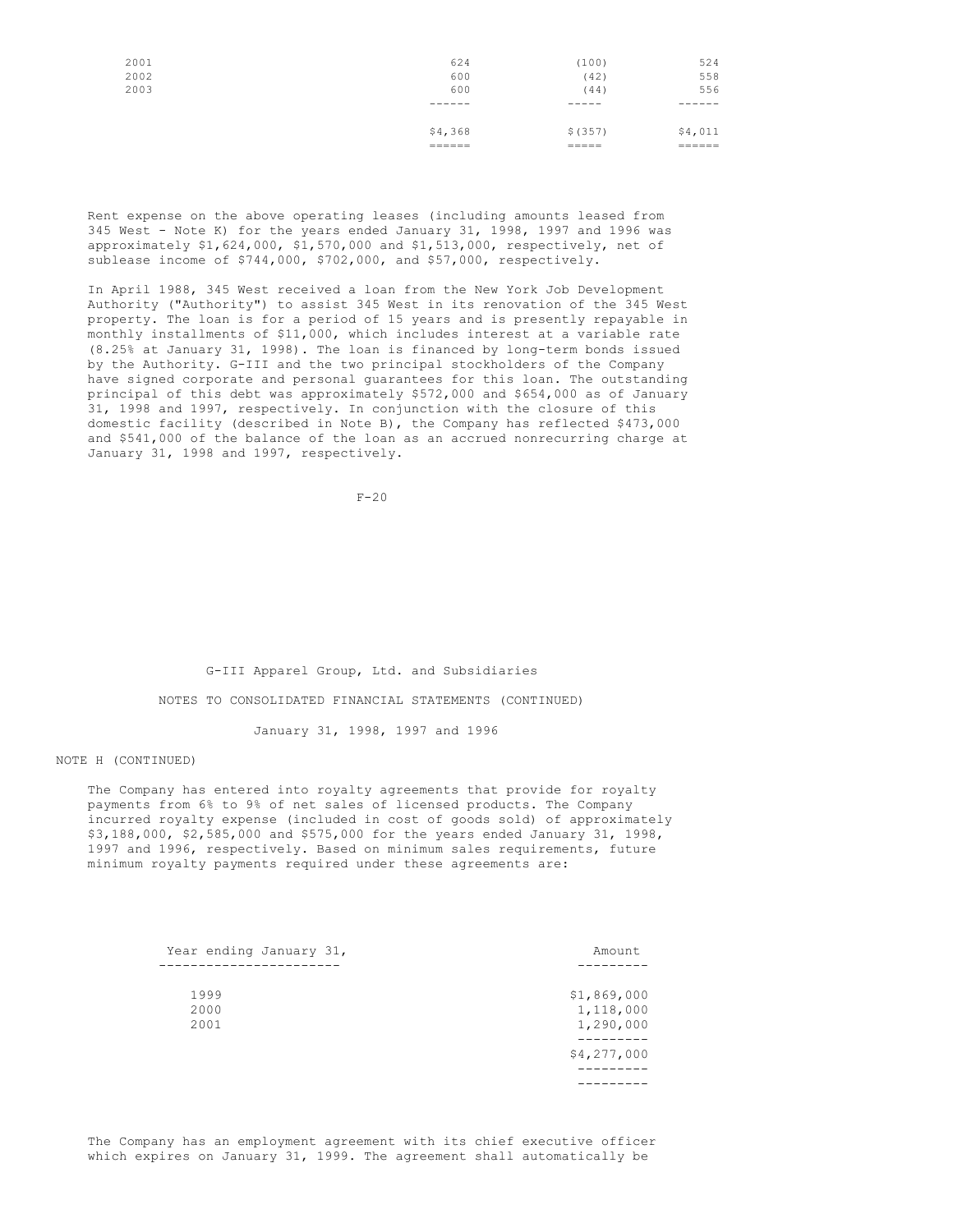| 2001<br>2002<br>2003 | 624<br>600<br>600 | (100)<br>(42)<br>(44) | 524<br>558<br>556 |
|----------------------|-------------------|-----------------------|-------------------|
|                      | ------            | ------                | ------            |
|                      |                   |                       |                   |
|                      | \$4,368           | \$ (357)              | \$4,011           |
|                      | ------<br>------  | _____<br>=====        | ------<br>======  |

Rent expense on the above operating leases (including amounts leased from 345 West - Note K) for the years ended January 31, 1998, 1997 and 1996 was approximately \$1,624,000, \$1,570,000 and \$1,513,000, respectively, net of sublease income of \$744,000, \$702,000, and \$57,000, respectively.

In April 1988, 345 West received a loan from the New York Job Development Authority ("Authority") to assist 345 West in its renovation of the 345 West property. The loan is for a period of 15 years and is presently repayable in monthly installments of \$11,000, which includes interest at a variable rate (8.25% at January 31, 1998). The loan is financed by long-term bonds issued by the Authority. G-III and the two principal stockholders of the Company have signed corporate and personal guarantees for this loan. The outstanding principal of this debt was approximately \$572,000 and \$654,000 as of January 31, 1998 and 1997, respectively. In conjunction with the closure of this domestic facility (described in Note B), the Company has reflected \$473,000 and \$541,000 of the balance of the loan as an accrued nonrecurring charge at January 31, 1998 and 1997, respectively.

F-20

G-III Apparel Group, Ltd. and Subsidiaries NOTES TO CONSOLIDATED FINANCIAL STATEMENTS (CONTINUED)

January 31, 1998, 1997 and 1996

## NOTE H (CONTINUED)

The Company has entered into royalty agreements that provide for royalty payments from 6% to 9% of net sales of licensed products. The Company incurred royalty expense (included in cost of goods sold) of approximately \$3,188,000, \$2,585,000 and \$575,000 for the years ended January 31, 1998, 1997 and 1996, respectively. Based on minimum sales requirements, future minimum royalty payments required under these agreements are:

| Year ending January 31, | Amount                                |
|-------------------------|---------------------------------------|
|                         |                                       |
| 1999<br>2000<br>2001    | \$1,869,000<br>1,118,000<br>1,290,000 |
|                         | \$4,277,000                           |
|                         |                                       |

The Company has an employment agreement with its chief executive officer which expires on January 31, 1999. The agreement shall automatically be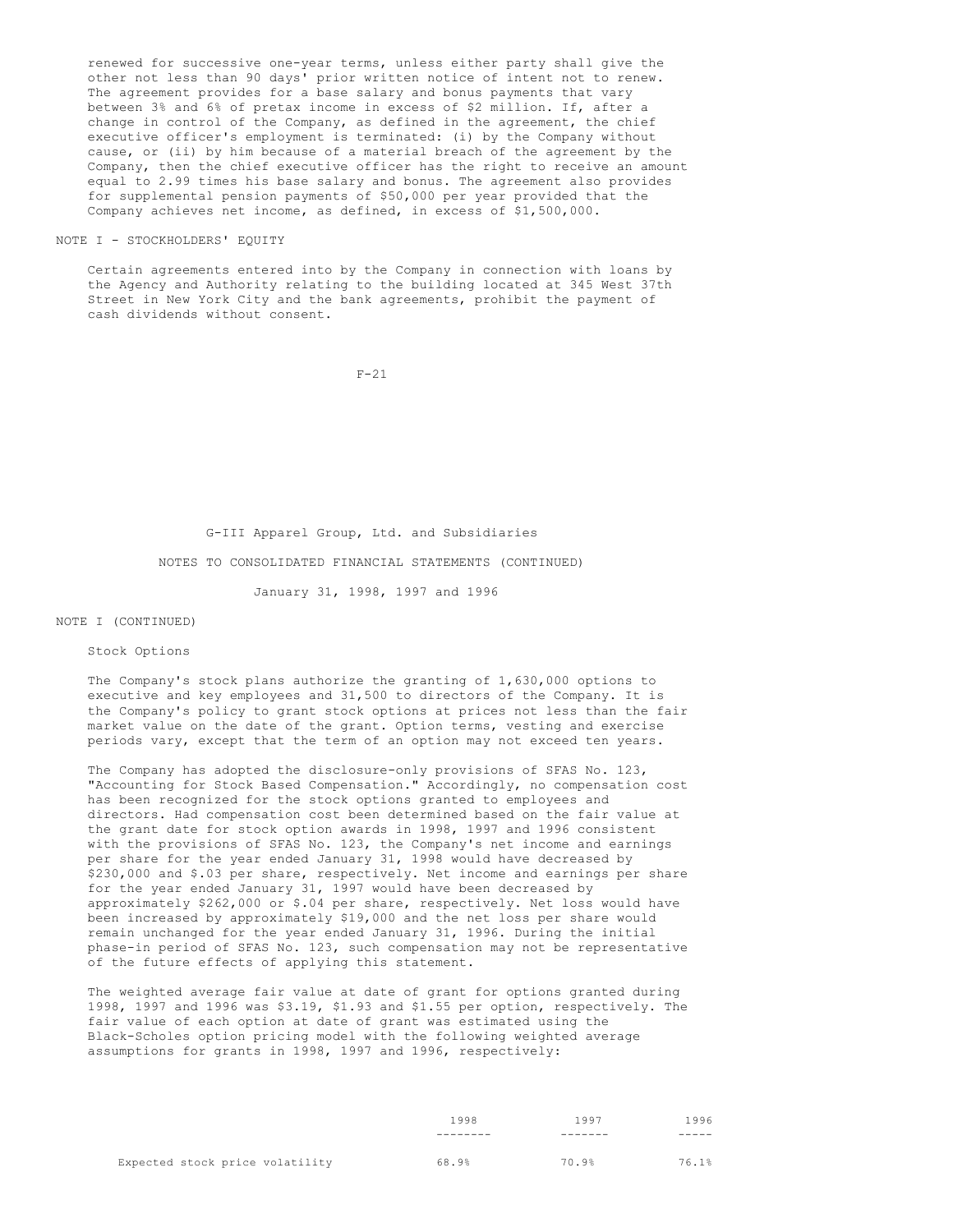renewed for successive one-year terms, unless either party shall give the other not less than 90 days' prior written notice of intent not to renew. The agreement provides for a base salary and bonus payments that vary between 3% and 6% of pretax income in excess of \$2 million. If, after a change in control of the Company, as defined in the agreement, the chief executive officer's employment is terminated: (i) by the Company without cause, or (ii) by him because of a material breach of the agreement by the Company, then the chief executive officer has the right to receive an amount equal to 2.99 times his base salary and bonus. The agreement also provides for supplemental pension payments of \$50,000 per year provided that the Company achieves net income, as defined, in excess of \$1,500,000.

#### NOTE I - STOCKHOLDERS' EQUITY

Certain agreements entered into by the Company in connection with loans by the Agency and Authority relating to the building located at 345 West 37th Street in New York City and the bank agreements, prohibit the payment of cash dividends without consent.

F-21

G-III Apparel Group, Ltd. and Subsidiaries

NOTES TO CONSOLIDATED FINANCIAL STATEMENTS (CONTINUED)

January 31, 1998, 1997 and 1996

## NOTE I (CONTINUED)

#### Stock Options

The Company's stock plans authorize the granting of 1,630,000 options to executive and key employees and 31,500 to directors of the Company. It is the Company's policy to grant stock options at prices not less than the fair market value on the date of the grant. Option terms, vesting and exercise periods vary, except that the term of an option may not exceed ten years.

The Company has adopted the disclosure-only provisions of SFAS No. 123, "Accounting for Stock Based Compensation." Accordingly, no compensation cost has been recognized for the stock options granted to employees and directors. Had compensation cost been determined based on the fair value at the grant date for stock option awards in 1998, 1997 and 1996 consistent with the provisions of SFAS No. 123, the Company's net income and earnings per share for the year ended January 31, 1998 would have decreased by \$230,000 and \$.03 per share, respectively. Net income and earnings per share for the year ended January 31, 1997 would have been decreased by approximately \$262,000 or \$.04 per share, respectively. Net loss would have been increased by approximately \$19,000 and the net loss per share would remain unchanged for the year ended January 31, 1996. During the initial phase-in period of SFAS No. 123, such compensation may not be representative of the future effects of applying this statement.

The weighted average fair value at date of grant for options granted during 1998, 1997 and 1996 was \$3.19, \$1.93 and \$1.55 per option, respectively. The fair value of each option at date of grant was estimated using the Black-Scholes option pricing model with the following weighted average assumptions for grants in 1998, 1997 and 1996, respectively:

|                                 | 1998  | 1997  | 1996  |
|---------------------------------|-------|-------|-------|
|                                 |       |       |       |
| Expected stock price volatility | 68.9% | 70.9% | 76.1% |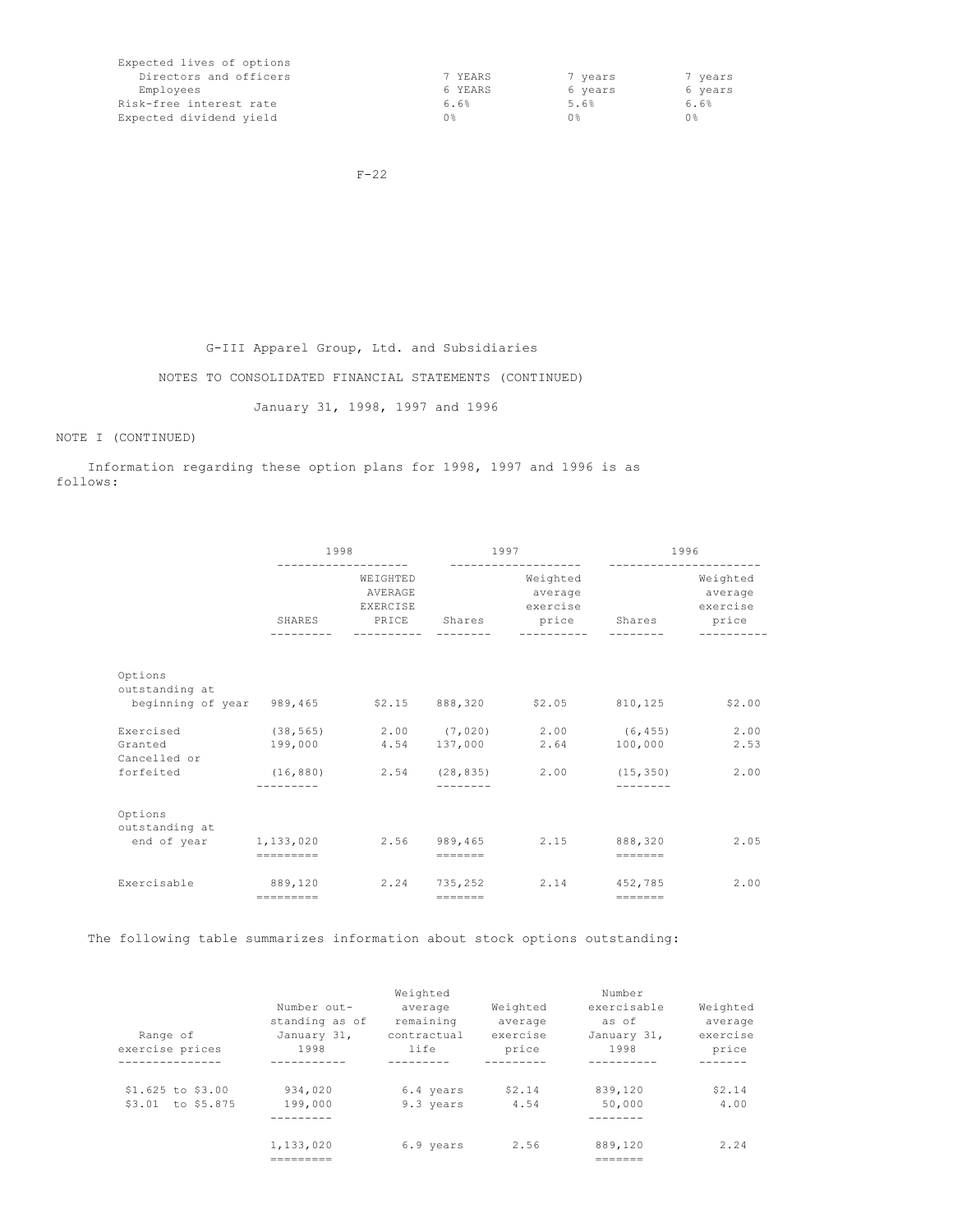| Expected lives of options |         |         |         |
|---------------------------|---------|---------|---------|
| Directors and officers    | 7 YEARS | 7 years | 7 years |
| Employees                 | 6 YEARS | 6 years | 6 years |
| Risk-free interest rate   | 6.6%    | 5.6%    | 6.6%    |
| Expected dividend yield   | 0 %     | 0 %     | 0 응     |

F-22

G-III Apparel Group, Ltd. and Subsidiaries

NOTES TO CONSOLIDATED FINANCIAL STATEMENTS (CONTINUED)

January 31, 1998, 1997 and 1996

# NOTE I (CONTINUED)

Information regarding these option plans for 1998, 1997 and 1996 is as follows:

|                                                                                      | 1998                |                                 |                                                                  | 1997<br>-------------------                                                                                                 |                                                                  | 1996                            |  |
|--------------------------------------------------------------------------------------|---------------------|---------------------------------|------------------------------------------------------------------|-----------------------------------------------------------------------------------------------------------------------------|------------------------------------------------------------------|---------------------------------|--|
|                                                                                      |                     | WEIGHTED<br>AVERAGE<br>EXERCISE |                                                                  | Weighted<br>average<br>exercise<br>SHARES PRICE Shares price Shares price                                                   |                                                                  | Weighted<br>average<br>exercise |  |
| Options<br>outstanding at<br>beginning of year 989,465 \$2.15 888,320 \$2.05 810,125 |                     |                                 |                                                                  |                                                                                                                             |                                                                  | \$2.00                          |  |
| Exercised<br>Granted<br>Cancelled or<br>forfeited                                    |                     |                                 |                                                                  | $(38, 565)$ 2.00 $(7, 020)$ 2.00 $(6, 455)$ 2.00<br>199,000 4.54 137,000 2.64<br>$(16,880)$ 2.54 $(28,835)$ 2.00 $(15,350)$ | 100,000                                                          | 2.53<br>2.00                    |  |
| Options<br>outstanding at<br>end of year 1,133,020 2.56 989,465 2.15 888,320         | $=$ = = = = = = = = |                                 | $= \qquad \qquad = \qquad = \qquad = \qquad =$                   |                                                                                                                             | $\qquad \qquad \equiv \equiv \equiv \equiv \equiv \equiv \equiv$ | 2.05                            |  |
| Exercisable                                                                          | 889,120             |                                 | $\qquad \qquad \equiv \equiv \equiv \equiv \equiv \equiv \equiv$ | 2.24 735.252 2.14 452.785                                                                                                   | $\qquad \qquad \equiv \equiv \equiv \equiv \equiv \equiv \equiv$ | 2.00                            |  |

The following table summarizes information about stock options outstanding:

|                     |                | Weighted    |          | Number      |          |
|---------------------|----------------|-------------|----------|-------------|----------|
|                     | Number out-    | average     | Weighted | exercisable | Weighted |
|                     | standing as of | remaining   | average  | as of       | average  |
| Range of            | January 31,    | contractual | exercise | January 31, | exercise |
| exercise prices     | 1998           | life        | price    | 1998        | price    |
|                     |                |             |          |             |          |
| $$1.625$ to $$3.00$ | 934,020        | 6.4 years   | \$2.14   | 839,120     | \$2.14   |
| \$3.01 to \$5.875   | 199,000        | 9.3 years   | 4.54     | 50,000      | 4.00     |
|                     |                |             |          |             |          |
|                     | 1,133,020      | 6.9 years   | 2.56     | 889,120     | 2.24     |
|                     |                |             |          |             |          |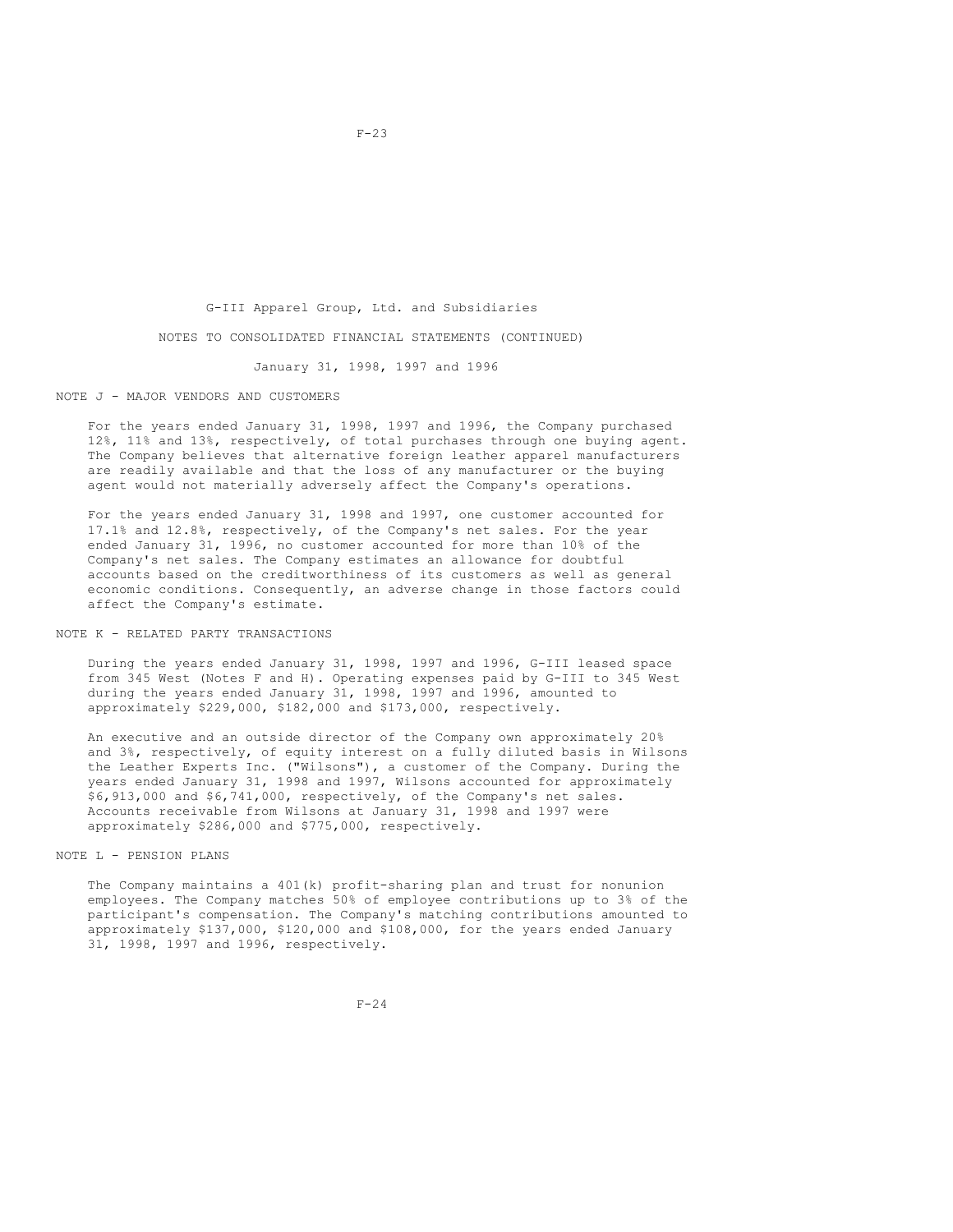## G-III Apparel Group, Ltd. and Subsidiaries

#### NOTES TO CONSOLIDATED FINANCIAL STATEMENTS (CONTINUED)

January 31, 1998, 1997 and 1996

## NOTE J - MAJOR VENDORS AND CUSTOMERS

For the years ended January 31, 1998, 1997 and 1996, the Company purchased 12%, 11% and 13%, respectively, of total purchases through one buying agent. The Company believes that alternative foreign leather apparel manufacturers are readily available and that the loss of any manufacturer or the buying agent would not materially adversely affect the Company's operations.

For the years ended January 31, 1998 and 1997, one customer accounted for 17.1% and 12.8%, respectively, of the Company's net sales. For the year ended January 31, 1996, no customer accounted for more than 10% of the Company's net sales. The Company estimates an allowance for doubtful accounts based on the creditworthiness of its customers as well as general economic conditions. Consequently, an adverse change in those factors could affect the Company's estimate.

## NOTE K - RELATED PARTY TRANSACTIONS

During the years ended January 31, 1998, 1997 and 1996, G-III leased space from 345 West (Notes F and H). Operating expenses paid by G-III to 345 West during the years ended January 31, 1998, 1997 and 1996, amounted to approximately \$229,000, \$182,000 and \$173,000, respectively.

An executive and an outside director of the Company own approximately 20% and 3%, respectively, of equity interest on a fully diluted basis in Wilsons the Leather Experts Inc. ("Wilsons"), a customer of the Company. During the years ended January 31, 1998 and 1997, Wilsons accounted for approximately \$6,913,000 and \$6,741,000, respectively, of the Company's net sales. Accounts receivable from Wilsons at January 31, 1998 and 1997 were approximately \$286,000 and \$775,000, respectively.

## NOTE L - PENSION PLANS

The Company maintains a 401(k) profit-sharing plan and trust for nonunion employees. The Company matches 50% of employee contributions up to 3% of the participant's compensation. The Company's matching contributions amounted to approximately \$137,000, \$120,000 and \$108,000, for the years ended January 31, 1998, 1997 and 1996, respectively.

 $F-23$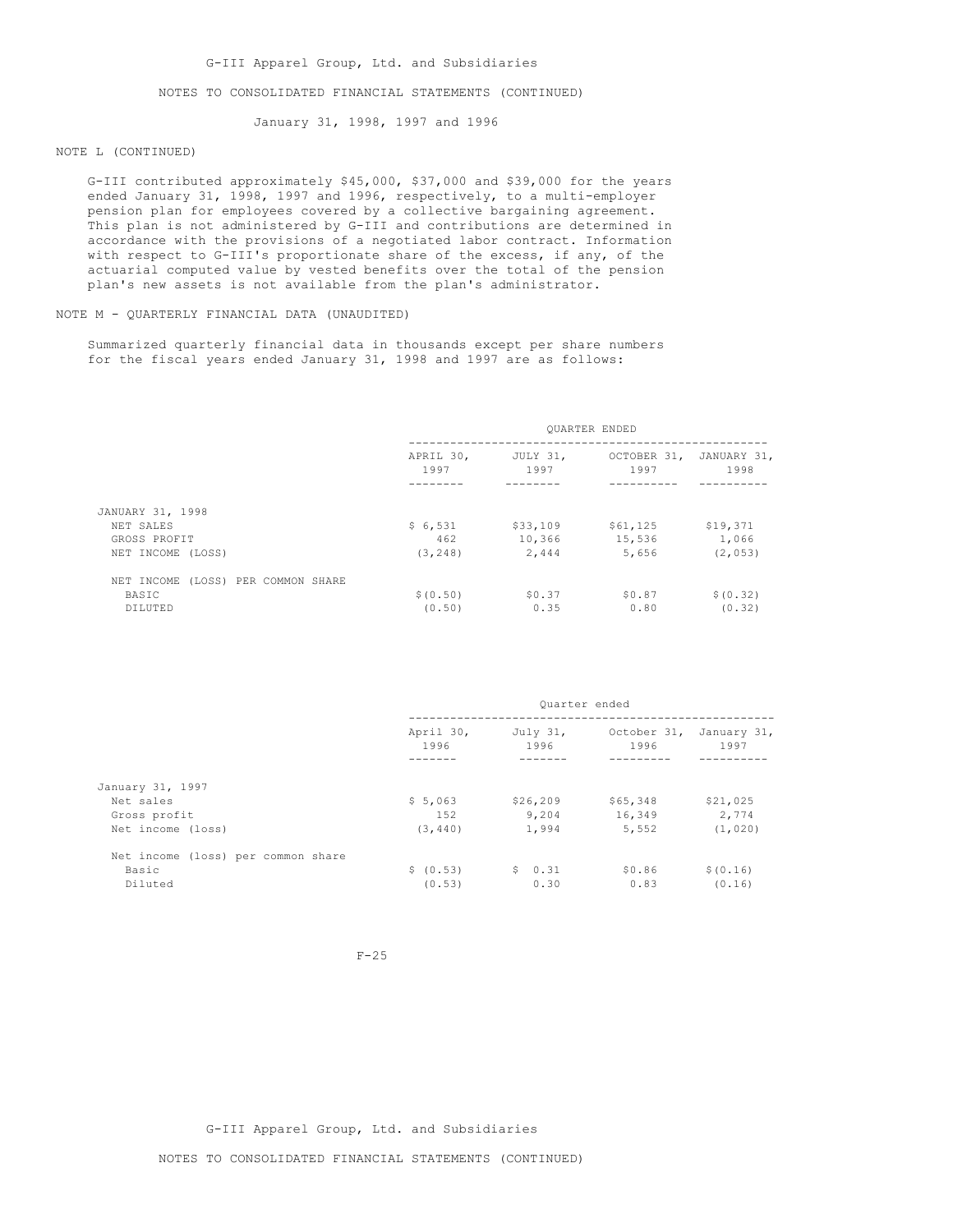## NOTES TO CONSOLIDATED FINANCIAL STATEMENTS (CONTINUED)

January 31, 1998, 1997 and 1996

## NOTE L (CONTINUED)

G-III contributed approximately \$45,000, \$37,000 and \$39,000 for the years ended January 31, 1998, 1997 and 1996, respectively, to a multi-employer pension plan for employees covered by a collective bargaining agreement. This plan is not administered by G-III and contributions are determined in accordance with the provisions of a negotiated labor contract. Information with respect to G-III's proportionate share of the excess, if any, of the actuarial computed value by vested benefits over the total of the pension plan's new assets is not available from the plan's administrator.

## NOTE M - QUARTERLY FINANCIAL DATA (UNAUDITED)

Summarized quarterly financial data in thousands except per share numbers for the fiscal years ended January 31, 1998 and 1997 are as follows:

|                                    | <b>OUARTER ENDED</b> |                            |                     |                     |
|------------------------------------|----------------------|----------------------------|---------------------|---------------------|
|                                    | 1997                 | APRIL 30, JULY 31,<br>1997 | OCTOBER 31,<br>1997 | JANUARY 31,<br>1998 |
|                                    |                      |                            |                     |                     |
| JANUARY 31, 1998                   |                      |                            |                     |                     |
| NET SALES                          | \$6,531              | \$33,109                   | \$61,125            | \$19,371            |
| GROSS PROFIT                       | 462                  | 10,366                     | 15,536              | 1,066               |
| NET INCOME (LOSS)                  | (3, 248)             | 2,444                      | 5,656               | (2, 053)            |
| NET INCOME (LOSS) PER COMMON SHARE |                      |                            |                     |                     |
| BASIC                              | \$(0.50)             | \$0.37                     | \$0.87              | \$ (0.32)           |
| DILUTED                            | (0.50)               | 0.35                       | 0.80                | (0.32)              |

|                                    | Ouarter ended     |                  |                                 |           |
|------------------------------------|-------------------|------------------|---------------------------------|-----------|
|                                    | April 30,<br>1996 | July 31,<br>1996 | October 31, January 31,<br>1996 | 1997      |
|                                    |                   |                  |                                 |           |
| January 31, 1997                   |                   |                  |                                 |           |
| Net sales                          | \$5,063           | \$26, 209        | \$65,348                        | \$21,025  |
| Gross profit                       | 152               | 9,204            | 16,349                          | 2.774     |
| Net income (loss)                  | (3, 440)          | 1,994            | 5,552                           | (1, 020)  |
| Net income (loss) per common share |                   |                  |                                 |           |
| Basic                              | \$ (0.53)         | \$0.31           | \$0.86                          | \$ (0.16) |
| Diluted                            | (0.53)            | 0.30             | 0.83                            | (0.16)    |

 $F-25$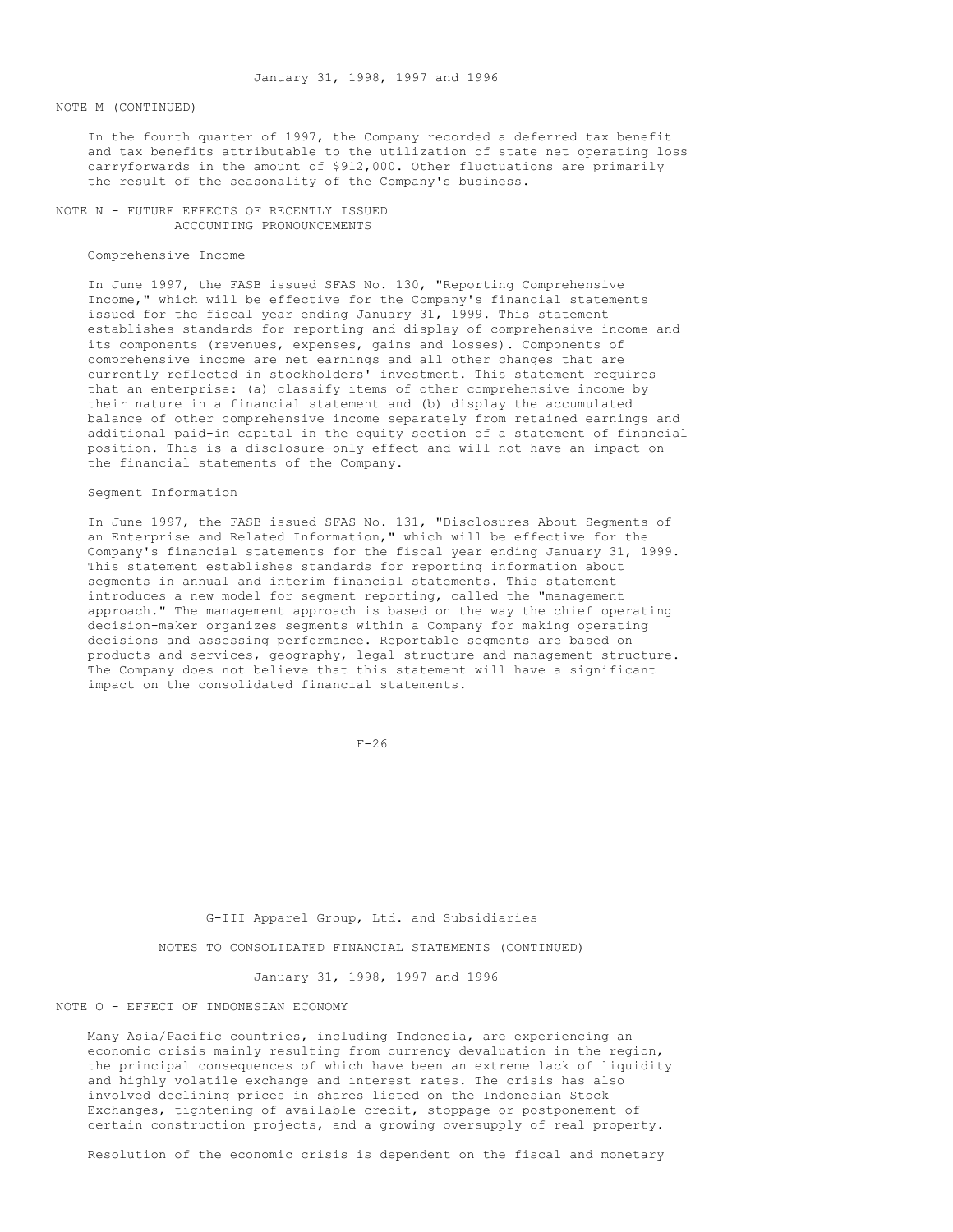#### NOTE M (CONTINUED)

In the fourth quarter of 1997, the Company recorded a deferred tax benefit and tax benefits attributable to the utilization of state net operating loss carryforwards in the amount of \$912,000. Other fluctuations are primarily the result of the seasonality of the Company's business.

NOTE N - FUTURE EFFECTS OF RECENTLY ISSUED ACCOUNTING PRONOUNCEMENTS

## Comprehensive Income

In June 1997, the FASB issued SFAS No. 130, "Reporting Comprehensive Income," which will be effective for the Company's financial statements issued for the fiscal year ending January 31, 1999. This statement establishes standards for reporting and display of comprehensive income and its components (revenues, expenses, gains and losses). Components of comprehensive income are net earnings and all other changes that are currently reflected in stockholders' investment. This statement requires that an enterprise: (a) classify items of other comprehensive income by their nature in a financial statement and (b) display the accumulated balance of other comprehensive income separately from retained earnings and additional paid-in capital in the equity section of a statement of financial position. This is a disclosure-only effect and will not have an impact on the financial statements of the Company.

#### Segment Information

In June 1997, the FASB issued SFAS No. 131, "Disclosures About Segments of an Enterprise and Related Information," which will be effective for the Company's financial statements for the fiscal year ending January 31, 1999. This statement establishes standards for reporting information about segments in annual and interim financial statements. This statement introduces a new model for segment reporting, called the "management approach." The management approach is based on the way the chief operating decision-maker organizes segments within a Company for making operating decisions and assessing performance. Reportable segments are based on products and services, geography, legal structure and management structure. The Company does not believe that this statement will have a significant impact on the consolidated financial statements.

 $F-26$ 

G-III Apparel Group, Ltd. and Subsidiaries

NOTES TO CONSOLIDATED FINANCIAL STATEMENTS (CONTINUED)

January 31, 1998, 1997 and 1996

#### NOTE O - EFFECT OF INDONESIAN ECONOMY

Many Asia/Pacific countries, including Indonesia, are experiencing an economic crisis mainly resulting from currency devaluation in the region, the principal consequences of which have been an extreme lack of liquidity and highly volatile exchange and interest rates. The crisis has also involved declining prices in shares listed on the Indonesian Stock Exchanges, tightening of available credit, stoppage or postponement of certain construction projects, and a growing oversupply of real property.

Resolution of the economic crisis is dependent on the fiscal and monetary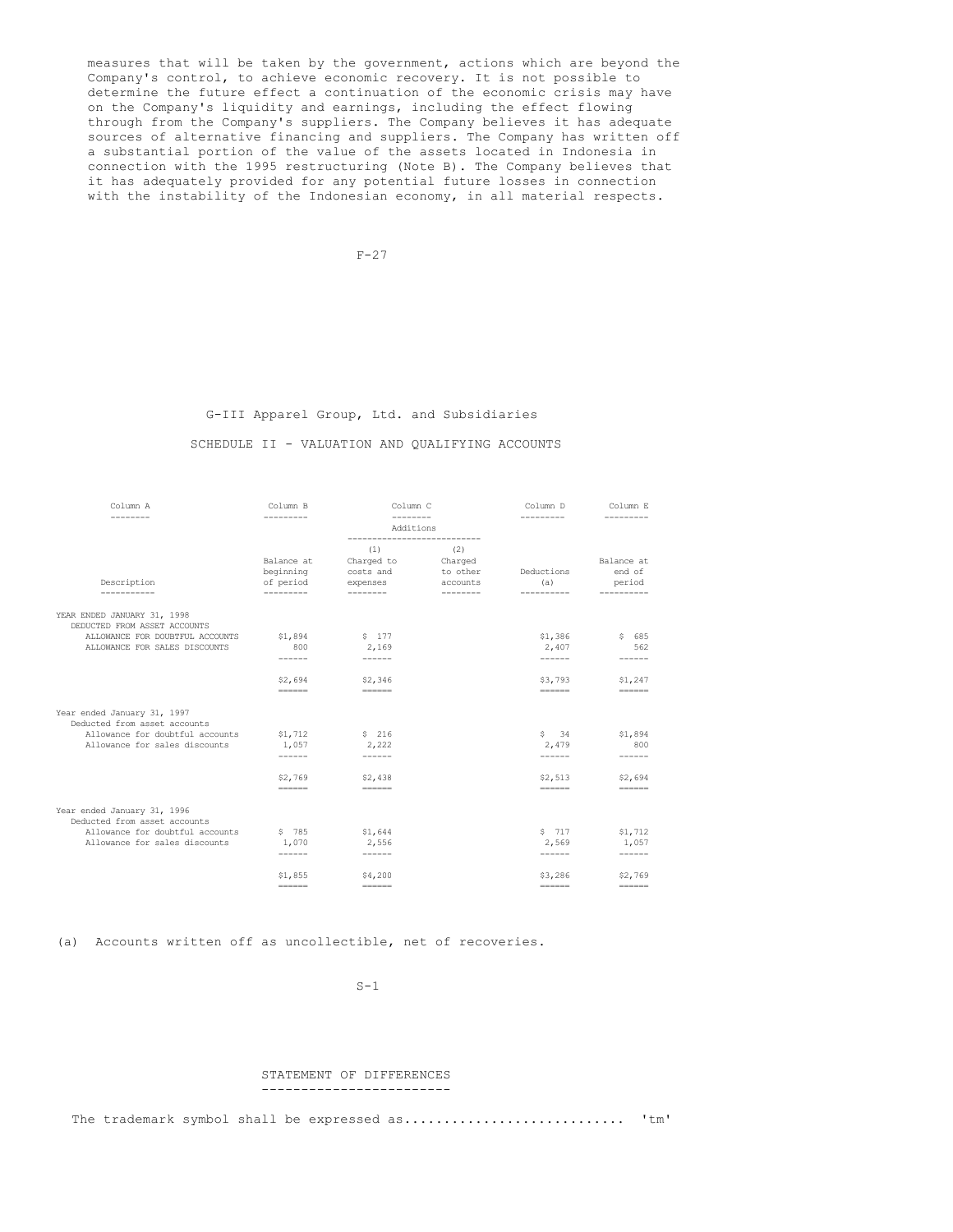measures that will be taken by the government, actions which are beyond the Company's control, to achieve economic recovery. It is not possible to determine the future effect a continuation of the economic crisis may have on the Company's liquidity and earnings, including the effect flowing through from the Company's suppliers. The Company believes it has adequate sources of alternative financing and suppliers. The Company has written off a substantial portion of the value of the assets located in Indonesia in connection with the 1995 restructuring (Note B). The Company believes that it has adequately provided for any potential future losses in connection with the instability of the Indonesian economy, in all material respects.

 $F-27$ 

## G-III Apparel Group, Ltd. and Subsidiaries

## SCHEDULE II - VALUATION AND QUALIFYING ACCOUNTS

| Column A                                                                                                                        | Column B                                                                    | Column C                                                                                                                                                                                                                                                                                                                                                                                                 |                                        | Column D                                                                                                                                                                                                                                                                                                                                                                                               | Column E                                                                                                                                                                                                                                                                                                                                                                                        |
|---------------------------------------------------------------------------------------------------------------------------------|-----------------------------------------------------------------------------|----------------------------------------------------------------------------------------------------------------------------------------------------------------------------------------------------------------------------------------------------------------------------------------------------------------------------------------------------------------------------------------------------------|----------------------------------------|--------------------------------------------------------------------------------------------------------------------------------------------------------------------------------------------------------------------------------------------------------------------------------------------------------------------------------------------------------------------------------------------------------|-------------------------------------------------------------------------------------------------------------------------------------------------------------------------------------------------------------------------------------------------------------------------------------------------------------------------------------------------------------------------------------------------|
| --------                                                                                                                        | ---------                                                                   | $- - - - - - - -$<br>Additions                                                                                                                                                                                                                                                                                                                                                                           |                                        | ---------                                                                                                                                                                                                                                                                                                                                                                                              | ---------                                                                                                                                                                                                                                                                                                                                                                                       |
| Description                                                                                                                     | Balance at<br>beginning<br>of period                                        | ----------------------------<br>(1)<br>Charged to<br>costs and<br>expenses                                                                                                                                                                                                                                                                                                                               | (2)<br>Charged<br>to other<br>accounts | Deductions<br>(a)                                                                                                                                                                                                                                                                                                                                                                                      | Balance at<br>end of<br>period                                                                                                                                                                                                                                                                                                                                                                  |
| -----------                                                                                                                     | ----------                                                                  | --------                                                                                                                                                                                                                                                                                                                                                                                                 | ---------                              | ----------                                                                                                                                                                                                                                                                                                                                                                                             |                                                                                                                                                                                                                                                                                                                                                                                                 |
| YEAR ENDED JANUARY 31, 1998<br>DEDUCTED FROM ASSET ACCOUNTS<br>ALLOWANCE FOR DOUBTFUL ACCOUNTS<br>ALLOWANCE FOR SALES DISCOUNTS | \$1,894<br>800<br>------                                                    | \$177<br>2,169                                                                                                                                                                                                                                                                                                                                                                                           |                                        | \$1,386<br>2,407                                                                                                                                                                                                                                                                                                                                                                                       | \$685<br>562                                                                                                                                                                                                                                                                                                                                                                                    |
|                                                                                                                                 | \$2,694<br>$\qquad \qquad \equiv \equiv \equiv \equiv \equiv \equiv \equiv$ | \$2,346<br>$= = = = = = =$                                                                                                                                                                                                                                                                                                                                                                               |                                        | \$3,793<br>======                                                                                                                                                                                                                                                                                                                                                                                      | \$1,247<br>$=$ = = = = = =                                                                                                                                                                                                                                                                                                                                                                      |
| Year ended January 31, 1997<br>Deducted from asset accounts                                                                     |                                                                             |                                                                                                                                                                                                                                                                                                                                                                                                          |                                        |                                                                                                                                                                                                                                                                                                                                                                                                        |                                                                                                                                                                                                                                                                                                                                                                                                 |
| Allowance for doubtful accounts                                                                                                 | \$1,712                                                                     | \$ 216                                                                                                                                                                                                                                                                                                                                                                                                   |                                        | $S \qquad 34$                                                                                                                                                                                                                                                                                                                                                                                          | \$1,894                                                                                                                                                                                                                                                                                                                                                                                         |
| Allowance for sales discounts                                                                                                   | 1,057                                                                       | 2,222                                                                                                                                                                                                                                                                                                                                                                                                    |                                        | 2,479                                                                                                                                                                                                                                                                                                                                                                                                  | 800                                                                                                                                                                                                                                                                                                                                                                                             |
|                                                                                                                                 | ------                                                                      | ------                                                                                                                                                                                                                                                                                                                                                                                                   |                                        | ------                                                                                                                                                                                                                                                                                                                                                                                                 | ------                                                                                                                                                                                                                                                                                                                                                                                          |
|                                                                                                                                 | \$2,769                                                                     | \$2,438                                                                                                                                                                                                                                                                                                                                                                                                  |                                        | \$2,513                                                                                                                                                                                                                                                                                                                                                                                                | \$2,694                                                                                                                                                                                                                                                                                                                                                                                         |
|                                                                                                                                 | $=$                                                                         | $= = = = = = =$                                                                                                                                                                                                                                                                                                                                                                                          |                                        | $\qquad \qquad \equiv \equiv \equiv \equiv \equiv \equiv \equiv$                                                                                                                                                                                                                                                                                                                                       | $\qquad \qquad \equiv \equiv \equiv \equiv \equiv \equiv \equiv$                                                                                                                                                                                                                                                                                                                                |
| Year ended January 31, 1996<br>Deducted from asset accounts                                                                     |                                                                             |                                                                                                                                                                                                                                                                                                                                                                                                          |                                        |                                                                                                                                                                                                                                                                                                                                                                                                        |                                                                                                                                                                                                                                                                                                                                                                                                 |
| Allowance for doubtful accounts                                                                                                 | \$785                                                                       | \$1,644                                                                                                                                                                                                                                                                                                                                                                                                  |                                        | \$ 717                                                                                                                                                                                                                                                                                                                                                                                                 | \$1,712                                                                                                                                                                                                                                                                                                                                                                                         |
| Allowance for sales discounts                                                                                                   | 1,070                                                                       | 2,556                                                                                                                                                                                                                                                                                                                                                                                                    |                                        | 2,569                                                                                                                                                                                                                                                                                                                                                                                                  | 1,057                                                                                                                                                                                                                                                                                                                                                                                           |
|                                                                                                                                 | ------                                                                      |                                                                                                                                                                                                                                                                                                                                                                                                          |                                        | ------                                                                                                                                                                                                                                                                                                                                                                                                 | $- - - - - -$                                                                                                                                                                                                                                                                                                                                                                                   |
|                                                                                                                                 | \$1,855                                                                     | \$4,200                                                                                                                                                                                                                                                                                                                                                                                                  |                                        | \$3,286                                                                                                                                                                                                                                                                                                                                                                                                | \$2,769                                                                                                                                                                                                                                                                                                                                                                                         |
|                                                                                                                                 | $=$ $=$ $=$ $=$ $=$ $=$                                                     | $\qquad \qquad \dfrac{1}{1} \left( \frac{1}{1} + \frac{1}{1} + \frac{1}{1} + \frac{1}{1} + \frac{1}{1} + \frac{1}{1} + \frac{1}{1} + \frac{1}{1} + \frac{1}{1} + \frac{1}{1} + \frac{1}{1} + \frac{1}{1} + \frac{1}{1} + \frac{1}{1} + \frac{1}{1} + \frac{1}{1} + \frac{1}{1} + \frac{1}{1} + \frac{1}{1} + \frac{1}{1} + \frac{1}{1} + \frac{1}{1} + \frac{1}{1} + \frac{1}{1} + \frac{1}{1} + \frac{$ |                                        | $\qquad \qquad \overline{\qquad \qquad }==-\frac{1}{2}=\frac{1}{2}=\frac{1}{2}=\frac{1}{2}=\frac{1}{2}=\frac{1}{2}=\frac{1}{2}=\frac{1}{2}=\frac{1}{2}=\frac{1}{2}=\frac{1}{2}=\frac{1}{2}=\frac{1}{2}=\frac{1}{2}=\frac{1}{2}=\frac{1}{2}=\frac{1}{2}=\frac{1}{2}=\frac{1}{2}=\frac{1}{2}=\frac{1}{2}=\frac{1}{2}=\frac{1}{2}=\frac{1}{2}=\frac{1}{2}=\frac{1}{2}=\frac{1}{2}=\frac{1}{2}=\frac{1}{2$ | $\qquad \qquad \dfrac{1}{1} \frac{1}{1} \frac{1}{1} \frac{1}{1} \frac{1}{1} \frac{1}{1} \frac{1}{1} \frac{1}{1} \frac{1}{1} \frac{1}{1} \frac{1}{1} \frac{1}{1} \frac{1}{1} \frac{1}{1} \frac{1}{1} \frac{1}{1} \frac{1}{1} \frac{1}{1} \frac{1}{1} \frac{1}{1} \frac{1}{1} \frac{1}{1} \frac{1}{1} \frac{1}{1} \frac{1}{1} \frac{1}{1} \frac{1}{1} \frac{1}{1} \frac{1}{1} \frac{1}{1} \frac{$ |

(a) Accounts written off as uncollectible, net of recoveries.

 $S-1$ 

#### STATEMENT OF DIFFERENCES ------------------------

The trademark symbol shall be expressed as............................ 'tm'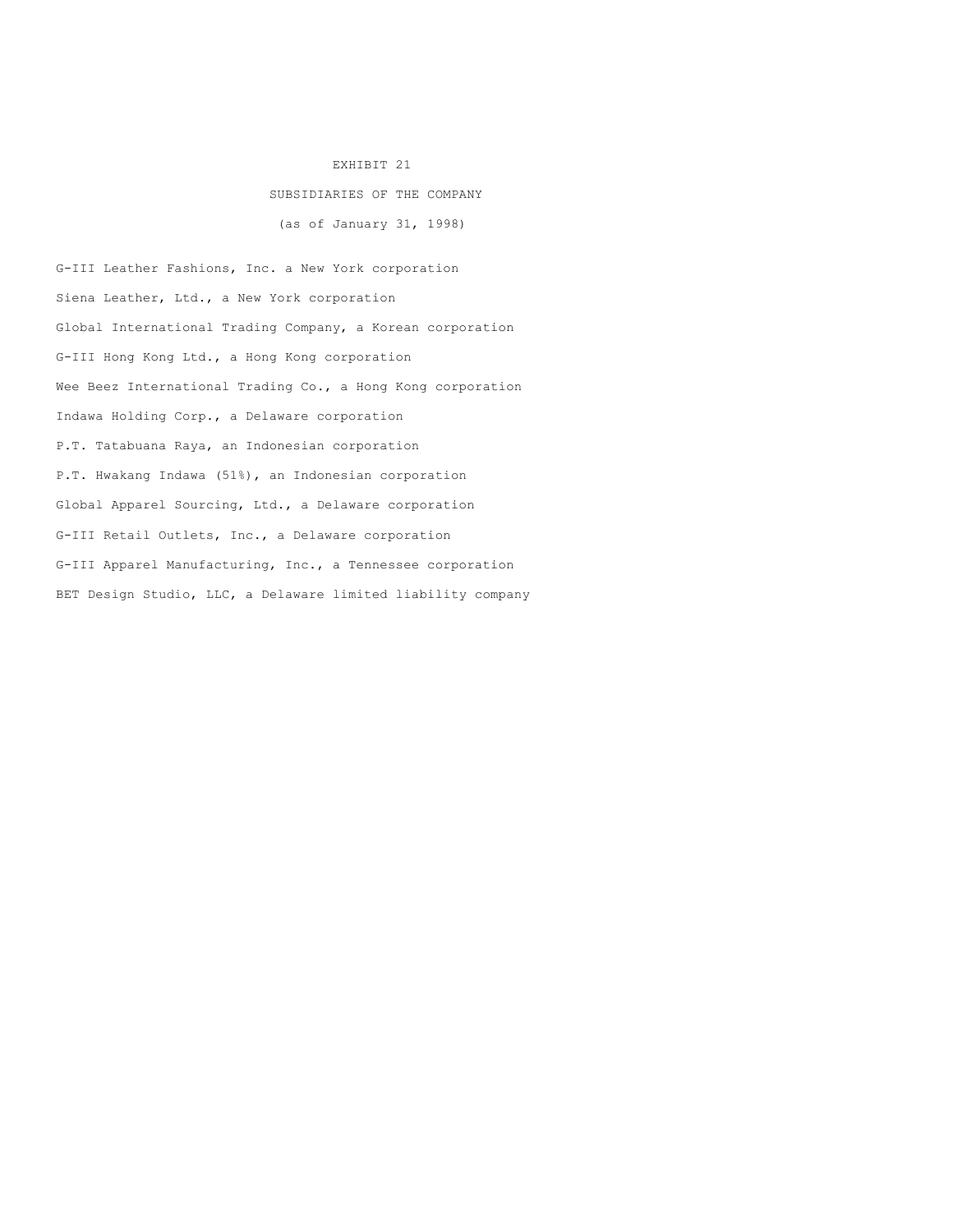# EXHIBIT 21

# SUBSIDIARIES OF THE COMPANY

(as of January 31, 1998)

G-III Leather Fashions, Inc. a New York corporation Siena Leather, Ltd., a New York corporation Global International Trading Company, a Korean corporation G-III Hong Kong Ltd., a Hong Kong corporation Wee Beez International Trading Co., a Hong Kong corporation Indawa Holding Corp., a Delaware corporation P.T. Tatabuana Raya, an Indonesian corporation P.T. Hwakang Indawa (51%), an Indonesian corporation Global Apparel Sourcing, Ltd., a Delaware corporation G-III Retail Outlets, Inc., a Delaware corporation G-III Apparel Manufacturing, Inc., a Tennessee corporation BET Design Studio, LLC, a Delaware limited liability company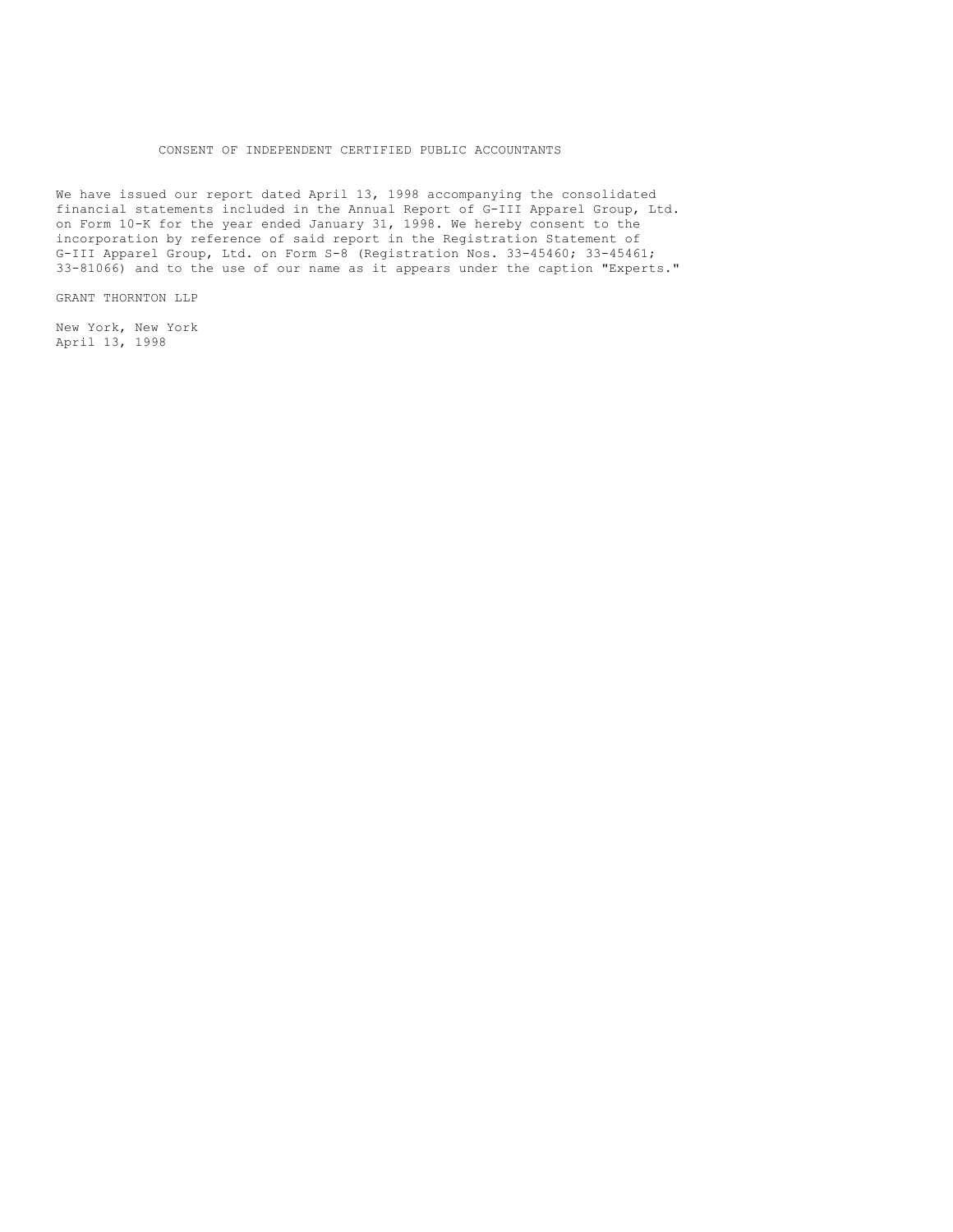## CONSENT OF INDEPENDENT CERTIFIED PUBLIC ACCOUNTANTS

We have issued our report dated April 13, 1998 accompanying the consolidated financial statements included in the Annual Report of G-III Apparel Group, Ltd. on Form 10-K for the year ended January 31, 1998. We hereby consent to the incorporation by reference of said report in the Registration Statement of G-III Apparel Group, Ltd. on Form S-8 (Registration Nos. 33-45460; 33-45461; 33-81066) and to the use of our name as it appears under the caption "Experts."

GRANT THORNTON LLP

New York, New York April 13, 1998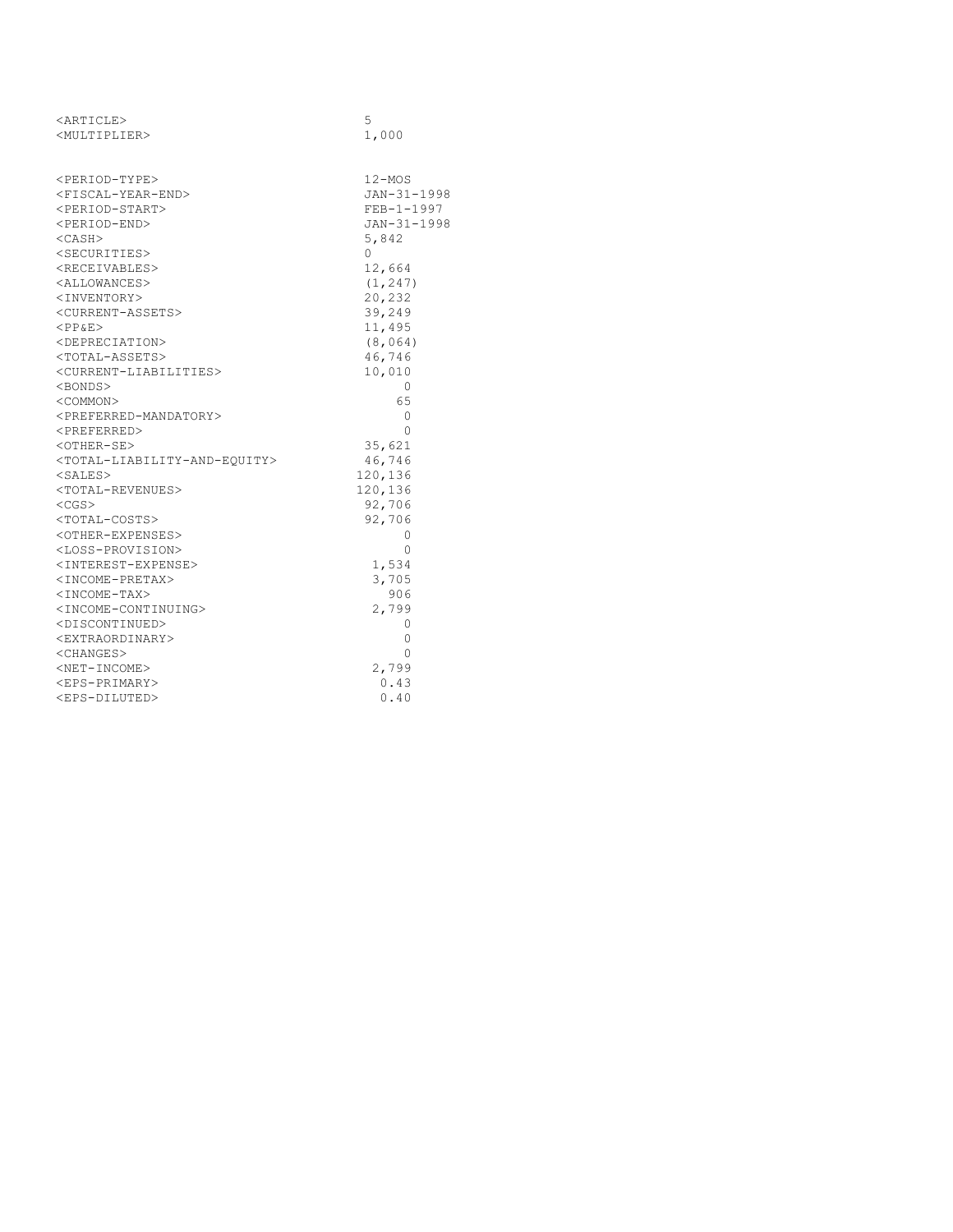| <article></article>                                       | 5            |
|-----------------------------------------------------------|--------------|
| <multiplier></multiplier>                                 | 1,000        |
|                                                           |              |
|                                                           |              |
| <period-type></period-type>                               | 12-MOS       |
| <fiscal-year-end></fiscal-year-end>                       | JAN-31-1998  |
| <period-start></period-start>                             | $FEB-1-1997$ |
| <period-end></period-end>                                 | JAN-31-1998  |
| $<$ CASH $>$                                              | 5,842        |
| <securities></securities>                                 | $\Omega$     |
| <receivables></receivables>                               | 12,664       |
| <allowances></allowances>                                 | (1, 247)     |
| <inventory></inventory>                                   | 20,232       |
| <current-assets></current-assets>                         | 39,249       |
| $<$ PP&E>                                                 | 11,495       |
| <depreciation></depreciation>                             | (8, 064)     |
| <total-assets></total-assets>                             | 46,746       |
| <current-liabilities></current-liabilities>               | 10,010       |
| <bonds></bonds>                                           | 0            |
| <common></common>                                         | 65           |
| <preferred-mandatory></preferred-mandatory>               | 0            |
| <preferred></preferred>                                   | $\Omega$     |
| <other-se></other-se>                                     | 35,621       |
| <total-liability-and-equity></total-liability-and-equity> | 46,746       |
| $<$ SALES $>$                                             | 120,136      |
| <total-revenues></total-revenues>                         | 120,136      |
| $<$ CGS $>$                                               | 92,706       |
| <total-costs></total-costs>                               | 92,706       |
| <other-expenses></other-expenses>                         | 0            |
| <loss-provision></loss-provision>                         | $\Omega$     |
| <interest-expense></interest-expense>                     | 1,534        |
| <income-pretax></income-pretax>                           | 3,705        |
| <income-tax></income-tax>                                 | 906          |
| <income-continuing></income-continuing>                   | 2,799        |
| <discontinued></discontinued>                             | 0            |
| <extraordinary></extraordinary>                           | 0            |
| $<$ CHANGES $>$                                           | $\Omega$     |
| <net-income></net-income>                                 | 2,799        |
| <eps-primary></eps-primary>                               | 0.43         |
| <eps-diluted></eps-diluted>                               | 0.40         |